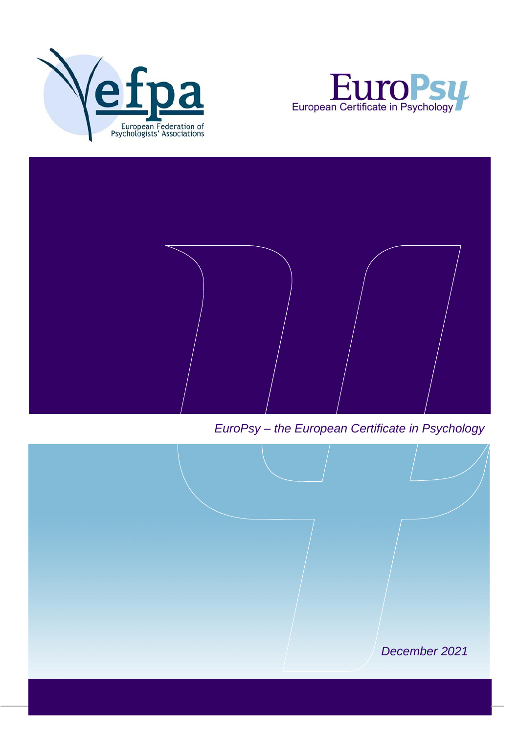





*EuroPsy – the European Certificate in Psychology*

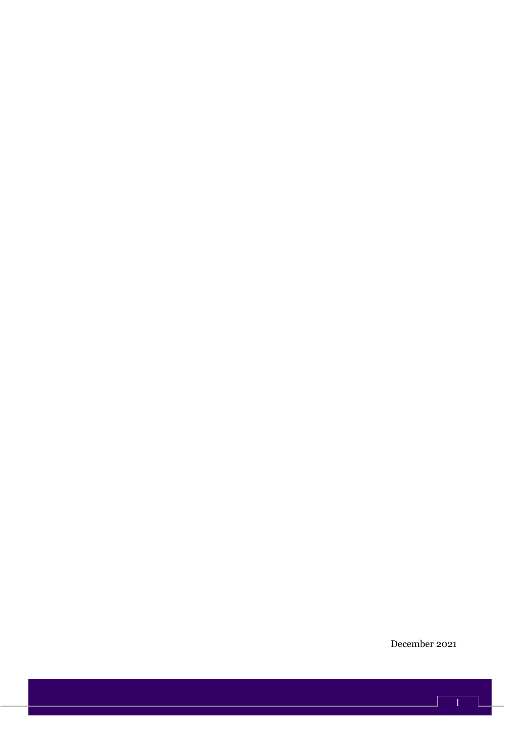December 2021

 $\frac{1}{\sqrt{1}}$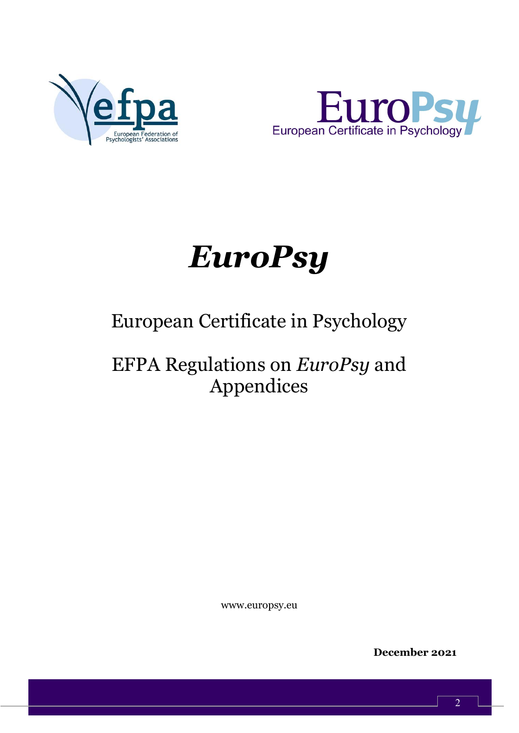



# *EuroPsy*

# European Certificate in Psychology

# EFPA Regulations on *EuroPsy* and Appendices

www.europsy.eu

**December 2021**

 $\overline{2}$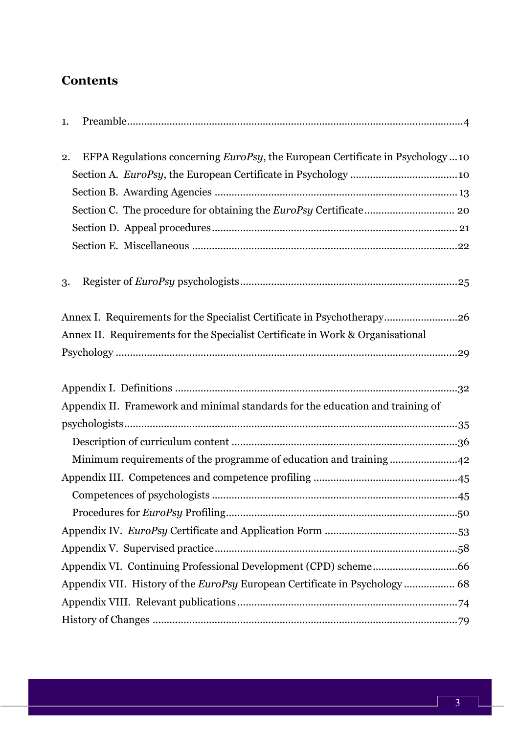# **Contents**

| 1.                                                                                            |  |
|-----------------------------------------------------------------------------------------------|--|
| EFPA Regulations concerning <i>EuroPsy</i> , the European Certificate in Psychology  10<br>2. |  |
|                                                                                               |  |
|                                                                                               |  |
|                                                                                               |  |
|                                                                                               |  |
|                                                                                               |  |
| 3.                                                                                            |  |
| Annex I. Requirements for the Specialist Certificate in Psychotherapy26                       |  |
| Annex II. Requirements for the Specialist Certificate in Work & Organisational                |  |
|                                                                                               |  |
|                                                                                               |  |
| Appendix II. Framework and minimal standards for the education and training of                |  |
|                                                                                               |  |
|                                                                                               |  |
| Minimum requirements of the programme of education and training42                             |  |
|                                                                                               |  |
|                                                                                               |  |
|                                                                                               |  |
|                                                                                               |  |
|                                                                                               |  |
|                                                                                               |  |
| Appendix VII. History of the <i>EuroPsy</i> European Certificate in Psychology  68            |  |
|                                                                                               |  |
|                                                                                               |  |
|                                                                                               |  |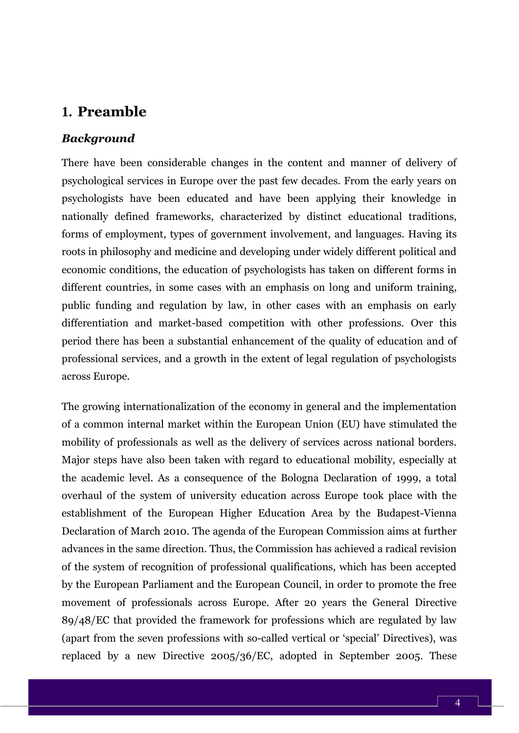## <span id="page-4-0"></span>**1. Preamble**

#### *Background*

There have been considerable changes in the content and manner of delivery of psychological services in Europe over the past few decades. From the early years on psychologists have been educated and have been applying their knowledge in nationally defined frameworks, characterized by distinct educational traditions, forms of employment, types of government involvement, and languages. Having its roots in philosophy and medicine and developing under widely different political and economic conditions, the education of psychologists has taken on different forms in different countries, in some cases with an emphasis on long and uniform training, public funding and regulation by law, in other cases with an emphasis on early differentiation and market-based competition with other professions. Over this period there has been a substantial enhancement of the quality of education and of professional services, and a growth in the extent of legal regulation of psychologists across Europe.

The growing internationalization of the economy in general and the implementation of a common internal market within the European Union (EU) have stimulated the mobility of professionals as well as the delivery of services across national borders. Major steps have also been taken with regard to educational mobility, especially at the academic level. As a consequence of the Bologna Declaration of 1999, a total overhaul of the system of university education across Europe took place with the establishment of the European Higher Education Area by the Budapest-Vienna Declaration of March 2010. The agenda of the European Commission aims at further advances in the same direction. Thus, the Commission has achieved a radical revision of the system of recognition of professional qualifications, which has been accepted by the European Parliament and the European Council, in order to promote the free movement of professionals across Europe. After 20 years the General Directive 89/48/EC that provided the framework for professions which are regulated by law (apart from the seven professions with so-called vertical or 'special' Directives), was replaced by a new Directive 2005/36/EC, adopted in September 2005. These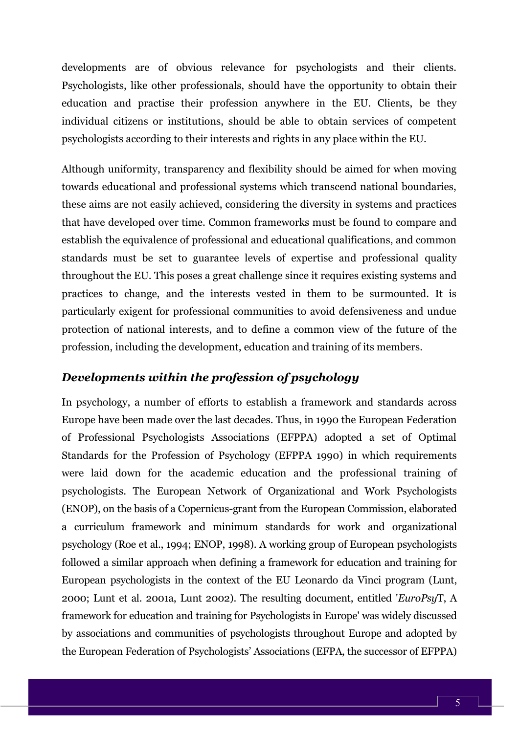developments are of obvious relevance for psychologists and their clients. Psychologists, like other professionals, should have the opportunity to obtain their education and practise their profession anywhere in the EU. Clients, be they individual citizens or institutions, should be able to obtain services of competent psychologists according to their interests and rights in any place within the EU.

Although uniformity, transparency and flexibility should be aimed for when moving towards educational and professional systems which transcend national boundaries, these aims are not easily achieved, considering the diversity in systems and practices that have developed over time. Common frameworks must be found to compare and establish the equivalence of professional and educational qualifications, and common standards must be set to guarantee levels of expertise and professional quality throughout the EU. This poses a great challenge since it requires existing systems and practices to change, and the interests vested in them to be surmounted. It is particularly exigent for professional communities to avoid defensiveness and undue protection of national interests, and to define a common view of the future of the profession, including the development, education and training of its members.

#### *Developments within the profession of psychology*

In psychology, a number of efforts to establish a framework and standards across Europe have been made over the last decades. Thus, in 1990 the European Federation of Professional Psychologists Associations (EFPPA) adopted a set of Optimal Standards for the Profession of Psychology (EFPPA 1990) in which requirements were laid down for the academic education and the professional training of psychologists. The European Network of Organizational and Work Psychologists (ENOP), on the basis of a Copernicus-grant from the European Commission, elaborated a curriculum framework and minimum standards for work and organizational psychology (Roe et al., 1994; ENOP, 1998). A working group of European psychologists followed a similar approach when defining a framework for education and training for European psychologists in the context of the EU Leonardo da Vinci program (Lunt, 2000; Lunt et al. 2001a, Lunt 2002). The resulting document, entitled '*EuroPsy*T, A framework for education and training for Psychologists in Europe' was widely discussed by associations and communities of psychologists throughout Europe and adopted by the European Federation of Psychologists' Associations (EFPA, the successor of EFPPA)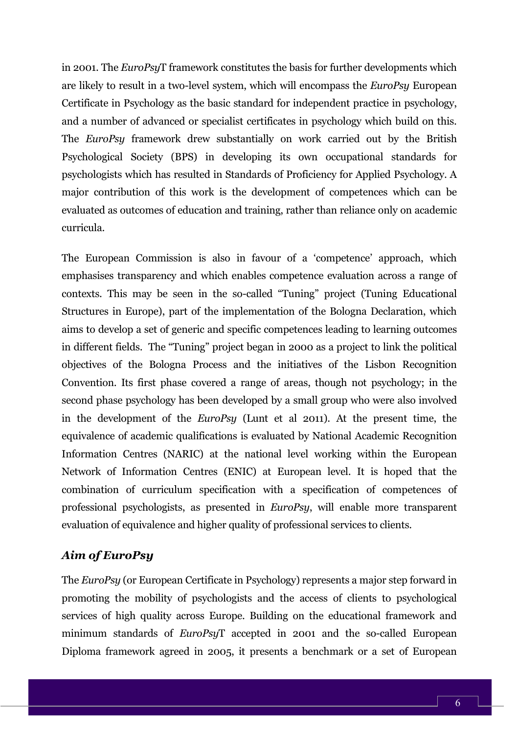in 2001. The *EuroPsy*T framework constitutes the basis for further developments which are likely to result in a two-level system, which will encompass the *EuroPsy* European Certificate in Psychology as the basic standard for independent practice in psychology, and a number of advanced or specialist certificates in psychology which build on this. The *EuroPsy* framework drew substantially on work carried out by the British Psychological Society (BPS) in developing its own occupational standards for psychologists which has resulted in Standards of Proficiency for Applied Psychology. A major contribution of this work is the development of competences which can be evaluated as outcomes of education and training, rather than reliance only on academic curricula.

The European Commission is also in favour of a 'competence' approach, which emphasises transparency and which enables competence evaluation across a range of contexts. This may be seen in the so-called "Tuning" project (Tuning Educational Structures in Europe), part of the implementation of the Bologna Declaration, which aims to develop a set of generic and specific competences leading to learning outcomes in different fields. The "Tuning" project began in 2000 as a project to link the political objectives of the Bologna Process and the initiatives of the Lisbon Recognition Convention. Its first phase covered a range of areas, though not psychology; in the second phase psychology has been developed by a small group who were also involved in the development of the *EuroPsy* (Lunt et al 2011). At the present time, the equivalence of academic qualifications is evaluated by National Academic Recognition Information Centres (NARIC) at the national level working within the European Network of Information Centres (ENIC) at European level. It is hoped that the combination of curriculum specification with a specification of competences of professional psychologists, as presented in *EuroPsy*, will enable more transparent evaluation of equivalence and higher quality of professional services to clients.

#### *Aim of EuroPsy*

The *EuroPsy* (or European Certificate in Psychology) represents a major step forward in promoting the mobility of psychologists and the access of clients to psychological services of high quality across Europe. Building on the educational framework and minimum standards of *EuroPsy*T accepted in 2001 and the so-called European Diploma framework agreed in 2005, it presents a benchmark or a set of European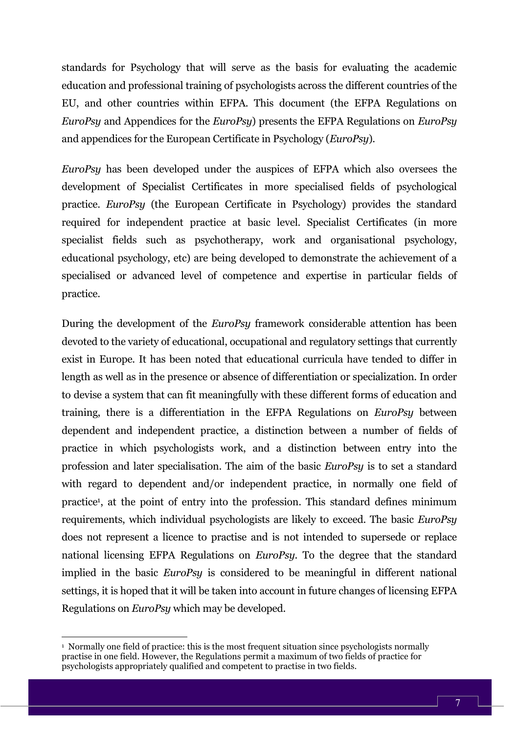standards for Psychology that will serve as the basis for evaluating the academic education and professional training of psychologists across the different countries of the EU, and other countries within EFPA. This document (the EFPA Regulations on *EuroPsy* and Appendices for the *EuroPsy*) presents the EFPA Regulations on *EuroPsy* and appendices for the European Certificate in Psychology (*EuroPsy*).

*EuroPsy* has been developed under the auspices of EFPA which also oversees the development of Specialist Certificates in more specialised fields of psychological practice. *EuroPsy* (the European Certificate in Psychology) provides the standard required for independent practice at basic level. Specialist Certificates (in more specialist fields such as psychotherapy, work and organisational psychology, educational psychology, etc) are being developed to demonstrate the achievement of a specialised or advanced level of competence and expertise in particular fields of practice.

During the development of the *EuroPsy* framework considerable attention has been devoted to the variety of educational, occupational and regulatory settings that currently exist in Europe. It has been noted that educational curricula have tended to differ in length as well as in the presence or absence of differentiation or specialization. In order to devise a system that can fit meaningfully with these different forms of education and training, there is a differentiation in the EFPA Regulations on *EuroPsy* between dependent and independent practice, a distinction between a number of fields of practice in which psychologists work, and a distinction between entry into the profession and later specialisation. The aim of the basic *EuroPsy* is to set a standard with regard to dependent and/or independent practice, in normally one field of practice<sup>1</sup> , at the point of entry into the profession. This standard defines minimum requirements, which individual psychologists are likely to exceed. The basic *EuroPsy* does not represent a licence to practise and is not intended to supersede or replace national licensing EFPA Regulations on *EuroPsy*. To the degree that the standard implied in the basic *EuroPsy* is considered to be meaningful in different national settings, it is hoped that it will be taken into account in future changes of licensing EFPA Regulations on *EuroPsy* which may be developed.

<sup>&</sup>lt;sup>1</sup> Normally one field of practice: this is the most frequent situation since psychologists normally practise in one field. However, the Regulations permit a maximum of two fields of practice for psychologists appropriately qualified and competent to practise in two fields.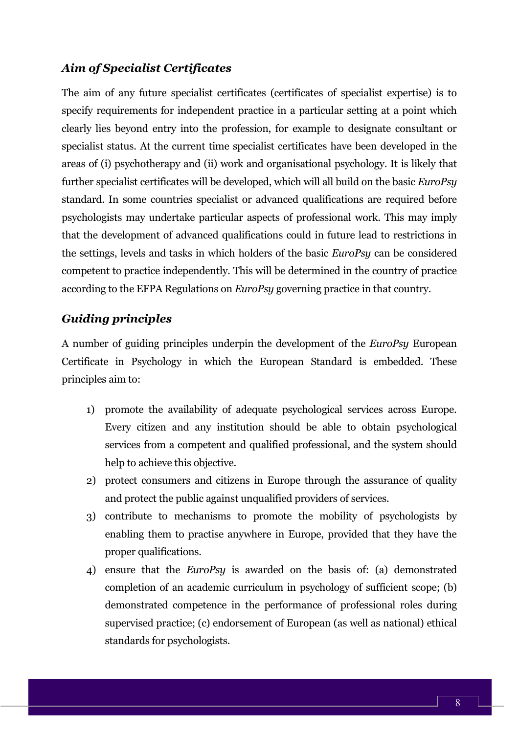#### *Aim of Specialist Certificates*

The aim of any future specialist certificates (certificates of specialist expertise) is to specify requirements for independent practice in a particular setting at a point which clearly lies beyond entry into the profession, for example to designate consultant or specialist status. At the current time specialist certificates have been developed in the areas of (i) psychotherapy and (ii) work and organisational psychology. It is likely that further specialist certificates will be developed, which will all build on the basic *EuroPsy* standard. In some countries specialist or advanced qualifications are required before psychologists may undertake particular aspects of professional work. This may imply that the development of advanced qualifications could in future lead to restrictions in the settings, levels and tasks in which holders of the basic *EuroPsy* can be considered competent to practice independently. This will be determined in the country of practice according to the EFPA Regulations on *EuroPsy* governing practice in that country.

#### *Guiding principles*

A number of guiding principles underpin the development of the *EuroPsy* European Certificate in Psychology in which the European Standard is embedded. These principles aim to:

- 1) promote the availability of adequate psychological services across Europe. Every citizen and any institution should be able to obtain psychological services from a competent and qualified professional, and the system should help to achieve this objective.
- 2) protect consumers and citizens in Europe through the assurance of quality and protect the public against unqualified providers of services.
- 3) contribute to mechanisms to promote the mobility of psychologists by enabling them to practise anywhere in Europe, provided that they have the proper qualifications.
- 4) ensure that the *EuroPsy* is awarded on the basis of: (a) demonstrated completion of an academic curriculum in psychology of sufficient scope; (b) demonstrated competence in the performance of professional roles during supervised practice; (c) endorsement of European (as well as national) ethical standards for psychologists.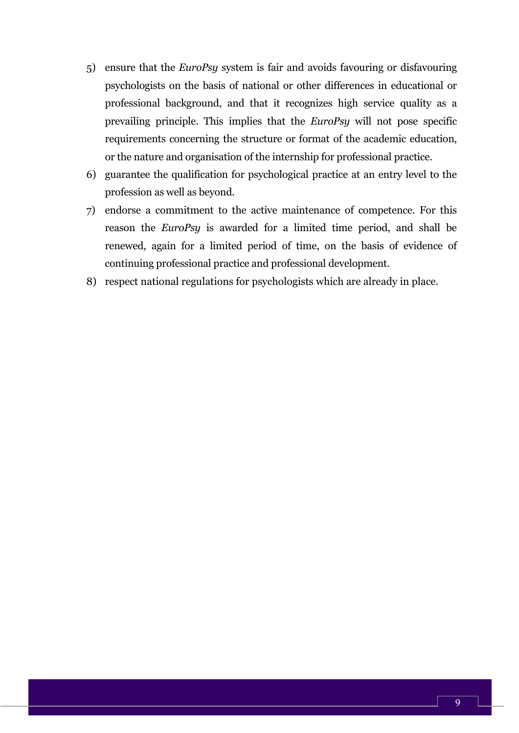- 5) ensure that the *EuroPsy* system is fair and avoids favouring or disfavouring psychologists on the basis of national or other differences in educational or professional background, and that it recognizes high service quality as a prevailing principle. This implies that the *EuroPsy* will not pose specific requirements concerning the structure or format of the academic education, or the nature and organisation of the internship for professional practice.
- 6) guarantee the qualification for psychological practice at an entry level to the profession as well as beyond.
- 7) endorse a commitment to the active maintenance of competence. For this reason the *EuroPsy* is awarded for a limited time period, and shall be renewed, again for a limited period of time, on the basis of evidence of continuing professional practice and professional development.
- 8) respect national regulations for psychologists which are already in place.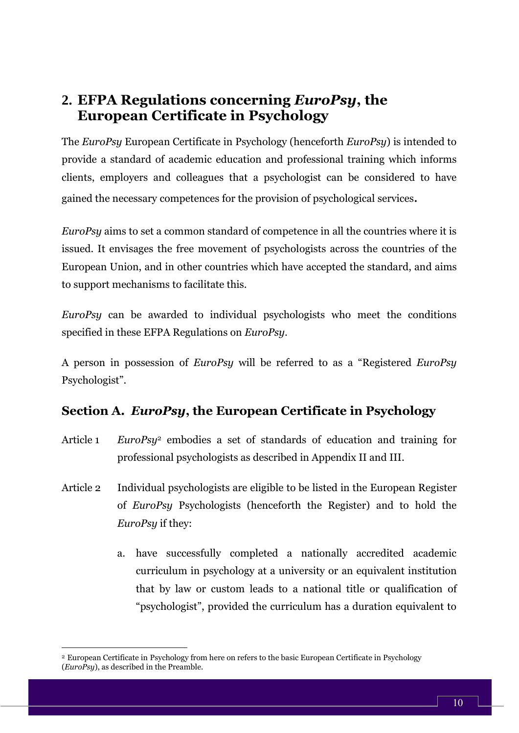# <span id="page-10-0"></span>**2. EFPA Regulations concerning** *EuroPsy***, the European Certificate in Psychology**

The *EuroPsy* European Certificate in Psychology (henceforth *EuroPsy*) is intended to provide a standard of academic education and professional training which informs clients, employers and colleagues that a psychologist can be considered to have gained the necessary competences for the provision of psychological services.

*EuroPsy* aims to set a common standard of competence in all the countries where it is issued. It envisages the free movement of psychologists across the countries of the European Union, and in other countries which have accepted the standard, and aims to support mechanisms to facilitate this.

*EuroPsy* can be awarded to individual psychologists who meet the conditions specified in these EFPA Regulations on *EuroPsy*.

A person in possession of *EuroPsy* will be referred to as a "Registered *EuroPsy* Psychologist".

### <span id="page-10-1"></span>**Section A.** *EuroPsy***, the European Certificate in Psychology**

- Article 1 *EuroPsy*<sup>2</sup> embodies a set of standards of education and training for professional psychologists as described in Appendix II and III.
- Article 2 Individual psychologists are eligible to be listed in the European Register of *EuroPsy* Psychologists (henceforth the Register) and to hold the *EuroPsy* if they:
	- a. have successfully completed a nationally accredited academic curriculum in psychology at a university or an equivalent institution that by law or custom leads to a national title or qualification of "psychologist", provided the curriculum has a duration equivalent to

<sup>2</sup> European Certificate in Psychology from here on refers to the basic European Certificate in Psychology (*EuroPsy*), as described in the Preamble.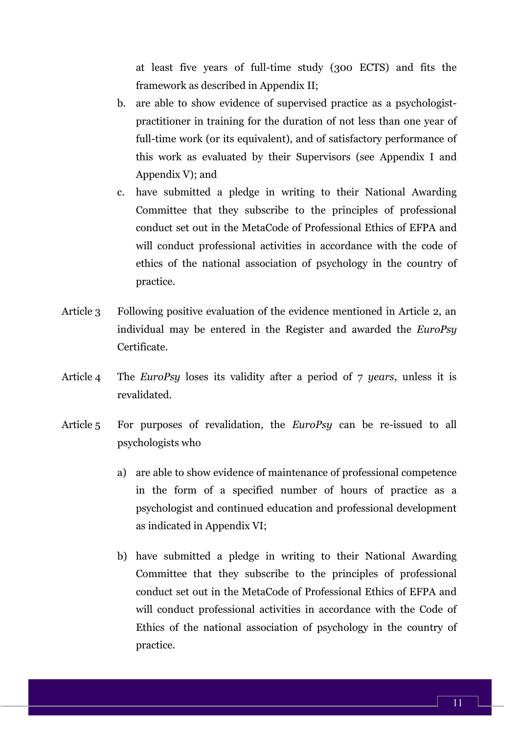at least five years of full-time study (300 ECTS) and fits the framework as described in Appendix II;

- b. are able to show evidence of supervised practice as a psychologistpractitioner in training for the duration of not less than one year of full-time work (or its equivalent), and of satisfactory performance of this work as evaluated by their Supervisors (see Appendix I and Appendix V); and
- c. have submitted a pledge in writing to their National Awarding Committee that they subscribe to the principles of professional conduct set out in the MetaCode of Professional Ethics of EFPA and will conduct professional activities in accordance with the code of ethics of the national association of psychology in the country of practice.
- Article 3 Following positive evaluation of the evidence mentioned in Article 2, an individual may be entered in the Register and awarded the *EuroPsy* Certificate.
- Article 4 The *EuroPsy* loses its validity after a period of 7 *years*, unless it is revalidated.
- Article 5 For purposes of revalidation, the *EuroPsy* can be re-issued to all psychologists who
	- a) are able to show evidence of maintenance of professional competence in the form of a specified number of hours of practice as a psychologist and continued education and professional development as indicated in Appendix VI;
	- b) have submitted a pledge in writing to their National Awarding Committee that they subscribe to the principles of professional conduct set out in the MetaCode of Professional Ethics of EFPA and will conduct professional activities in accordance with the Code of Ethics of the national association of psychology in the country of practice.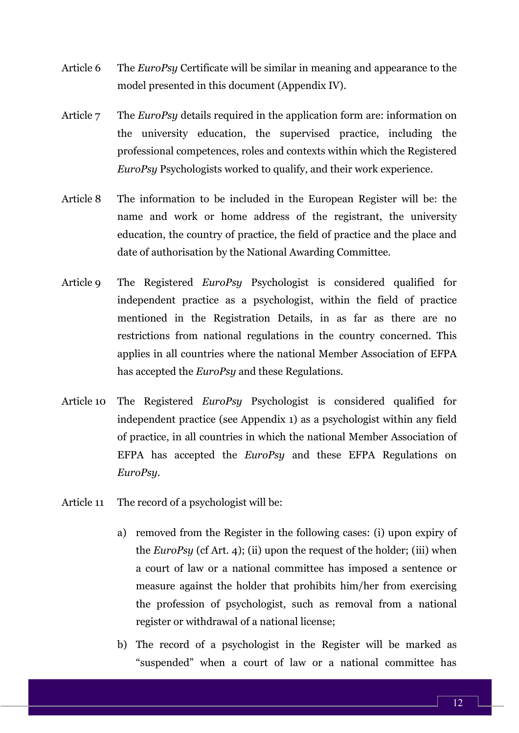- Article 6 The *EuroPsy* Certificate will be similar in meaning and appearance to the model presented in this document (Appendix IV).
- Article 7 The *EuroPsy* details required in the application form are: information on the university education, the supervised practice, including the professional competences, roles and contexts within which the Registered *EuroPsy* Psychologists worked to qualify, and their work experience.
- Article 8 The information to be included in the European Register will be: the name and work or home address of the registrant, the university education, the country of practice, the field of practice and the place and date of authorisation by the National Awarding Committee.
- Article 9 The Registered *EuroPsy* Psychologist is considered qualified for independent practice as a psychologist, within the field of practice mentioned in the Registration Details, in as far as there are no restrictions from national regulations in the country concerned. This applies in all countries where the national Member Association of EFPA has accepted the *EuroPsy* and these Regulations.
- Article 10 The Registered *EuroPsy* Psychologist is considered qualified for independent practice (see Appendix 1) as a psychologist within any field of practice, in all countries in which the national Member Association of EFPA has accepted the *EuroPsy* and these EFPA Regulations on *EuroPsy*.
- Article 11 The record of a psychologist will be:
	- a) removed from the Register in the following cases: (i) upon expiry of the *EuroPsy* (cf Art. 4); (ii) upon the request of the holder; (iii) when a court of law or a national committee has imposed a sentence or measure against the holder that prohibits him/her from exercising the profession of psychologist, such as removal from a national register or withdrawal of a national license;
	- b) The record of a psychologist in the Register will be marked as "suspended" when a court of law or a national committee has

12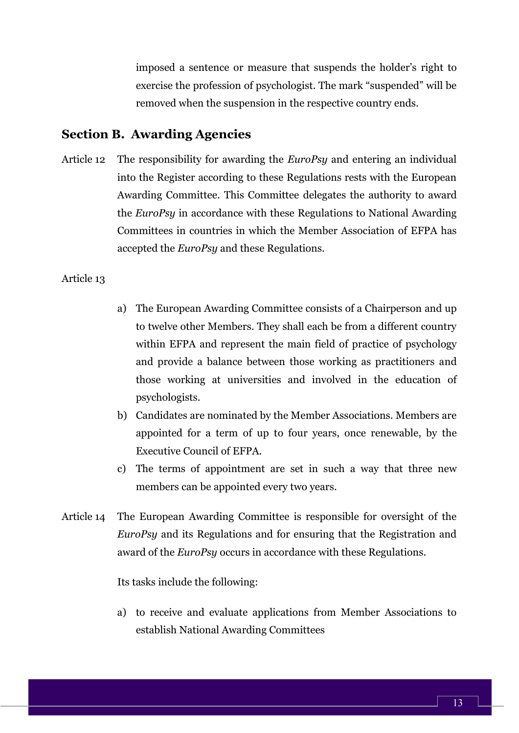imposed a sentence or measure that suspends the holder's right to exercise the profession of psychologist. The mark "suspended" will be removed when the suspension in the respective country ends.

#### <span id="page-13-0"></span>**Section B. Awarding Agencies**

Article 12 The responsibility for awarding the *EuroPsy* and entering an individual into the Register according to these Regulations rests with the European Awarding Committee. This Committee delegates the authority to award the *EuroPsy* in accordance with these Regulations to National Awarding Committees in countries in which the Member Association of EFPA has accepted the *EuroPsy* and these Regulations.

#### Article 13

- a) The European Awarding Committee consists of a Chairperson and up to twelve other Members. They shall each be from a different country within EFPA and represent the main field of practice of psychology and provide a balance between those working as practitioners and those working at universities and involved in the education of psychologists.
- b) Candidates are nominated by the Member Associations. Members are appointed for a term of up to four years, once renewable, by the Executive Council of EFPA.
- c) The terms of appointment are set in such a way that three new members can be appointed every two years.
- Article 14 The European Awarding Committee is responsible for oversight of the *EuroPsy* and its Regulations and for ensuring that the Registration and award of the *EuroPsy* occurs in accordance with these Regulations.

Its tasks include the following:

a) to receive and evaluate applications from Member Associations to establish National Awarding Committees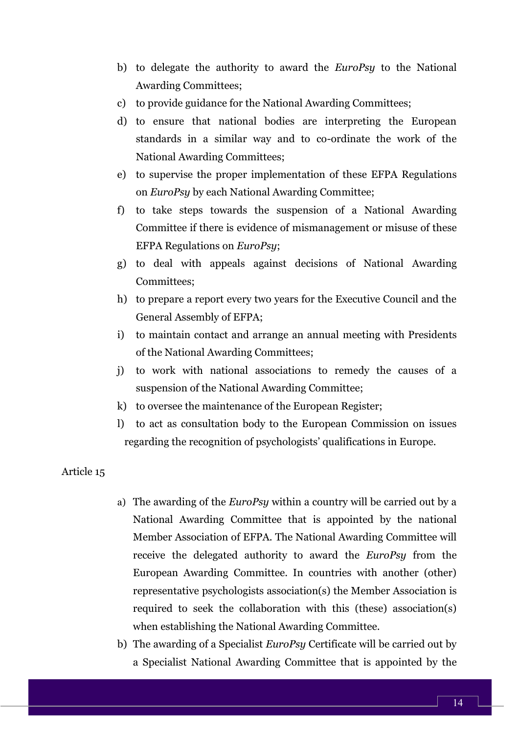- b) to delegate the authority to award the *EuroPsy* to the National Awarding Committees;
- c) to provide guidance for the National Awarding Committees;
- d) to ensure that national bodies are interpreting the European standards in a similar way and to co-ordinate the work of the National Awarding Committees;
- e) to supervise the proper implementation of these EFPA Regulations on *EuroPsy* by each National Awarding Committee;
- f) to take steps towards the suspension of a National Awarding Committee if there is evidence of mismanagement or misuse of these EFPA Regulations on *EuroPsy*;
- g) to deal with appeals against decisions of National Awarding Committees;
- h) to prepare a report every two years for the Executive Council and the General Assembly of EFPA;
- i) to maintain contact and arrange an annual meeting with Presidents of the National Awarding Committees;
- j) to work with national associations to remedy the causes of a suspension of the National Awarding Committee;
- k) to oversee the maintenance of the European Register;
- l) to act as consultation body to the European Commission on issues regarding the recognition of psychologists' qualifications in Europe.

#### Article 15

- a) The awarding of the *EuroPsy* within a country will be carried out by a National Awarding Committee that is appointed by the national Member Association of EFPA. The National Awarding Committee will receive the delegated authority to award the *EuroPsy* from the European Awarding Committee. In countries with another (other) representative psychologists association(s) the Member Association is required to seek the collaboration with this (these) association(s) when establishing the National Awarding Committee.
- b) The awarding of a Specialist *EuroPsy* Certificate will be carried out by a Specialist National Awarding Committee that is appointed by the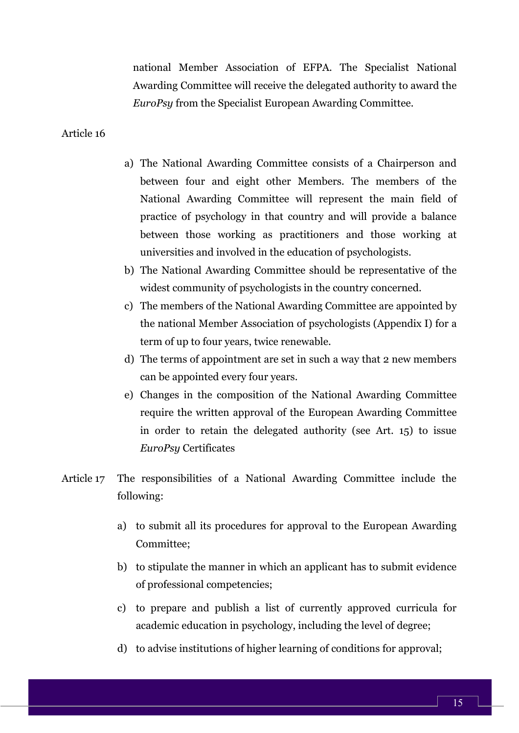national Member Association of EFPA. The Specialist National Awarding Committee will receive the delegated authority to award the *EuroPsy* from the Specialist European Awarding Committee.

Article 16

- a) The National Awarding Committee consists of a Chairperson and between four and eight other Members. The members of the National Awarding Committee will represent the main field of practice of psychology in that country and will provide a balance between those working as practitioners and those working at universities and involved in the education of psychologists.
- b) The National Awarding Committee should be representative of the widest community of psychologists in the country concerned.
- c) The members of the National Awarding Committee are appointed by the national Member Association of psychologists (Appendix I) for a term of up to four years, twice renewable.
- d) The terms of appointment are set in such a way that 2 new members can be appointed every four years.
- e) Changes in the composition of the National Awarding Committee require the written approval of the European Awarding Committee in order to retain the delegated authority (see Art. 15) to issue *EuroPsy* Certificates
- Article 17 The responsibilities of a National Awarding Committee include the following:
	- a) to submit all its procedures for approval to the European Awarding Committee;
	- b) to stipulate the manner in which an applicant has to submit evidence of professional competencies;
	- c) to prepare and publish a list of currently approved curricula for academic education in psychology, including the level of degree;
	- d) to advise institutions of higher learning of conditions for approval;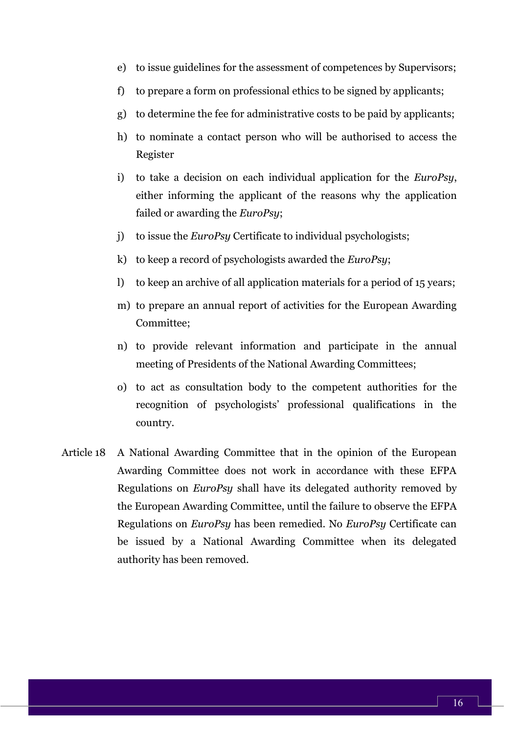- e) to issue guidelines for the assessment of competences by Supervisors;
- f) to prepare a form on professional ethics to be signed by applicants;
- g) to determine the fee for administrative costs to be paid by applicants;
- h) to nominate a contact person who will be authorised to access the Register
- i) to take a decision on each individual application for the *EuroPsy*, either informing the applicant of the reasons why the application failed or awarding the *EuroPsy*;
- j) to issue the *EuroPsy* Certificate to individual psychologists;
- k) to keep a record of psychologists awarded the *EuroPsy*;
- l) to keep an archive of all application materials for a period of 15 years;
- m) to prepare an annual report of activities for the European Awarding Committee;
- n) to provide relevant information and participate in the annual meeting of Presidents of the National Awarding Committees;
- o) to act as consultation body to the competent authorities for the recognition of psychologists' professional qualifications in the country.
- Article 18 A National Awarding Committee that in the opinion of the European Awarding Committee does not work in accordance with these EFPA Regulations on *EuroPsy* shall have its delegated authority removed by the European Awarding Committee, until the failure to observe the EFPA Regulations on *EuroPsy* has been remedied. No *EuroPsy* Certificate can be issued by a National Awarding Committee when its delegated authority has been removed.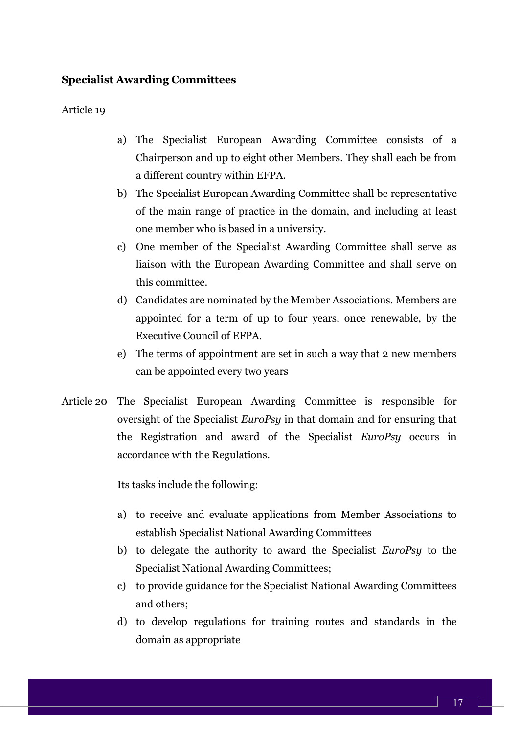#### **Specialist Awarding Committees**

#### Article 19

- a) The Specialist European Awarding Committee consists of a Chairperson and up to eight other Members. They shall each be from a different country within EFPA.
- b) The Specialist European Awarding Committee shall be representative of the main range of practice in the domain, and including at least one member who is based in a university.
- c) One member of the Specialist Awarding Committee shall serve as liaison with the European Awarding Committee and shall serve on this committee.
- d) Candidates are nominated by the Member Associations. Members are appointed for a term of up to four years, once renewable, by the Executive Council of EFPA.
- e) The terms of appointment are set in such a way that 2 new members can be appointed every two years
- Article 20 The Specialist European Awarding Committee is responsible for oversight of the Specialist *EuroPsy* in that domain and for ensuring that the Registration and award of the Specialist *EuroPsy* occurs in accordance with the Regulations.

Its tasks include the following:

- a) to receive and evaluate applications from Member Associations to establish Specialist National Awarding Committees
- b) to delegate the authority to award the Specialist *EuroPsy* to the Specialist National Awarding Committees;
- c) to provide guidance for the Specialist National Awarding Committees and others;
- d) to develop regulations for training routes and standards in the domain as appropriate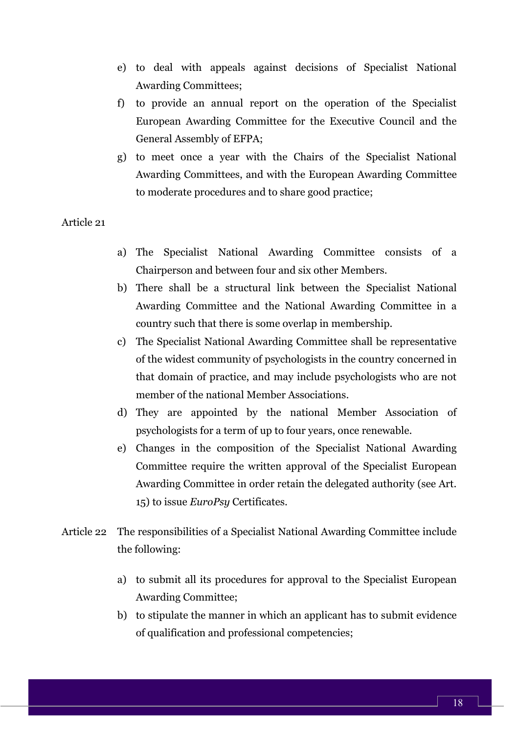- e) to deal with appeals against decisions of Specialist National Awarding Committees;
- f) to provide an annual report on the operation of the Specialist European Awarding Committee for the Executive Council and the General Assembly of EFPA;
- g) to meet once a year with the Chairs of the Specialist National Awarding Committees, and with the European Awarding Committee to moderate procedures and to share good practice;

Article 21

- a) The Specialist National Awarding Committee consists of a Chairperson and between four and six other Members.
- b) There shall be a structural link between the Specialist National Awarding Committee and the National Awarding Committee in a country such that there is some overlap in membership.
- c) The Specialist National Awarding Committee shall be representative of the widest community of psychologists in the country concerned in that domain of practice, and may include psychologists who are not member of the national Member Associations.
- d) They are appointed by the national Member Association of psychologists for a term of up to four years, once renewable.
- e) Changes in the composition of the Specialist National Awarding Committee require the written approval of the Specialist European Awarding Committee in order retain the delegated authority (see Art. 15) to issue *EuroPsy* Certificates.
- Article 22 The responsibilities of a Specialist National Awarding Committee include the following:
	- a) to submit all its procedures for approval to the Specialist European Awarding Committee;
	- b) to stipulate the manner in which an applicant has to submit evidence of qualification and professional competencies;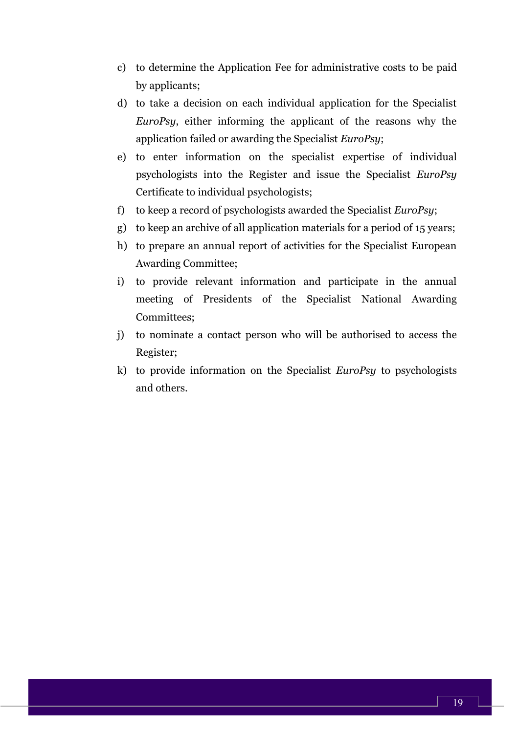- c) to determine the Application Fee for administrative costs to be paid by applicants;
- d) to take a decision on each individual application for the Specialist *EuroPsy*, either informing the applicant of the reasons why the application failed or awarding the Specialist *EuroPsy*;
- e) to enter information on the specialist expertise of individual psychologists into the Register and issue the Specialist *EuroPsy* Certificate to individual psychologists;
- f) to keep a record of psychologists awarded the Specialist *EuroPsy*;
- g) to keep an archive of all application materials for a period of 15 years;
- h) to prepare an annual report of activities for the Specialist European Awarding Committee;
- i) to provide relevant information and participate in the annual meeting of Presidents of the Specialist National Awarding Committees;
- j) to nominate a contact person who will be authorised to access the Register;
- k) to provide information on the Specialist *EuroPsy* to psychologists and others.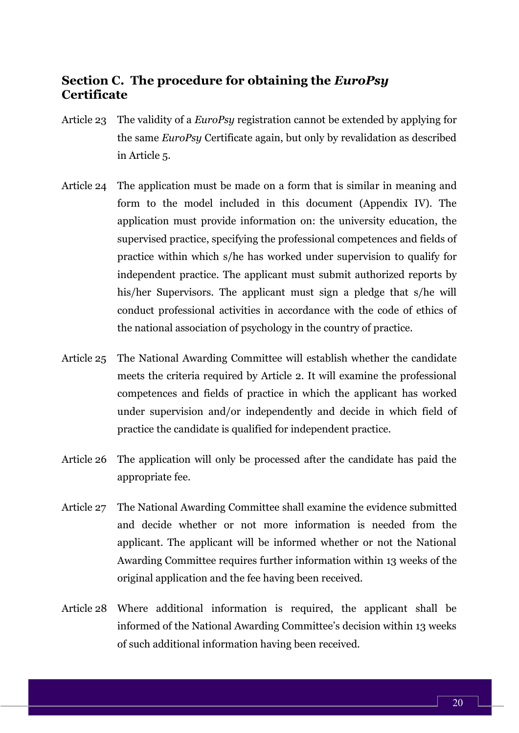#### <span id="page-20-0"></span>**Section C. The procedure for obtaining the** *EuroPsy* **Certificate**

- Article 23 The validity of a *EuroPsy* registration cannot be extended by applying for the same *EuroPsy* Certificate again, but only by revalidation as described in Article 5.
- Article 24 The application must be made on a form that is similar in meaning and form to the model included in this document (Appendix IV). The application must provide information on: the university education, the supervised practice, specifying the professional competences and fields of practice within which s/he has worked under supervision to qualify for independent practice. The applicant must submit authorized reports by his/her Supervisors. The applicant must sign a pledge that s/he will conduct professional activities in accordance with the code of ethics of the national association of psychology in the country of practice.
- Article 25 The National Awarding Committee will establish whether the candidate meets the criteria required by Article 2. It will examine the professional competences and fields of practice in which the applicant has worked under supervision and/or independently and decide in which field of practice the candidate is qualified for independent practice.
- Article 26 The application will only be processed after the candidate has paid the appropriate fee.
- Article 27 The National Awarding Committee shall examine the evidence submitted and decide whether or not more information is needed from the applicant. The applicant will be informed whether or not the National Awarding Committee requires further information within 13 weeks of the original application and the fee having been received.
- Article 28 Where additional information is required, the applicant shall be informed of the National Awarding Committee's decision within 13 weeks of such additional information having been received.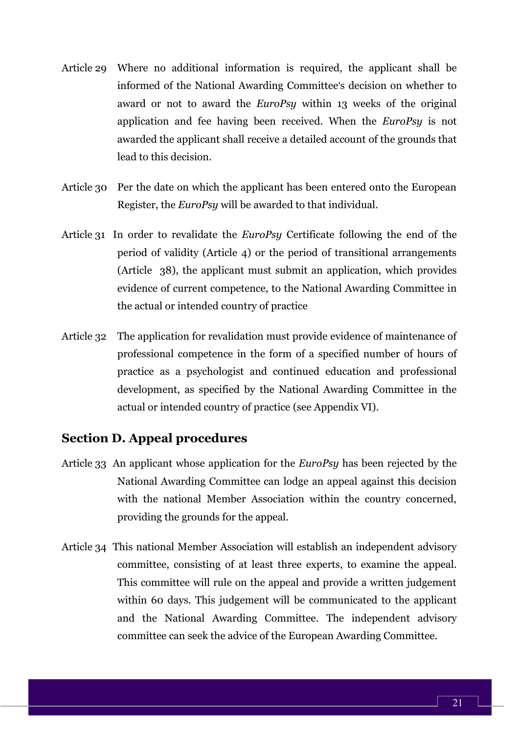- Article 29 Where no additional information is required, the applicant shall be informed of the National Awarding Committee's decision on whether to award or not to award the *EuroPsy* within 13 weeks of the original application and fee having been received. When the *EuroPsy* is not awarded the applicant shall receive a detailed account of the grounds that lead to this decision.
- Article 30 Per the date on which the applicant has been entered onto the European Register, the *EuroPsy* will be awarded to that individual.
- Article 31 In order to revalidate the *EuroPsy* Certificate following the end of the period of validity (Article 4) or the period of transitional arrangements (Article 38), the applicant must submit an application, which provides evidence of current competence, to the National Awarding Committee in the actual or intended country of practice
- Article 32 The application for revalidation must provide evidence of maintenance of professional competence in the form of a specified number of hours of practice as a psychologist and continued education and professional development, as specified by the National Awarding Committee in the actual or intended country of practice (see Appendix VI).

#### <span id="page-21-0"></span>**Section D. Appeal procedures**

- Article 33 An applicant whose application for the *EuroPsy* has been rejected by the National Awarding Committee can lodge an appeal against this decision with the national Member Association within the country concerned, providing the grounds for the appeal.
- Article 34 This national Member Association will establish an independent advisory committee, consisting of at least three experts, to examine the appeal. This committee will rule on the appeal and provide a written judgement within 60 days. This judgement will be communicated to the applicant and the National Awarding Committee. The independent advisory committee can seek the advice of the European Awarding Committee.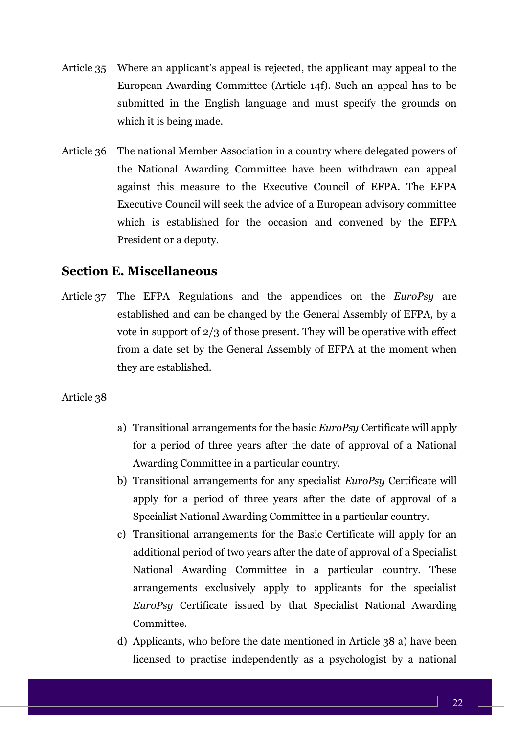- Article 35 Where an applicant's appeal is rejected, the applicant may appeal to the European Awarding Committee (Article 14f). Such an appeal has to be submitted in the English language and must specify the grounds on which it is being made.
- Article 36 The national Member Association in a country where delegated powers of the National Awarding Committee have been withdrawn can appeal against this measure to the Executive Council of EFPA. The EFPA Executive Council will seek the advice of a European advisory committee which is established for the occasion and convened by the EFPA President or a deputy.

#### <span id="page-22-0"></span>**Section E. Miscellaneous**

Article 37 The EFPA Regulations and the appendices on the *EuroPsy* are established and can be changed by the General Assembly of EFPA, by a vote in support of 2/3 of those present. They will be operative with effect from a date set by the General Assembly of EFPA at the moment when they are established.

#### Article 38

- a) Transitional arrangements for the basic *EuroPsy* Certificate will apply for a period of three years after the date of approval of a National Awarding Committee in a particular country.
- b) Transitional arrangements for any specialist *EuroPsy* Certificate will apply for a period of three years after the date of approval of a Specialist National Awarding Committee in a particular country.
- c) Transitional arrangements for the Basic Certificate will apply for an additional period of two years after the date of approval of a Specialist National Awarding Committee in a particular country. These arrangements exclusively apply to applicants for the specialist *EuroPsy* Certificate issued by that Specialist National Awarding Committee.
- d) Applicants, who before the date mentioned in Article 38 a) have been licensed to practise independently as a psychologist by a national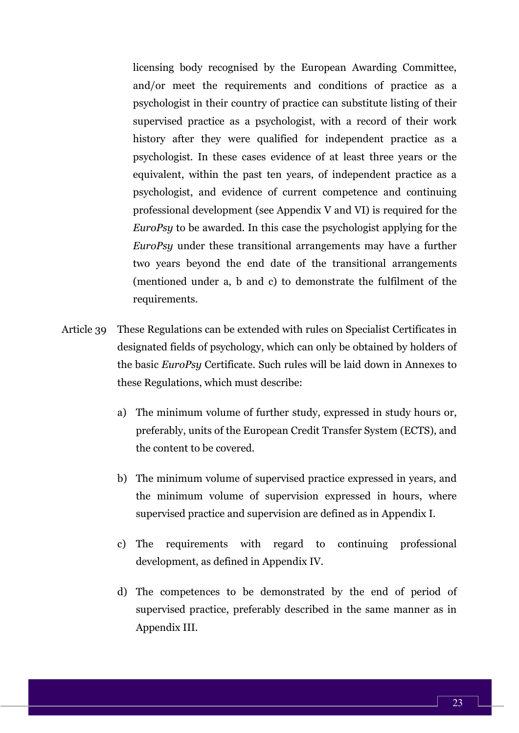licensing body recognised by the European Awarding Committee, and/or meet the requirements and conditions of practice as a psychologist in their country of practice can substitute listing of their supervised practice as a psychologist, with a record of their work history after they were qualified for independent practice as a psychologist. In these cases evidence of at least three years or the equivalent, within the past ten years, of independent practice as a psychologist, and evidence of current competence and continuing professional development (see Appendix V and VI) is required for the *EuroPsy* to be awarded. In this case the psychologist applying for the *EuroPsy* under these transitional arrangements may have a further two years beyond the end date of the transitional arrangements (mentioned under a, b and c) to demonstrate the fulfilment of the requirements.

- Article 39 These Regulations can be extended with rules on Specialist Certificates in designated fields of psychology, which can only be obtained by holders of the basic *EuroPsy* Certificate. Such rules will be laid down in Annexes to these Regulations, which must describe:
	- a) The minimum volume of further study, expressed in study hours or, preferably, units of the European Credit Transfer System (ECTS), and the content to be covered.
	- b) The minimum volume of supervised practice expressed in years, and the minimum volume of supervision expressed in hours, where supervised practice and supervision are defined as in Appendix I.
	- c) The requirements with regard to continuing professional development, as defined in Appendix IV.
	- d) The competences to be demonstrated by the end of period of supervised practice, preferably described in the same manner as in Appendix III.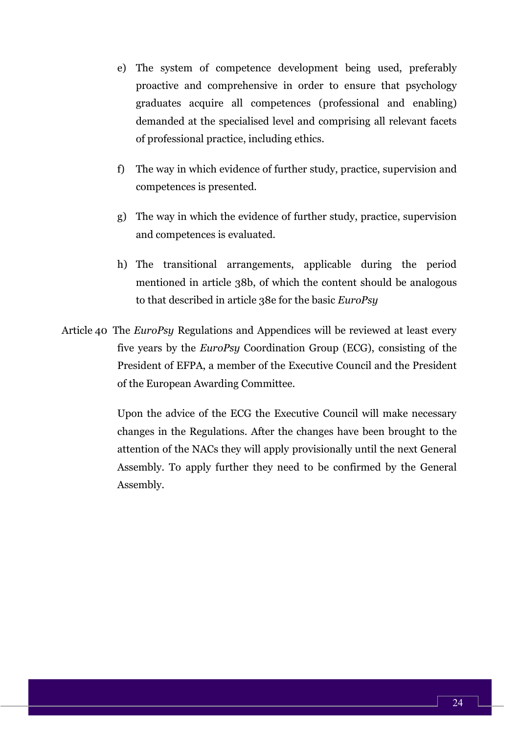- e) The system of competence development being used, preferably proactive and comprehensive in order to ensure that psychology graduates acquire all competences (professional and enabling) demanded at the specialised level and comprising all relevant facets of professional practice, including ethics.
- f) The way in which evidence of further study, practice, supervision and competences is presented.
- g) The way in which the evidence of further study, practice, supervision and competences is evaluated.
- h) The transitional arrangements, applicable during the period mentioned in article 38b, of which the content should be analogous to that described in article 38e for the basic *EuroPsy*
- Article 40 The *EuroPsy* Regulations and Appendices will be reviewed at least every five years by the *EuroPsy* Coordination Group (ECG), consisting of the President of EFPA, a member of the Executive Council and the President of the European Awarding Committee.

<span id="page-24-0"></span>Upon the advice of the ECG the Executive Council will make necessary changes in the Regulations. After the changes have been brought to the attention of the NACs they will apply provisionally until the next General Assembly. To apply further they need to be confirmed by the General Assembly.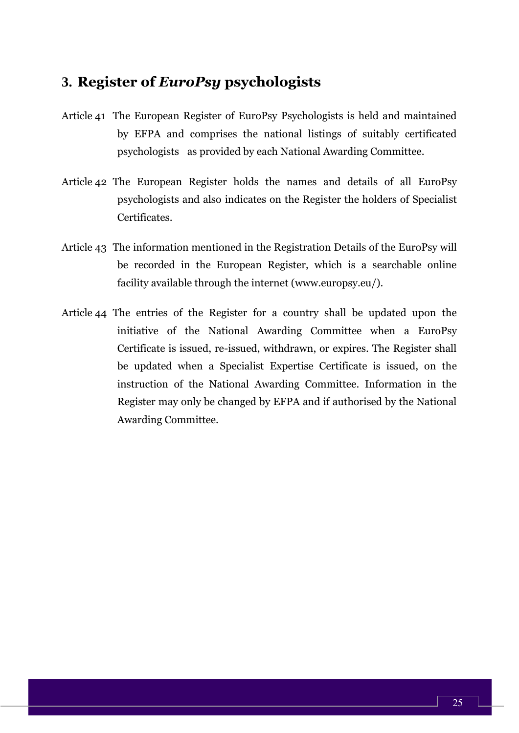### **3. Register of** *EuroPsy* **psychologists**

- Article 41 The European Register of EuroPsy Psychologists is held and maintained by EFPA and comprises the national listings of suitably certificated psychologists as provided by each National Awarding Committee.
- Article 42 The European Register holds the names and details of all EuroPsy psychologists and also indicates on the Register the holders of Specialist Certificates.
- Article 43 The information mentioned in the Registration Details of the EuroPsy will be recorded in the European Register, which is a searchable online facility available through the internet (www.europsy.eu/).
- Article 44 The entries of the Register for a country shall be updated upon the initiative of the National Awarding Committee when a EuroPsy Certificate is issued, re-issued, withdrawn, or expires. The Register shall be updated when a Specialist Expertise Certificate is issued, on the instruction of the National Awarding Committee. Information in the Register may only be changed by EFPA and if authorised by the National Awarding Committee.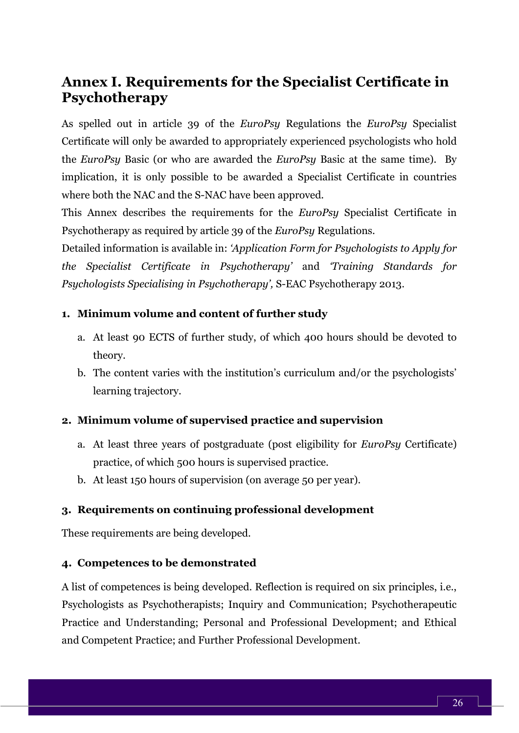# <span id="page-26-0"></span>**Annex I. Requirements for the Specialist Certificate in Psychotherapy**

As spelled out in article 39 of the *EuroPsy* Regulations the *EuroPsy* Specialist Certificate will only be awarded to appropriately experienced psychologists who hold the *EuroPsy* Basic (or who are awarded the *EuroPsy* Basic at the same time). By implication, it is only possible to be awarded a Specialist Certificate in countries where both the NAC and the S-NAC have been approved.

This Annex describes the requirements for the *EuroPsy* Specialist Certificate in Psychotherapy as required by article 39 of the *EuroPsy* Regulations.

Detailed information is available in: *'Application Form for Psychologists to Apply for the Specialist Certificate in Psychotherapy'* and *'Training Standards for Psychologists Specialising in Psychotherapy',* S-EAC Psychotherapy 2013.

#### **1. Minimum volume and content of further study**

- a. At least 90 ECTS of further study, of which 400 hours should be devoted to theory.
- b. The content varies with the institution's curriculum and/or the psychologists' learning trajectory.

#### **2. Minimum volume of supervised practice and supervision**

- a. At least three years of postgraduate (post eligibility for *EuroPsy* Certificate) practice, of which 500 hours is supervised practice.
- b. At least 150 hours of supervision (on average 50 per year).

#### **3. Requirements on continuing professional development**

These requirements are being developed.

#### **4. Competences to be demonstrated**

A list of competences is being developed. Reflection is required on six principles, i.e., Psychologists as Psychotherapists; Inquiry and Communication; Psychotherapeutic Practice and Understanding; Personal and Professional Development; and Ethical and Competent Practice; and Further Professional Development.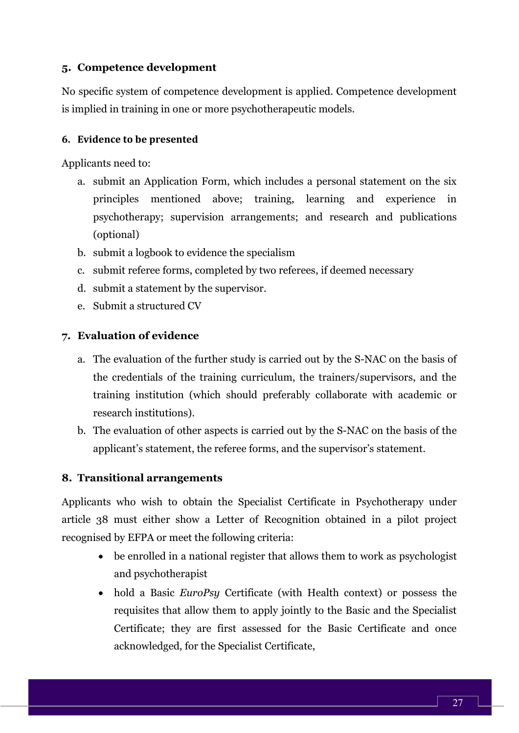#### **5. Competence development**

No specific system of competence development is applied. Competence development is implied in training in one or more psychotherapeutic models.

#### **6. Evidence to be presented**

Applicants need to:

- a. submit an Application Form, which includes a personal statement on the six principles mentioned above; training, learning and experience in psychotherapy; supervision arrangements; and research and publications (optional)
- b. submit a logbook to evidence the specialism
- c. submit referee forms, completed by two referees, if deemed necessary
- d. submit a statement by the supervisor.
- e. Submit a structured CV

#### **7. Evaluation of evidence**

- a. The evaluation of the further study is carried out by the S-NAC on the basis of the credentials of the training curriculum, the trainers/supervisors, and the training institution (which should preferably collaborate with academic or research institutions).
- b. The evaluation of other aspects is carried out by the S-NAC on the basis of the applicant's statement, the referee forms, and the supervisor's statement.

#### **8. Transitional arrangements**

Applicants who wish to obtain the Specialist Certificate in Psychotherapy under article 38 must either show a Letter of Recognition obtained in a pilot project recognised by EFPA or meet the following criteria:

- be enrolled in a national register that allows them to work as psychologist and psychotherapist
- hold a Basic *EuroPsy* Certificate (with Health context) or possess the requisites that allow them to apply jointly to the Basic and the Specialist Certificate; they are first assessed for the Basic Certificate and once acknowledged, for the Specialist Certificate,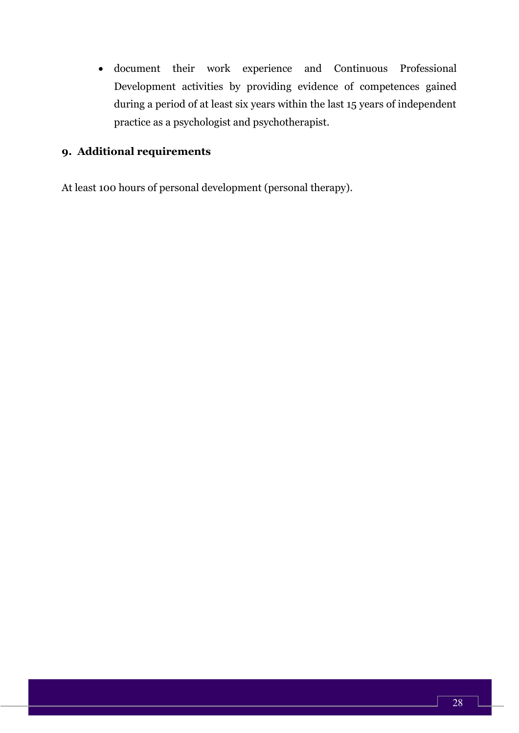• document their work experience and Continuous Professional Development activities by providing evidence of competences gained during a period of at least six years within the last 15 years of independent practice as a psychologist and psychotherapist.

#### **9. Additional requirements**

At least 100 hours of personal development (personal therapy).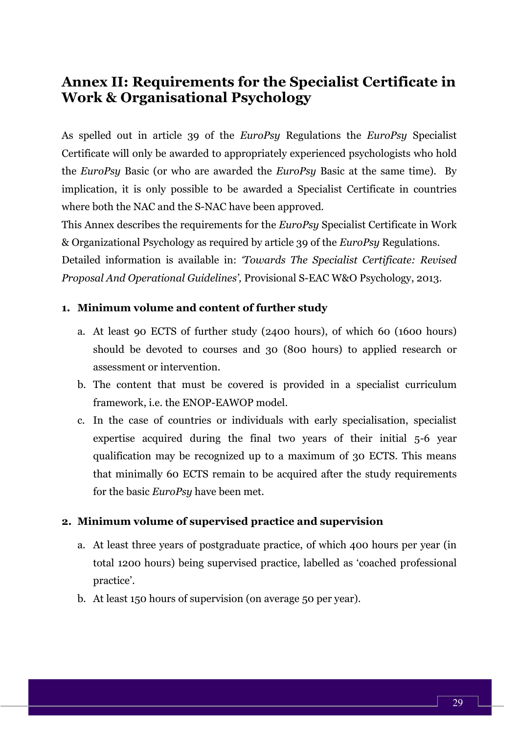# **Annex II: Requirements for the Specialist Certificate in Work & Organisational Psychology**

As spelled out in article 39 of the *EuroPsy* Regulations the *EuroPsy* Specialist Certificate will only be awarded to appropriately experienced psychologists who hold the *EuroPsy* Basic (or who are awarded the *EuroPsy* Basic at the same time). By implication, it is only possible to be awarded a Specialist Certificate in countries where both the NAC and the S-NAC have been approved.

This Annex describes the requirements for the *EuroPsy* Specialist Certificate in Work & Organizational Psychology as required by article 39 of the *EuroPsy* Regulations. Detailed information is available in: *'Towards The Specialist Certificate: Revised Proposal And Operational Guidelines',* Provisional S-EAC W&O Psychology, 2013.

#### **1. Minimum volume and content of further study**

- a. At least 90 ECTS of further study (2400 hours), of which 60 (1600 hours) should be devoted to courses and 30 (800 hours) to applied research or assessment or intervention.
- b. The content that must be covered is provided in a specialist curriculum framework, i.e. the ENOP-EAWOP model.
- c. In the case of countries or individuals with early specialisation, specialist expertise acquired during the final two years of their initial 5-6 year qualification may be recognized up to a maximum of 30 ECTS. This means that minimally 60 ECTS remain to be acquired after the study requirements for the basic *EuroPsy* have been met.

#### **2. Minimum volume of supervised practice and supervision**

- a. At least three years of postgraduate practice, of which 400 hours per year (in total 1200 hours) being supervised practice, labelled as 'coached professional practice'.
- b. At least 150 hours of supervision (on average 50 per year).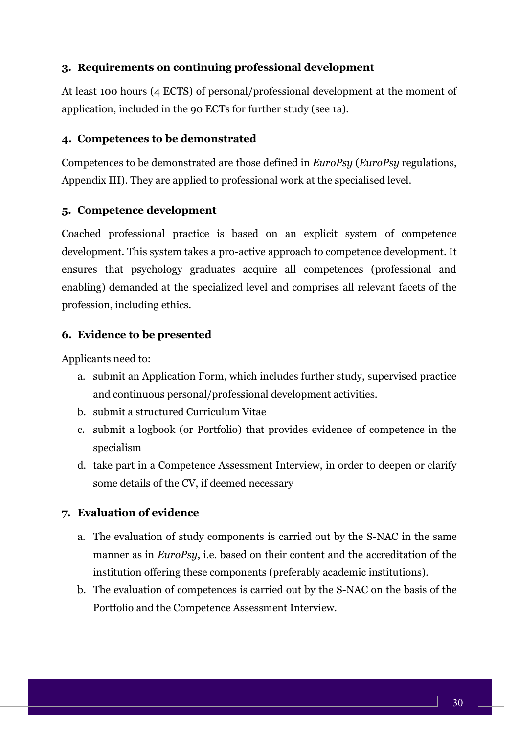#### **3. Requirements on continuing professional development**

At least 100 hours (4 ECTS) of personal/professional development at the moment of application, included in the 90 ECTs for further study (see 1a).

#### **4. Competences to be demonstrated**

Competences to be demonstrated are those defined in *EuroPsy* (*EuroPsy* regulations, Appendix III). They are applied to professional work at the specialised level.

#### **5. Competence development**

Coached professional practice is based on an explicit system of competence development. This system takes a pro-active approach to competence development. It ensures that psychology graduates acquire all competences (professional and enabling) demanded at the specialized level and comprises all relevant facets of the profession, including ethics.

#### **6. Evidence to be presented**

Applicants need to:

- a. submit an Application Form, which includes further study, supervised practice and continuous personal/professional development activities.
- b. submit a structured Curriculum Vitae
- c. submit a logbook (or Portfolio) that provides evidence of competence in the specialism
- d. take part in a Competence Assessment Interview, in order to deepen or clarify some details of the CV, if deemed necessary

#### **7. Evaluation of evidence**

- a. The evaluation of study components is carried out by the S-NAC in the same manner as in *EuroPsy*, i.e. based on their content and the accreditation of the institution offering these components (preferably academic institutions).
- b. The evaluation of competences is carried out by the S-NAC on the basis of the Portfolio and the Competence Assessment Interview.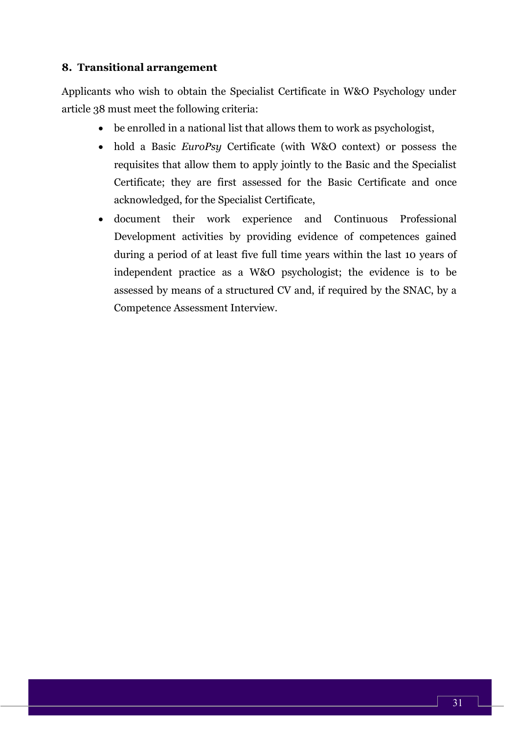#### **8. Transitional arrangement**

Applicants who wish to obtain the Specialist Certificate in W&O Psychology under article 38 must meet the following criteria:

- be enrolled in a national list that allows them to work as psychologist,
- hold a Basic *EuroPsy* Certificate (with W&O context) or possess the requisites that allow them to apply jointly to the Basic and the Specialist Certificate; they are first assessed for the Basic Certificate and once acknowledged, for the Specialist Certificate,
- document their work experience and Continuous Professional Development activities by providing evidence of competences gained during a period of at least five full time years within the last 10 years of independent practice as a W&O psychologist; the evidence is to be assessed by means of a structured CV and, if required by the SNAC, by a Competence Assessment Interview.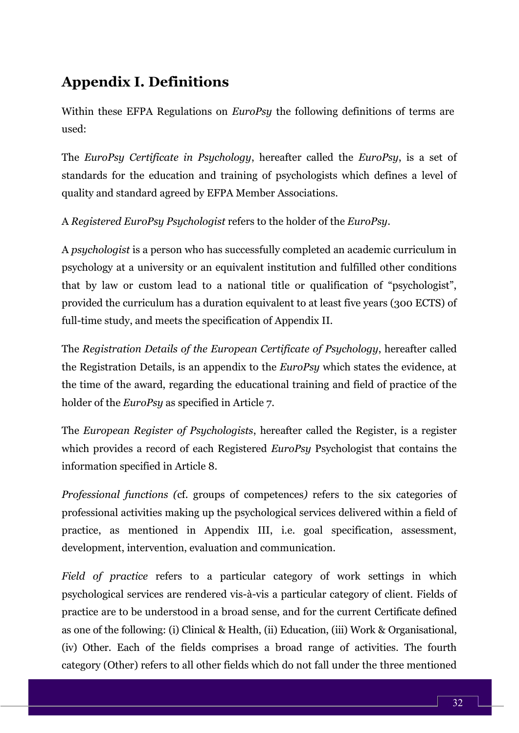# **Appendix I. Definitions**

Within these EFPA Regulations on *EuroPsy* the following definitions of terms are used:

The *EuroPsy Certificate in Psychology*, hereafter called the *EuroPsy*, is a set of standards for the education and training of psychologists which defines a level of quality and standard agreed by EFPA Member Associations.

A *Registered EuroPsy Psychologist* refers to the holder of the *EuroPsy*.

A *psychologist* is a person who has successfully completed an academic curriculum in psychology at a university or an equivalent institution and fulfilled other conditions that by law or custom lead to a national title or qualification of "psychologist", provided the curriculum has a duration equivalent to at least five years (300 ECTS) of full-time study, and meets the specification of Appendix II.

The *Registration Details of the European Certificate of Psychology*, hereafter called the Registration Details, is an appendix to the *EuroPsy* which states the evidence, at the time of the award, regarding the educational training and field of practice of the holder of the *EuroPsy* as specified in Article 7.

The *European Register of Psychologists*, hereafter called the Register, is a register which provides a record of each Registered *EuroPsy* Psychologist that contains the information specified in Article 8.

*Professional functions (*cf. groups of competences*)* refers to the six categories of professional activities making up the psychological services delivered within a field of practice, as mentioned in Appendix III, i.e. goal specification, assessment, development, intervention, evaluation and communication.

*Field of practice* refers to a particular category of work settings in which psychological services are rendered vis-à-vis a particular category of client. Fields of practice are to be understood in a broad sense, and for the current Certificate defined as one of the following: (i) Clinical & Health, (ii) Education, (iii) Work & Organisational, (iv) Other. Each of the fields comprises a broad range of activities. The fourth category (Other) refers to all other fields which do not fall under the three mentioned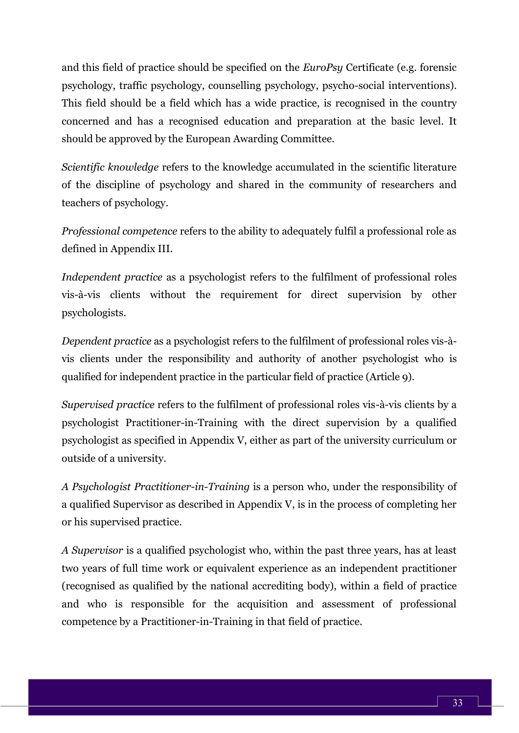and this field of practice should be specified on the *EuroPsy* Certificate (e.g. forensic psychology, traffic psychology, counselling psychology, psycho-social interventions). This field should be a field which has a wide practice, is recognised in the country concerned and has a recognised education and preparation at the basic level. It should be approved by the European Awarding Committee.

*Scientific knowledge* refers to the knowledge accumulated in the scientific literature of the discipline of psychology and shared in the community of researchers and teachers of psychology.

*Professional competence* refers to the ability to adequately fulfil a professional role as defined in Appendix III.

*Independent practice* as a psychologist refers to the fulfilment of professional roles vis-à-vis clients without the requirement for direct supervision by other psychologists.

*Dependent practice* as a psychologist refers to the fulfilment of professional roles vis-àvis clients under the responsibility and authority of another psychologist who is qualified for independent practice in the particular field of practice (Article 9).

*Supervised practice* refers to the fulfilment of professional roles vis-à-vis clients by a psychologist Practitioner-in-Training with the direct supervision by a qualified psychologist as specified in Appendix V, either as part of the university curriculum or outside of a university.

*A Psychologist Practitioner-in-Training* is a person who, under the responsibility of a qualified Supervisor as described in Appendix V, is in the process of completing her or his supervised practice.

*A Supervisor* is a qualified psychologist who, within the past three years, has at least two years of full time work or equivalent experience as an independent practitioner (recognised as qualified by the national accrediting body), within a field of practice and who is responsible for the acquisition and assessment of professional competence by a Practitioner-in-Training in that field of practice.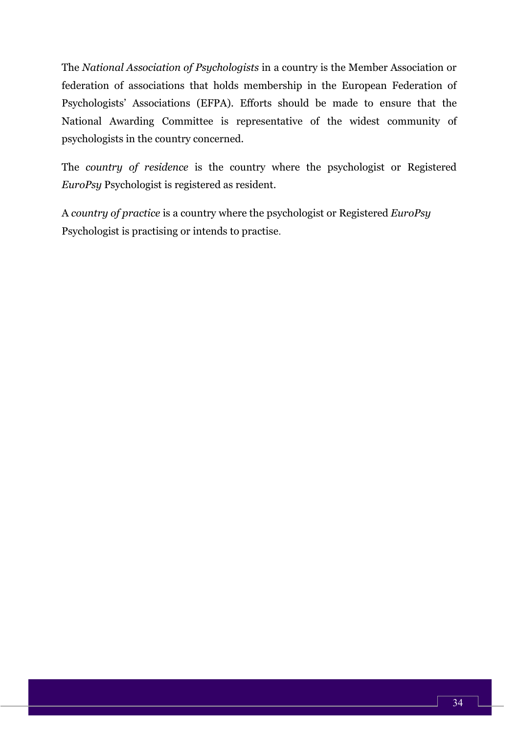The *National Association of Psychologists* in a country is the Member Association or federation of associations that holds membership in the European Federation of Psychologists' Associations (EFPA). Efforts should be made to ensure that the National Awarding Committee is representative of the widest community of psychologists in the country concerned.

The *country of residence* is the country where the psychologist or Registered *EuroPsy* Psychologist is registered as resident.

A *country of practice* is a country where the psychologist or Registered *EuroPsy* Psychologist is practising or intends to practise.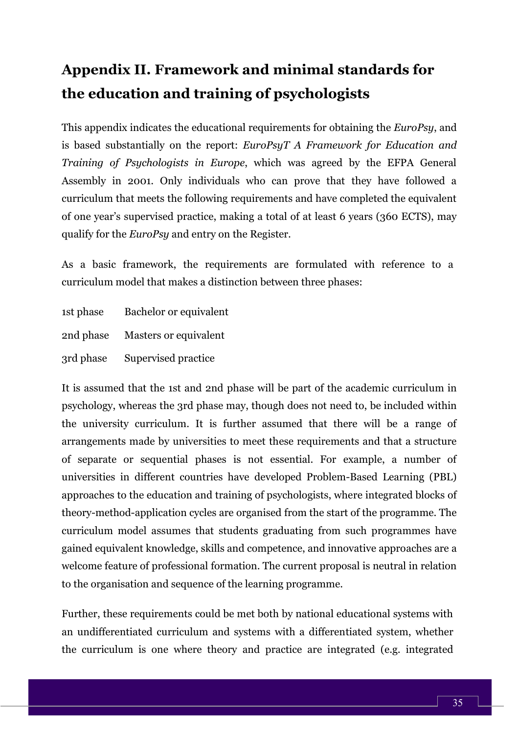# <span id="page-35-0"></span>**Appendix II. Framework and minimal standards for the education and training of psychologists**

This appendix indicates the educational requirements for obtaining the *EuroPsy*, and is based substantially on the report: *EuroPsyT A Framework for Education and Training of Psychologists in Europe*, which was agreed by the EFPA General Assembly in 2001. Only individuals who can prove that they have followed a curriculum that meets the following requirements and have completed the equivalent of one year's supervised practice, making a total of at least 6 years (360 ECTS), may qualify for the *EuroPsy* and entry on the Register.

As a basic framework, the requirements are formulated with reference to a curriculum model that makes a distinction between three phases:

| 1st phase | Bachelor or equivalent       |
|-----------|------------------------------|
| 2nd phase | <b>Masters or equivalent</b> |
| 3rd phase | Supervised practice          |

It is assumed that the 1st and 2nd phase will be part of the academic curriculum in psychology, whereas the 3rd phase may, though does not need to, be included within the university curriculum. It is further assumed that there will be a range of arrangements made by universities to meet these requirements and that a structure of separate or sequential phases is not essential. For example, a number of universities in different countries have developed Problem-Based Learning (PBL) approaches to the education and training of psychologists, where integrated blocks of theory-method-application cycles are organised from the start of the programme. The curriculum model assumes that students graduating from such programmes have gained equivalent knowledge, skills and competence, and innovative approaches are a welcome feature of professional formation. The current proposal is neutral in relation to the organisation and sequence of the learning programme.

Further, these requirements could be met both by national educational systems with an undifferentiated curriculum and systems with a differentiated system, whether the curriculum is one where theory and practice are integrated (e.g. integrated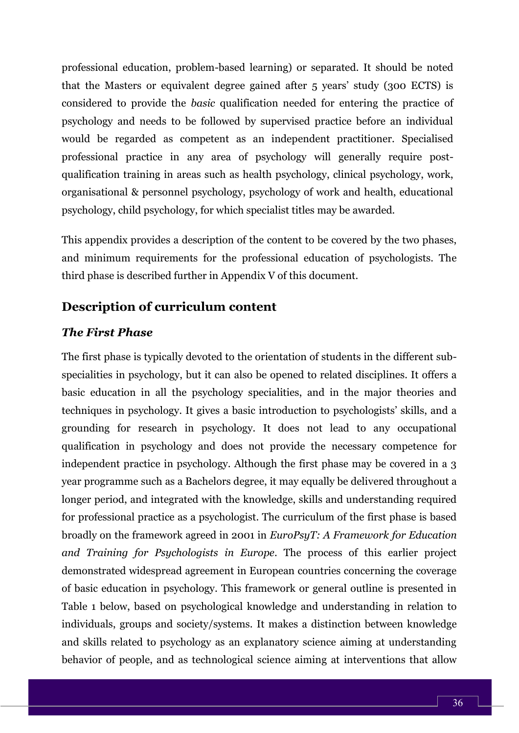professional education, problem-based learning) or separated. It should be noted that the Masters or equivalent degree gained after 5 years' study (300 ECTS) is considered to provide the *basic* qualification needed for entering the practice of psychology and needs to be followed by supervised practice before an individual would be regarded as competent as an independent practitioner. Specialised professional practice in any area of psychology will generally require postqualification training in areas such as health psychology, clinical psychology, work, organisational & personnel psychology, psychology of work and health, educational psychology, child psychology, for which specialist titles may be awarded.

This appendix provides a description of the content to be covered by the two phases, and minimum requirements for the professional education of psychologists. The third phase is described further in Appendix V of this document.

## **Description of curriculum content**

#### *The First Phase*

The first phase is typically devoted to the orientation of students in the different subspecialities in psychology, but it can also be opened to related disciplines. It offers a basic education in all the psychology specialities, and in the major theories and techniques in psychology. It gives a basic introduction to psychologists' skills, and a grounding for research in psychology. It does not lead to any occupational qualification in psychology and does not provide the necessary competence for independent practice in psychology. Although the first phase may be covered in a 3 year programme such as a Bachelors degree, it may equally be delivered throughout a longer period, and integrated with the knowledge, skills and understanding required for professional practice as a psychologist. The curriculum of the first phase is based broadly on the framework agreed in 2001 in *EuroPsyT: A Framework for Education and Training for Psychologists in Europe*. The process of this earlier project demonstrated widespread agreement in European countries concerning the coverage of basic education in psychology. This framework or general outline is presented in Table 1 below, based on psychological knowledge and understanding in relation to individuals, groups and society/systems. It makes a distinction between knowledge and skills related to psychology as an explanatory science aiming at understanding behavior of people, and as technological science aiming at interventions that allow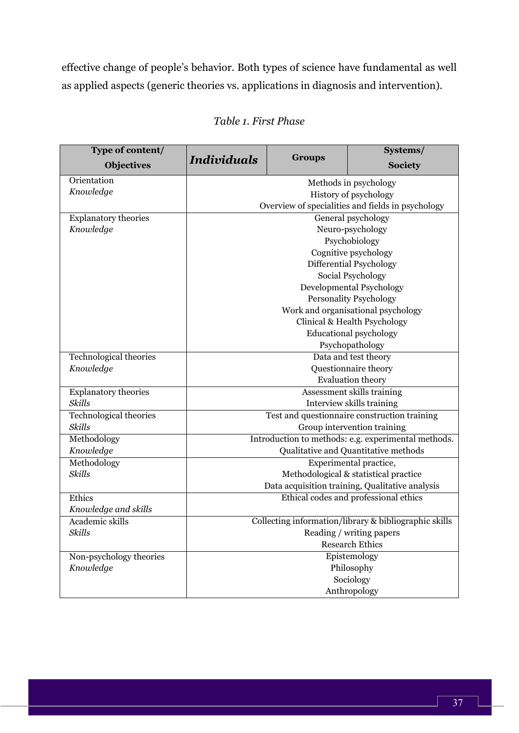effective change of people's behavior. Both types of science have fundamental as well as applied aspects (generic theories vs. applications in diagnosis and intervention).

| Type of content<br><b>Objectives</b> | <b>Individuals</b>                                    | <b>Groups</b>        | $5$ ystems $/$<br><b>Society</b>                  |  |
|--------------------------------------|-------------------------------------------------------|----------------------|---------------------------------------------------|--|
| Orientation                          | Methods in psychology                                 |                      |                                                   |  |
| Knowledge                            | History of psychology                                 |                      |                                                   |  |
|                                      |                                                       |                      | Overview of specialities and fields in psychology |  |
| <b>Explanatory theories</b>          |                                                       |                      | General psychology                                |  |
| Knowledge                            |                                                       |                      | Neuro-psychology                                  |  |
|                                      |                                                       |                      | Psychobiology                                     |  |
|                                      |                                                       |                      | Cognitive psychology                              |  |
|                                      |                                                       |                      | Differential Psychology                           |  |
|                                      |                                                       |                      | Social Psychology                                 |  |
|                                      |                                                       |                      | Developmental Psychology                          |  |
|                                      |                                                       |                      | <b>Personality Psychology</b>                     |  |
|                                      |                                                       |                      | Work and organisational psychology                |  |
|                                      |                                                       |                      | Clinical & Health Psychology                      |  |
|                                      |                                                       |                      | <b>Educational psychology</b>                     |  |
|                                      |                                                       |                      | Psychopathology                                   |  |
| <b>Technological theories</b>        | Data and test theory                                  |                      |                                                   |  |
| Knowledge                            |                                                       | Questionnaire theory |                                                   |  |
|                                      |                                                       |                      | <b>Evaluation theory</b>                          |  |
| <b>Explanatory theories</b>          |                                                       |                      | Assessment skills training                        |  |
| <b>Skills</b>                        |                                                       |                      | Interview skills training                         |  |
| <b>Technological theories</b>        |                                                       |                      | Test and questionnaire construction training      |  |
| Skills                               | Group intervention training                           |                      |                                                   |  |
| Methodology                          | Introduction to methods: e.g. experimental methods.   |                      |                                                   |  |
| Knowledge                            |                                                       |                      | Qualitative and Quantitative methods              |  |
| Methodology                          |                                                       |                      | Experimental practice,                            |  |
| <b>Skills</b>                        |                                                       |                      | Methodological & statistical practice             |  |
|                                      |                                                       |                      | Data acquisition training, Qualitative analysis   |  |
| Ethics                               | Ethical codes and professional ethics                 |                      |                                                   |  |
| Knowledge and skills                 |                                                       |                      |                                                   |  |
| Academic skills                      | Collecting information/library & bibliographic skills |                      |                                                   |  |
| <b>Skills</b>                        | Reading / writing papers                              |                      |                                                   |  |
|                                      | <b>Research Ethics</b>                                |                      |                                                   |  |
| Non-psychology theories              | Epistemology                                          |                      |                                                   |  |
| Knowledge                            | Philosophy                                            |                      |                                                   |  |
|                                      | Sociology                                             |                      |                                                   |  |
|                                      | Anthropology                                          |                      |                                                   |  |

## *Table 1. First Phase*

**Systems/**

٦

and the

**Type of content/**

┓

Г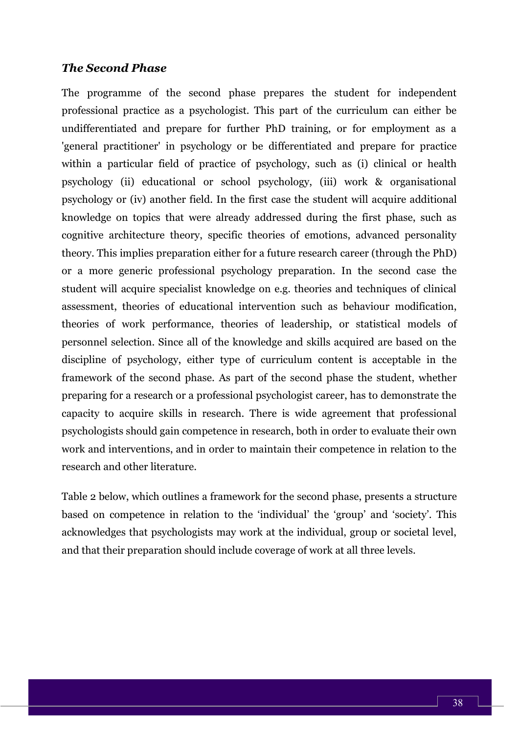#### *The Second Phase*

The programme of the second phase prepares the student for independent professional practice as a psychologist. This part of the curriculum can either be undifferentiated and prepare for further PhD training, or for employment as a 'general practitioner' in psychology or be differentiated and prepare for practice within a particular field of practice of psychology, such as (i) clinical or health psychology (ii) educational or school psychology, (iii) work & organisational psychology or (iv) another field. In the first case the student will acquire additional knowledge on topics that were already addressed during the first phase, such as cognitive architecture theory, specific theories of emotions, advanced personality theory. This implies preparation either for a future research career (through the PhD) or a more generic professional psychology preparation. In the second case the student will acquire specialist knowledge on e.g. theories and techniques of clinical assessment, theories of educational intervention such as behaviour modification, theories of work performance, theories of leadership, or statistical models of personnel selection. Since all of the knowledge and skills acquired are based on the discipline of psychology, either type of curriculum content is acceptable in the framework of the second phase. As part of the second phase the student, whether preparing for a research or a professional psychologist career, has to demonstrate the capacity to acquire skills in research. There is wide agreement that professional psychologists should gain competence in research, both in order to evaluate their own work and interventions, and in order to maintain their competence in relation to the research and other literature.

Table 2 below, which outlines a framework for the second phase, presents a structure based on competence in relation to the 'individual' the 'group' and 'society'. This acknowledges that psychologists may work at the individual, group or societal level, and that their preparation should include coverage of work at all three levels.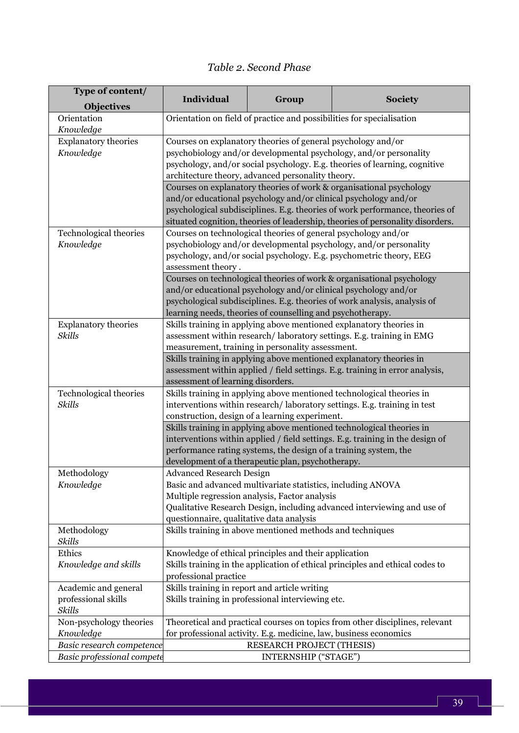# *Table 2. Second Phase*

| <b>Objectives</b><br>Orientation<br>Orientation on field of practice and possibilities for specialisation<br>Knowledge<br>Courses on explanatory theories of general psychology and/or<br><b>Explanatory theories</b><br>psychobiology and/or developmental psychology, and/or personality<br>Knowledge<br>psychology, and/or social psychology. E.g. theories of learning, cognitive<br>architecture theory, advanced personality theory.<br>Courses on explanatory theories of work & organisational psychology<br>and/or educational psychology and/or clinical psychology and/or<br>psychological subdisciplines. E.g. theories of work performance, theories of<br>situated cognition, theories of leadership, theories of personality disorders.<br>Technological theories<br>Courses on technological theories of general psychology and/or<br>psychobiology and/or developmental psychology, and/or personality<br>Knowledge<br>psychology, and/or social psychology. E.g. psychometric theory, EEG<br>assessment theory.<br>Courses on technological theories of work & organisational psychology<br>and/or educational psychology and/or clinical psychology and/or<br>psychological subdisciplines. E.g. theories of work analysis, analysis of<br>learning needs, theories of counselling and psychotherapy.<br><b>Explanatory theories</b><br>Skills training in applying above mentioned explanatory theories in<br>Skills<br>assessment within research/laboratory settings. E.g. training in EMG<br>measurement, training in personality assessment.<br>Skills training in applying above mentioned explanatory theories in<br>assessment within applied / field settings. E.g. training in error analysis,<br>assessment of learning disorders.<br>Technological theories<br>Skills training in applying above mentioned technological theories in<br>Skills<br>interventions within research/laboratory settings. E.g. training in test<br>construction, design of a learning experiment.<br>Skills training in applying above mentioned technological theories in<br>interventions within applied / field settings. E.g. training in the design of<br>performance rating systems, the design of a training system, the<br>development of a therapeutic plan, psychotherapy.<br>Methodology<br><b>Advanced Research Design</b><br>Basic and advanced multivariate statistics, including ANOVA<br>Knowledge<br>Multiple regression analysis, Factor analysis<br>Qualitative Research Design, including advanced interviewing and use of<br>questionnaire, qualitative data analysis<br>Skills training in above mentioned methods and techniques<br>Methodology<br>Skills<br>Ethics<br>Knowledge of ethical principles and their application<br>Skills training in the application of ethical principles and ethical codes to<br>Knowledge and skills<br>professional practice<br>Skills training in report and article writing<br>Academic and general<br>professional skills<br>Skills training in professional interviewing etc.<br>Skills<br>Non-psychology theories<br>Theoretical and practical courses on topics from other disciplines, relevant<br>Knowledge<br>for professional activity. E.g. medicine, law, business economics<br>Basic research competence<br>RESEARCH PROJECT (THESIS)<br>INTERNSHIP ("STAGE") | Type of content/           |                   |       |                |  |
|-----------------------------------------------------------------------------------------------------------------------------------------------------------------------------------------------------------------------------------------------------------------------------------------------------------------------------------------------------------------------------------------------------------------------------------------------------------------------------------------------------------------------------------------------------------------------------------------------------------------------------------------------------------------------------------------------------------------------------------------------------------------------------------------------------------------------------------------------------------------------------------------------------------------------------------------------------------------------------------------------------------------------------------------------------------------------------------------------------------------------------------------------------------------------------------------------------------------------------------------------------------------------------------------------------------------------------------------------------------------------------------------------------------------------------------------------------------------------------------------------------------------------------------------------------------------------------------------------------------------------------------------------------------------------------------------------------------------------------------------------------------------------------------------------------------------------------------------------------------------------------------------------------------------------------------------------------------------------------------------------------------------------------------------------------------------------------------------------------------------------------------------------------------------------------------------------------------------------------------------------------------------------------------------------------------------------------------------------------------------------------------------------------------------------------------------------------------------------------------------------------------------------------------------------------------------------------------------------------------------------------------------------------------------------------------------------------------------------------------------------------------------------------------------------------------------------------------------------------------------------------------------------------------------------------------------------------------------------------------------------------------------------------------------------------------------------------------------------------------------------------------------------------------------------------------------------------------------------------------------------------------------------------------------------------------------------------------------------|----------------------------|-------------------|-------|----------------|--|
|                                                                                                                                                                                                                                                                                                                                                                                                                                                                                                                                                                                                                                                                                                                                                                                                                                                                                                                                                                                                                                                                                                                                                                                                                                                                                                                                                                                                                                                                                                                                                                                                                                                                                                                                                                                                                                                                                                                                                                                                                                                                                                                                                                                                                                                                                                                                                                                                                                                                                                                                                                                                                                                                                                                                                                                                                                                                                                                                                                                                                                                                                                                                                                                                                                                                                                                                               |                            | <b>Individual</b> | Group | <b>Society</b> |  |
|                                                                                                                                                                                                                                                                                                                                                                                                                                                                                                                                                                                                                                                                                                                                                                                                                                                                                                                                                                                                                                                                                                                                                                                                                                                                                                                                                                                                                                                                                                                                                                                                                                                                                                                                                                                                                                                                                                                                                                                                                                                                                                                                                                                                                                                                                                                                                                                                                                                                                                                                                                                                                                                                                                                                                                                                                                                                                                                                                                                                                                                                                                                                                                                                                                                                                                                                               |                            |                   |       |                |  |
|                                                                                                                                                                                                                                                                                                                                                                                                                                                                                                                                                                                                                                                                                                                                                                                                                                                                                                                                                                                                                                                                                                                                                                                                                                                                                                                                                                                                                                                                                                                                                                                                                                                                                                                                                                                                                                                                                                                                                                                                                                                                                                                                                                                                                                                                                                                                                                                                                                                                                                                                                                                                                                                                                                                                                                                                                                                                                                                                                                                                                                                                                                                                                                                                                                                                                                                                               |                            |                   |       |                |  |
|                                                                                                                                                                                                                                                                                                                                                                                                                                                                                                                                                                                                                                                                                                                                                                                                                                                                                                                                                                                                                                                                                                                                                                                                                                                                                                                                                                                                                                                                                                                                                                                                                                                                                                                                                                                                                                                                                                                                                                                                                                                                                                                                                                                                                                                                                                                                                                                                                                                                                                                                                                                                                                                                                                                                                                                                                                                                                                                                                                                                                                                                                                                                                                                                                                                                                                                                               |                            |                   |       |                |  |
|                                                                                                                                                                                                                                                                                                                                                                                                                                                                                                                                                                                                                                                                                                                                                                                                                                                                                                                                                                                                                                                                                                                                                                                                                                                                                                                                                                                                                                                                                                                                                                                                                                                                                                                                                                                                                                                                                                                                                                                                                                                                                                                                                                                                                                                                                                                                                                                                                                                                                                                                                                                                                                                                                                                                                                                                                                                                                                                                                                                                                                                                                                                                                                                                                                                                                                                                               |                            |                   |       |                |  |
|                                                                                                                                                                                                                                                                                                                                                                                                                                                                                                                                                                                                                                                                                                                                                                                                                                                                                                                                                                                                                                                                                                                                                                                                                                                                                                                                                                                                                                                                                                                                                                                                                                                                                                                                                                                                                                                                                                                                                                                                                                                                                                                                                                                                                                                                                                                                                                                                                                                                                                                                                                                                                                                                                                                                                                                                                                                                                                                                                                                                                                                                                                                                                                                                                                                                                                                                               |                            |                   |       |                |  |
|                                                                                                                                                                                                                                                                                                                                                                                                                                                                                                                                                                                                                                                                                                                                                                                                                                                                                                                                                                                                                                                                                                                                                                                                                                                                                                                                                                                                                                                                                                                                                                                                                                                                                                                                                                                                                                                                                                                                                                                                                                                                                                                                                                                                                                                                                                                                                                                                                                                                                                                                                                                                                                                                                                                                                                                                                                                                                                                                                                                                                                                                                                                                                                                                                                                                                                                                               |                            |                   |       |                |  |
|                                                                                                                                                                                                                                                                                                                                                                                                                                                                                                                                                                                                                                                                                                                                                                                                                                                                                                                                                                                                                                                                                                                                                                                                                                                                                                                                                                                                                                                                                                                                                                                                                                                                                                                                                                                                                                                                                                                                                                                                                                                                                                                                                                                                                                                                                                                                                                                                                                                                                                                                                                                                                                                                                                                                                                                                                                                                                                                                                                                                                                                                                                                                                                                                                                                                                                                                               |                            |                   |       |                |  |
|                                                                                                                                                                                                                                                                                                                                                                                                                                                                                                                                                                                                                                                                                                                                                                                                                                                                                                                                                                                                                                                                                                                                                                                                                                                                                                                                                                                                                                                                                                                                                                                                                                                                                                                                                                                                                                                                                                                                                                                                                                                                                                                                                                                                                                                                                                                                                                                                                                                                                                                                                                                                                                                                                                                                                                                                                                                                                                                                                                                                                                                                                                                                                                                                                                                                                                                                               |                            |                   |       |                |  |
|                                                                                                                                                                                                                                                                                                                                                                                                                                                                                                                                                                                                                                                                                                                                                                                                                                                                                                                                                                                                                                                                                                                                                                                                                                                                                                                                                                                                                                                                                                                                                                                                                                                                                                                                                                                                                                                                                                                                                                                                                                                                                                                                                                                                                                                                                                                                                                                                                                                                                                                                                                                                                                                                                                                                                                                                                                                                                                                                                                                                                                                                                                                                                                                                                                                                                                                                               |                            |                   |       |                |  |
|                                                                                                                                                                                                                                                                                                                                                                                                                                                                                                                                                                                                                                                                                                                                                                                                                                                                                                                                                                                                                                                                                                                                                                                                                                                                                                                                                                                                                                                                                                                                                                                                                                                                                                                                                                                                                                                                                                                                                                                                                                                                                                                                                                                                                                                                                                                                                                                                                                                                                                                                                                                                                                                                                                                                                                                                                                                                                                                                                                                                                                                                                                                                                                                                                                                                                                                                               |                            |                   |       |                |  |
|                                                                                                                                                                                                                                                                                                                                                                                                                                                                                                                                                                                                                                                                                                                                                                                                                                                                                                                                                                                                                                                                                                                                                                                                                                                                                                                                                                                                                                                                                                                                                                                                                                                                                                                                                                                                                                                                                                                                                                                                                                                                                                                                                                                                                                                                                                                                                                                                                                                                                                                                                                                                                                                                                                                                                                                                                                                                                                                                                                                                                                                                                                                                                                                                                                                                                                                                               |                            |                   |       |                |  |
|                                                                                                                                                                                                                                                                                                                                                                                                                                                                                                                                                                                                                                                                                                                                                                                                                                                                                                                                                                                                                                                                                                                                                                                                                                                                                                                                                                                                                                                                                                                                                                                                                                                                                                                                                                                                                                                                                                                                                                                                                                                                                                                                                                                                                                                                                                                                                                                                                                                                                                                                                                                                                                                                                                                                                                                                                                                                                                                                                                                                                                                                                                                                                                                                                                                                                                                                               |                            |                   |       |                |  |
|                                                                                                                                                                                                                                                                                                                                                                                                                                                                                                                                                                                                                                                                                                                                                                                                                                                                                                                                                                                                                                                                                                                                                                                                                                                                                                                                                                                                                                                                                                                                                                                                                                                                                                                                                                                                                                                                                                                                                                                                                                                                                                                                                                                                                                                                                                                                                                                                                                                                                                                                                                                                                                                                                                                                                                                                                                                                                                                                                                                                                                                                                                                                                                                                                                                                                                                                               |                            |                   |       |                |  |
|                                                                                                                                                                                                                                                                                                                                                                                                                                                                                                                                                                                                                                                                                                                                                                                                                                                                                                                                                                                                                                                                                                                                                                                                                                                                                                                                                                                                                                                                                                                                                                                                                                                                                                                                                                                                                                                                                                                                                                                                                                                                                                                                                                                                                                                                                                                                                                                                                                                                                                                                                                                                                                                                                                                                                                                                                                                                                                                                                                                                                                                                                                                                                                                                                                                                                                                                               |                            |                   |       |                |  |
|                                                                                                                                                                                                                                                                                                                                                                                                                                                                                                                                                                                                                                                                                                                                                                                                                                                                                                                                                                                                                                                                                                                                                                                                                                                                                                                                                                                                                                                                                                                                                                                                                                                                                                                                                                                                                                                                                                                                                                                                                                                                                                                                                                                                                                                                                                                                                                                                                                                                                                                                                                                                                                                                                                                                                                                                                                                                                                                                                                                                                                                                                                                                                                                                                                                                                                                                               |                            |                   |       |                |  |
|                                                                                                                                                                                                                                                                                                                                                                                                                                                                                                                                                                                                                                                                                                                                                                                                                                                                                                                                                                                                                                                                                                                                                                                                                                                                                                                                                                                                                                                                                                                                                                                                                                                                                                                                                                                                                                                                                                                                                                                                                                                                                                                                                                                                                                                                                                                                                                                                                                                                                                                                                                                                                                                                                                                                                                                                                                                                                                                                                                                                                                                                                                                                                                                                                                                                                                                                               |                            |                   |       |                |  |
|                                                                                                                                                                                                                                                                                                                                                                                                                                                                                                                                                                                                                                                                                                                                                                                                                                                                                                                                                                                                                                                                                                                                                                                                                                                                                                                                                                                                                                                                                                                                                                                                                                                                                                                                                                                                                                                                                                                                                                                                                                                                                                                                                                                                                                                                                                                                                                                                                                                                                                                                                                                                                                                                                                                                                                                                                                                                                                                                                                                                                                                                                                                                                                                                                                                                                                                                               |                            |                   |       |                |  |
|                                                                                                                                                                                                                                                                                                                                                                                                                                                                                                                                                                                                                                                                                                                                                                                                                                                                                                                                                                                                                                                                                                                                                                                                                                                                                                                                                                                                                                                                                                                                                                                                                                                                                                                                                                                                                                                                                                                                                                                                                                                                                                                                                                                                                                                                                                                                                                                                                                                                                                                                                                                                                                                                                                                                                                                                                                                                                                                                                                                                                                                                                                                                                                                                                                                                                                                                               |                            |                   |       |                |  |
|                                                                                                                                                                                                                                                                                                                                                                                                                                                                                                                                                                                                                                                                                                                                                                                                                                                                                                                                                                                                                                                                                                                                                                                                                                                                                                                                                                                                                                                                                                                                                                                                                                                                                                                                                                                                                                                                                                                                                                                                                                                                                                                                                                                                                                                                                                                                                                                                                                                                                                                                                                                                                                                                                                                                                                                                                                                                                                                                                                                                                                                                                                                                                                                                                                                                                                                                               |                            |                   |       |                |  |
|                                                                                                                                                                                                                                                                                                                                                                                                                                                                                                                                                                                                                                                                                                                                                                                                                                                                                                                                                                                                                                                                                                                                                                                                                                                                                                                                                                                                                                                                                                                                                                                                                                                                                                                                                                                                                                                                                                                                                                                                                                                                                                                                                                                                                                                                                                                                                                                                                                                                                                                                                                                                                                                                                                                                                                                                                                                                                                                                                                                                                                                                                                                                                                                                                                                                                                                                               |                            |                   |       |                |  |
|                                                                                                                                                                                                                                                                                                                                                                                                                                                                                                                                                                                                                                                                                                                                                                                                                                                                                                                                                                                                                                                                                                                                                                                                                                                                                                                                                                                                                                                                                                                                                                                                                                                                                                                                                                                                                                                                                                                                                                                                                                                                                                                                                                                                                                                                                                                                                                                                                                                                                                                                                                                                                                                                                                                                                                                                                                                                                                                                                                                                                                                                                                                                                                                                                                                                                                                                               |                            |                   |       |                |  |
|                                                                                                                                                                                                                                                                                                                                                                                                                                                                                                                                                                                                                                                                                                                                                                                                                                                                                                                                                                                                                                                                                                                                                                                                                                                                                                                                                                                                                                                                                                                                                                                                                                                                                                                                                                                                                                                                                                                                                                                                                                                                                                                                                                                                                                                                                                                                                                                                                                                                                                                                                                                                                                                                                                                                                                                                                                                                                                                                                                                                                                                                                                                                                                                                                                                                                                                                               |                            |                   |       |                |  |
|                                                                                                                                                                                                                                                                                                                                                                                                                                                                                                                                                                                                                                                                                                                                                                                                                                                                                                                                                                                                                                                                                                                                                                                                                                                                                                                                                                                                                                                                                                                                                                                                                                                                                                                                                                                                                                                                                                                                                                                                                                                                                                                                                                                                                                                                                                                                                                                                                                                                                                                                                                                                                                                                                                                                                                                                                                                                                                                                                                                                                                                                                                                                                                                                                                                                                                                                               |                            |                   |       |                |  |
|                                                                                                                                                                                                                                                                                                                                                                                                                                                                                                                                                                                                                                                                                                                                                                                                                                                                                                                                                                                                                                                                                                                                                                                                                                                                                                                                                                                                                                                                                                                                                                                                                                                                                                                                                                                                                                                                                                                                                                                                                                                                                                                                                                                                                                                                                                                                                                                                                                                                                                                                                                                                                                                                                                                                                                                                                                                                                                                                                                                                                                                                                                                                                                                                                                                                                                                                               |                            |                   |       |                |  |
|                                                                                                                                                                                                                                                                                                                                                                                                                                                                                                                                                                                                                                                                                                                                                                                                                                                                                                                                                                                                                                                                                                                                                                                                                                                                                                                                                                                                                                                                                                                                                                                                                                                                                                                                                                                                                                                                                                                                                                                                                                                                                                                                                                                                                                                                                                                                                                                                                                                                                                                                                                                                                                                                                                                                                                                                                                                                                                                                                                                                                                                                                                                                                                                                                                                                                                                                               |                            |                   |       |                |  |
|                                                                                                                                                                                                                                                                                                                                                                                                                                                                                                                                                                                                                                                                                                                                                                                                                                                                                                                                                                                                                                                                                                                                                                                                                                                                                                                                                                                                                                                                                                                                                                                                                                                                                                                                                                                                                                                                                                                                                                                                                                                                                                                                                                                                                                                                                                                                                                                                                                                                                                                                                                                                                                                                                                                                                                                                                                                                                                                                                                                                                                                                                                                                                                                                                                                                                                                                               |                            |                   |       |                |  |
|                                                                                                                                                                                                                                                                                                                                                                                                                                                                                                                                                                                                                                                                                                                                                                                                                                                                                                                                                                                                                                                                                                                                                                                                                                                                                                                                                                                                                                                                                                                                                                                                                                                                                                                                                                                                                                                                                                                                                                                                                                                                                                                                                                                                                                                                                                                                                                                                                                                                                                                                                                                                                                                                                                                                                                                                                                                                                                                                                                                                                                                                                                                                                                                                                                                                                                                                               |                            |                   |       |                |  |
|                                                                                                                                                                                                                                                                                                                                                                                                                                                                                                                                                                                                                                                                                                                                                                                                                                                                                                                                                                                                                                                                                                                                                                                                                                                                                                                                                                                                                                                                                                                                                                                                                                                                                                                                                                                                                                                                                                                                                                                                                                                                                                                                                                                                                                                                                                                                                                                                                                                                                                                                                                                                                                                                                                                                                                                                                                                                                                                                                                                                                                                                                                                                                                                                                                                                                                                                               |                            |                   |       |                |  |
|                                                                                                                                                                                                                                                                                                                                                                                                                                                                                                                                                                                                                                                                                                                                                                                                                                                                                                                                                                                                                                                                                                                                                                                                                                                                                                                                                                                                                                                                                                                                                                                                                                                                                                                                                                                                                                                                                                                                                                                                                                                                                                                                                                                                                                                                                                                                                                                                                                                                                                                                                                                                                                                                                                                                                                                                                                                                                                                                                                                                                                                                                                                                                                                                                                                                                                                                               |                            |                   |       |                |  |
|                                                                                                                                                                                                                                                                                                                                                                                                                                                                                                                                                                                                                                                                                                                                                                                                                                                                                                                                                                                                                                                                                                                                                                                                                                                                                                                                                                                                                                                                                                                                                                                                                                                                                                                                                                                                                                                                                                                                                                                                                                                                                                                                                                                                                                                                                                                                                                                                                                                                                                                                                                                                                                                                                                                                                                                                                                                                                                                                                                                                                                                                                                                                                                                                                                                                                                                                               |                            |                   |       |                |  |
|                                                                                                                                                                                                                                                                                                                                                                                                                                                                                                                                                                                                                                                                                                                                                                                                                                                                                                                                                                                                                                                                                                                                                                                                                                                                                                                                                                                                                                                                                                                                                                                                                                                                                                                                                                                                                                                                                                                                                                                                                                                                                                                                                                                                                                                                                                                                                                                                                                                                                                                                                                                                                                                                                                                                                                                                                                                                                                                                                                                                                                                                                                                                                                                                                                                                                                                                               |                            |                   |       |                |  |
|                                                                                                                                                                                                                                                                                                                                                                                                                                                                                                                                                                                                                                                                                                                                                                                                                                                                                                                                                                                                                                                                                                                                                                                                                                                                                                                                                                                                                                                                                                                                                                                                                                                                                                                                                                                                                                                                                                                                                                                                                                                                                                                                                                                                                                                                                                                                                                                                                                                                                                                                                                                                                                                                                                                                                                                                                                                                                                                                                                                                                                                                                                                                                                                                                                                                                                                                               |                            |                   |       |                |  |
|                                                                                                                                                                                                                                                                                                                                                                                                                                                                                                                                                                                                                                                                                                                                                                                                                                                                                                                                                                                                                                                                                                                                                                                                                                                                                                                                                                                                                                                                                                                                                                                                                                                                                                                                                                                                                                                                                                                                                                                                                                                                                                                                                                                                                                                                                                                                                                                                                                                                                                                                                                                                                                                                                                                                                                                                                                                                                                                                                                                                                                                                                                                                                                                                                                                                                                                                               |                            |                   |       |                |  |
|                                                                                                                                                                                                                                                                                                                                                                                                                                                                                                                                                                                                                                                                                                                                                                                                                                                                                                                                                                                                                                                                                                                                                                                                                                                                                                                                                                                                                                                                                                                                                                                                                                                                                                                                                                                                                                                                                                                                                                                                                                                                                                                                                                                                                                                                                                                                                                                                                                                                                                                                                                                                                                                                                                                                                                                                                                                                                                                                                                                                                                                                                                                                                                                                                                                                                                                                               |                            |                   |       |                |  |
|                                                                                                                                                                                                                                                                                                                                                                                                                                                                                                                                                                                                                                                                                                                                                                                                                                                                                                                                                                                                                                                                                                                                                                                                                                                                                                                                                                                                                                                                                                                                                                                                                                                                                                                                                                                                                                                                                                                                                                                                                                                                                                                                                                                                                                                                                                                                                                                                                                                                                                                                                                                                                                                                                                                                                                                                                                                                                                                                                                                                                                                                                                                                                                                                                                                                                                                                               |                            |                   |       |                |  |
|                                                                                                                                                                                                                                                                                                                                                                                                                                                                                                                                                                                                                                                                                                                                                                                                                                                                                                                                                                                                                                                                                                                                                                                                                                                                                                                                                                                                                                                                                                                                                                                                                                                                                                                                                                                                                                                                                                                                                                                                                                                                                                                                                                                                                                                                                                                                                                                                                                                                                                                                                                                                                                                                                                                                                                                                                                                                                                                                                                                                                                                                                                                                                                                                                                                                                                                                               |                            |                   |       |                |  |
|                                                                                                                                                                                                                                                                                                                                                                                                                                                                                                                                                                                                                                                                                                                                                                                                                                                                                                                                                                                                                                                                                                                                                                                                                                                                                                                                                                                                                                                                                                                                                                                                                                                                                                                                                                                                                                                                                                                                                                                                                                                                                                                                                                                                                                                                                                                                                                                                                                                                                                                                                                                                                                                                                                                                                                                                                                                                                                                                                                                                                                                                                                                                                                                                                                                                                                                                               |                            |                   |       |                |  |
|                                                                                                                                                                                                                                                                                                                                                                                                                                                                                                                                                                                                                                                                                                                                                                                                                                                                                                                                                                                                                                                                                                                                                                                                                                                                                                                                                                                                                                                                                                                                                                                                                                                                                                                                                                                                                                                                                                                                                                                                                                                                                                                                                                                                                                                                                                                                                                                                                                                                                                                                                                                                                                                                                                                                                                                                                                                                                                                                                                                                                                                                                                                                                                                                                                                                                                                                               |                            |                   |       |                |  |
|                                                                                                                                                                                                                                                                                                                                                                                                                                                                                                                                                                                                                                                                                                                                                                                                                                                                                                                                                                                                                                                                                                                                                                                                                                                                                                                                                                                                                                                                                                                                                                                                                                                                                                                                                                                                                                                                                                                                                                                                                                                                                                                                                                                                                                                                                                                                                                                                                                                                                                                                                                                                                                                                                                                                                                                                                                                                                                                                                                                                                                                                                                                                                                                                                                                                                                                                               |                            |                   |       |                |  |
|                                                                                                                                                                                                                                                                                                                                                                                                                                                                                                                                                                                                                                                                                                                                                                                                                                                                                                                                                                                                                                                                                                                                                                                                                                                                                                                                                                                                                                                                                                                                                                                                                                                                                                                                                                                                                                                                                                                                                                                                                                                                                                                                                                                                                                                                                                                                                                                                                                                                                                                                                                                                                                                                                                                                                                                                                                                                                                                                                                                                                                                                                                                                                                                                                                                                                                                                               |                            |                   |       |                |  |
|                                                                                                                                                                                                                                                                                                                                                                                                                                                                                                                                                                                                                                                                                                                                                                                                                                                                                                                                                                                                                                                                                                                                                                                                                                                                                                                                                                                                                                                                                                                                                                                                                                                                                                                                                                                                                                                                                                                                                                                                                                                                                                                                                                                                                                                                                                                                                                                                                                                                                                                                                                                                                                                                                                                                                                                                                                                                                                                                                                                                                                                                                                                                                                                                                                                                                                                                               |                            |                   |       |                |  |
|                                                                                                                                                                                                                                                                                                                                                                                                                                                                                                                                                                                                                                                                                                                                                                                                                                                                                                                                                                                                                                                                                                                                                                                                                                                                                                                                                                                                                                                                                                                                                                                                                                                                                                                                                                                                                                                                                                                                                                                                                                                                                                                                                                                                                                                                                                                                                                                                                                                                                                                                                                                                                                                                                                                                                                                                                                                                                                                                                                                                                                                                                                                                                                                                                                                                                                                                               |                            |                   |       |                |  |
|                                                                                                                                                                                                                                                                                                                                                                                                                                                                                                                                                                                                                                                                                                                                                                                                                                                                                                                                                                                                                                                                                                                                                                                                                                                                                                                                                                                                                                                                                                                                                                                                                                                                                                                                                                                                                                                                                                                                                                                                                                                                                                                                                                                                                                                                                                                                                                                                                                                                                                                                                                                                                                                                                                                                                                                                                                                                                                                                                                                                                                                                                                                                                                                                                                                                                                                                               |                            |                   |       |                |  |
|                                                                                                                                                                                                                                                                                                                                                                                                                                                                                                                                                                                                                                                                                                                                                                                                                                                                                                                                                                                                                                                                                                                                                                                                                                                                                                                                                                                                                                                                                                                                                                                                                                                                                                                                                                                                                                                                                                                                                                                                                                                                                                                                                                                                                                                                                                                                                                                                                                                                                                                                                                                                                                                                                                                                                                                                                                                                                                                                                                                                                                                                                                                                                                                                                                                                                                                                               |                            |                   |       |                |  |
|                                                                                                                                                                                                                                                                                                                                                                                                                                                                                                                                                                                                                                                                                                                                                                                                                                                                                                                                                                                                                                                                                                                                                                                                                                                                                                                                                                                                                                                                                                                                                                                                                                                                                                                                                                                                                                                                                                                                                                                                                                                                                                                                                                                                                                                                                                                                                                                                                                                                                                                                                                                                                                                                                                                                                                                                                                                                                                                                                                                                                                                                                                                                                                                                                                                                                                                                               |                            |                   |       |                |  |
|                                                                                                                                                                                                                                                                                                                                                                                                                                                                                                                                                                                                                                                                                                                                                                                                                                                                                                                                                                                                                                                                                                                                                                                                                                                                                                                                                                                                                                                                                                                                                                                                                                                                                                                                                                                                                                                                                                                                                                                                                                                                                                                                                                                                                                                                                                                                                                                                                                                                                                                                                                                                                                                                                                                                                                                                                                                                                                                                                                                                                                                                                                                                                                                                                                                                                                                                               |                            |                   |       |                |  |
|                                                                                                                                                                                                                                                                                                                                                                                                                                                                                                                                                                                                                                                                                                                                                                                                                                                                                                                                                                                                                                                                                                                                                                                                                                                                                                                                                                                                                                                                                                                                                                                                                                                                                                                                                                                                                                                                                                                                                                                                                                                                                                                                                                                                                                                                                                                                                                                                                                                                                                                                                                                                                                                                                                                                                                                                                                                                                                                                                                                                                                                                                                                                                                                                                                                                                                                                               | Basic professional compete |                   |       |                |  |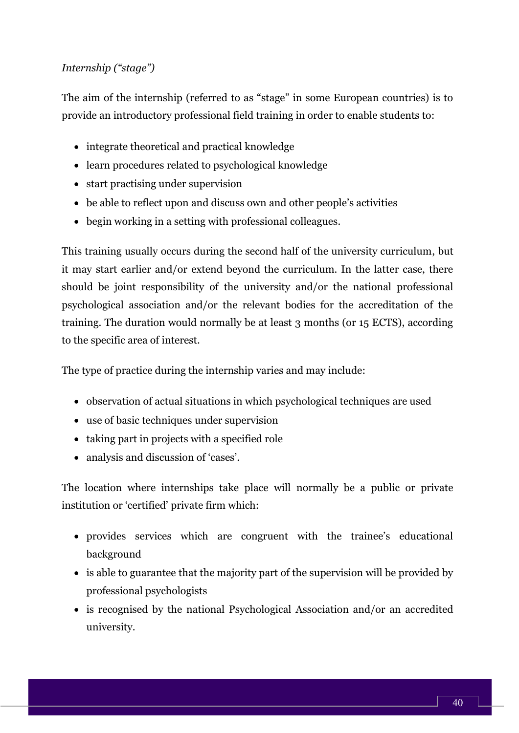## *Internship ("stage")*

The aim of the internship (referred to as "stage" in some European countries) is to provide an introductory professional field training in order to enable students to:

- integrate theoretical and practical knowledge
- learn procedures related to psychological knowledge
- start practising under supervision
- be able to reflect upon and discuss own and other people's activities
- begin working in a setting with professional colleagues.

This training usually occurs during the second half of the university curriculum, but it may start earlier and/or extend beyond the curriculum. In the latter case, there should be joint responsibility of the university and/or the national professional psychological association and/or the relevant bodies for the accreditation of the training. The duration would normally be at least 3 months (or 15 ECTS), according to the specific area of interest.

The type of practice during the internship varies and may include:

- observation of actual situations in which psychological techniques are used
- use of basic techniques under supervision
- taking part in projects with a specified role
- analysis and discussion of 'cases'.

The location where internships take place will normally be a public or private institution or 'certified' private firm which:

- provides services which are congruent with the trainee's educational background
- is able to guarantee that the majority part of the supervision will be provided by professional psychologists
- is recognised by the national Psychological Association and/or an accredited university.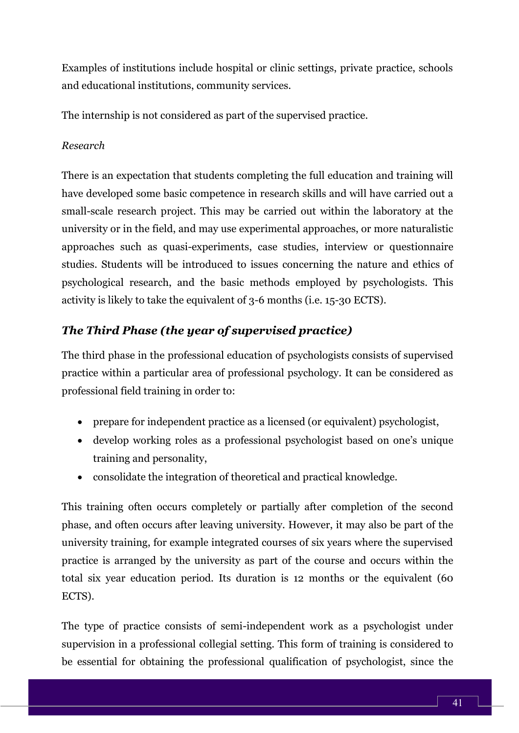Examples of institutions include hospital or clinic settings, private practice, schools and educational institutions, community services.

The internship is not considered as part of the supervised practice.

#### *Research*

There is an expectation that students completing the full education and training will have developed some basic competence in research skills and will have carried out a small-scale research project. This may be carried out within the laboratory at the university or in the field, and may use experimental approaches, or more naturalistic approaches such as quasi-experiments, case studies, interview or questionnaire studies. Students will be introduced to issues concerning the nature and ethics of psychological research, and the basic methods employed by psychologists. This activity is likely to take the equivalent of 3-6 months (i.e. 15-30 ECTS).

# *The Third Phase (the year of supervised practice)*

The third phase in the professional education of psychologists consists of supervised practice within a particular area of professional psychology. It can be considered as professional field training in order to:

- prepare for independent practice as a licensed (or equivalent) psychologist,
- develop working roles as a professional psychologist based on one's unique training and personality,
- consolidate the integration of theoretical and practical knowledge.

This training often occurs completely or partially after completion of the second phase, and often occurs after leaving university. However, it may also be part of the university training, for example integrated courses of six years where the supervised practice is arranged by the university as part of the course and occurs within the total six year education period. Its duration is 12 months or the equivalent (60 ECTS).

The type of practice consists of semi-independent work as a psychologist under supervision in a professional collegial setting. This form of training is considered to be essential for obtaining the professional qualification of psychologist, since the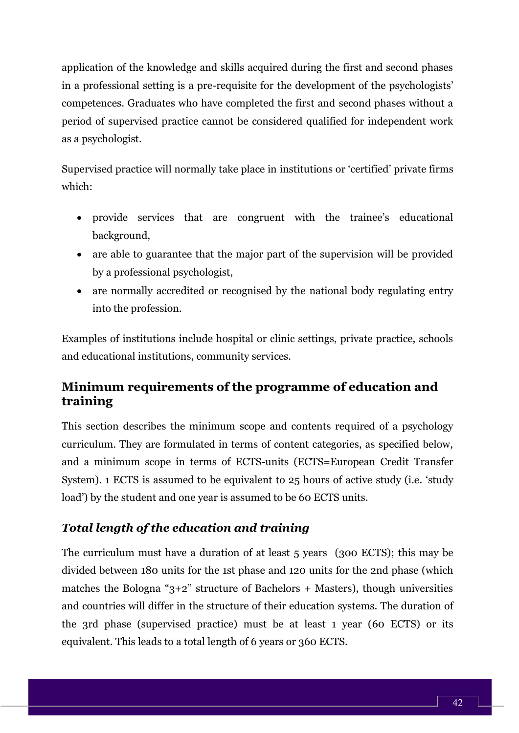application of the knowledge and skills acquired during the first and second phases in a professional setting is a pre-requisite for the development of the psychologists' competences. Graduates who have completed the first and second phases without a period of supervised practice cannot be considered qualified for independent work as a psychologist.

Supervised practice will normally take place in institutions or 'certified' private firms which:

- provide services that are congruent with the trainee's educational background,
- are able to guarantee that the major part of the supervision will be provided by a professional psychologist,
- are normally accredited or recognised by the national body regulating entry into the profession.

Examples of institutions include hospital or clinic settings, private practice, schools and educational institutions, community services.

# **Minimum requirements of the programme of education and training**

This section describes the minimum scope and contents required of a psychology curriculum. They are formulated in terms of content categories, as specified below, and a minimum scope in terms of ECTS-units (ECTS=European Credit Transfer System). 1 ECTS is assumed to be equivalent to 25 hours of active study (i.e. 'study load') by the student and one year is assumed to be 60 ECTS units.

# *Total length of the education and training*

The curriculum must have a duration of at least 5 years (300 ECTS); this may be divided between 180 units for the 1st phase and 120 units for the 2nd phase (which matches the Bologna " $3+2$ " structure of Bachelors + Masters), though universities and countries will differ in the structure of their education systems. The duration of the 3rd phase (supervised practice) must be at least 1 year (60 ECTS) or its equivalent. This leads to a total length of 6 years or 360 ECTS.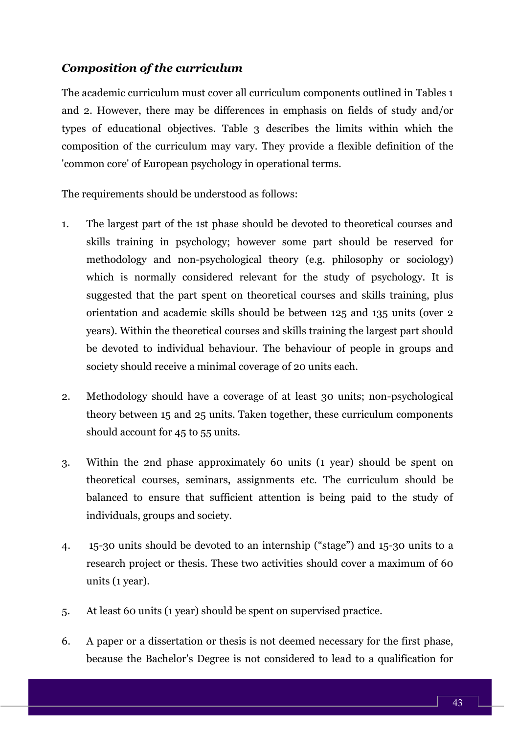## *Composition of the curriculum*

The academic curriculum must cover all curriculum components outlined in Tables 1 and 2. However, there may be differences in emphasis on fields of study and/or types of educational objectives. Table 3 describes the limits within which the composition of the curriculum may vary. They provide a flexible definition of the 'common core' of European psychology in operational terms.

The requirements should be understood as follows:

- 1. The largest part of the 1st phase should be devoted to theoretical courses and skills training in psychology; however some part should be reserved for methodology and non-psychological theory (e.g. philosophy or sociology) which is normally considered relevant for the study of psychology. It is suggested that the part spent on theoretical courses and skills training, plus orientation and academic skills should be between 125 and 135 units (over 2 years). Within the theoretical courses and skills training the largest part should be devoted to individual behaviour. The behaviour of people in groups and society should receive a minimal coverage of 20 units each.
- 2. Methodology should have a coverage of at least 30 units; non-psychological theory between 15 and 25 units. Taken together, these curriculum components should account for 45 to 55 units.
- 3. Within the 2nd phase approximately 60 units (1 year) should be spent on theoretical courses, seminars, assignments etc. The curriculum should be balanced to ensure that sufficient attention is being paid to the study of individuals, groups and society.
- 4. 15-30 units should be devoted to an internship ("stage") and 15-30 units to a research project or thesis. These two activities should cover a maximum of 60 units (1 year).
- 5. At least 60 units (1 year) should be spent on supervised practice.
- 6. A paper or a dissertation or thesis is not deemed necessary for the first phase, because the Bachelor's Degree is not considered to lead to a qualification for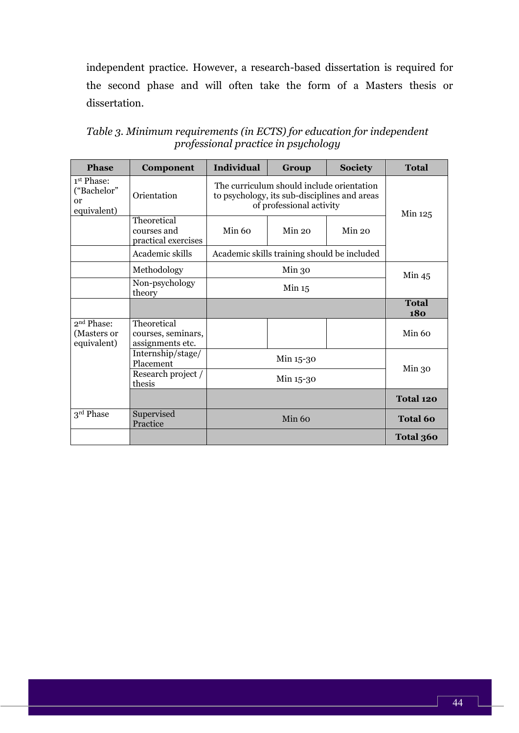independent practice. However, a research-based dissertation is required for the second phase and will often take the form of a Masters thesis or dissertation.

| <b>Phase</b>                                               | Component                                             | <b>Individual</b>                                                                                                     | Group                                       | <b>Society</b>    | <b>Total</b>               |
|------------------------------------------------------------|-------------------------------------------------------|-----------------------------------------------------------------------------------------------------------------------|---------------------------------------------|-------------------|----------------------------|
| 1 <sup>st</sup> Phase:<br>("Bachelor"<br>or<br>equivalent) | Orientation                                           | The curriculum should include orientation<br>to psychology, its sub-disciplines and areas<br>of professional activity |                                             |                   | Min 125                    |
|                                                            | Theoretical<br>courses and<br>practical exercises     | Min 60                                                                                                                | Min 20                                      | Min 20            |                            |
|                                                            | Academic skills                                       |                                                                                                                       | Academic skills training should be included |                   |                            |
|                                                            | Methodology                                           | Min <sub>30</sub>                                                                                                     |                                             |                   | Min 45                     |
|                                                            | Non-psychology<br>theory                              | Min 15                                                                                                                |                                             |                   |                            |
|                                                            |                                                       |                                                                                                                       |                                             |                   | <b>Total</b><br><b>180</b> |
| 2 <sup>nd</sup> Phase:<br>(Masters or<br>equivalent)       | Theoretical<br>courses, seminars,<br>assignments etc. |                                                                                                                       |                                             |                   | Min 60                     |
|                                                            | Internship/stage/<br>Placement                        |                                                                                                                       | Min 15-30                                   |                   |                            |
|                                                            | Research project /<br>thesis                          | Min 15-30                                                                                                             |                                             | Min <sub>30</sub> |                            |
|                                                            |                                                       |                                                                                                                       |                                             |                   | Total 120                  |
| 3rd Phase                                                  | Supervised<br>Practice                                |                                                                                                                       | Min 60                                      |                   | <b>Total 60</b>            |
|                                                            |                                                       |                                                                                                                       |                                             |                   | Total 360                  |

*Table 3. Minimum requirements (in ECTS) for education for independent professional practice in psychology*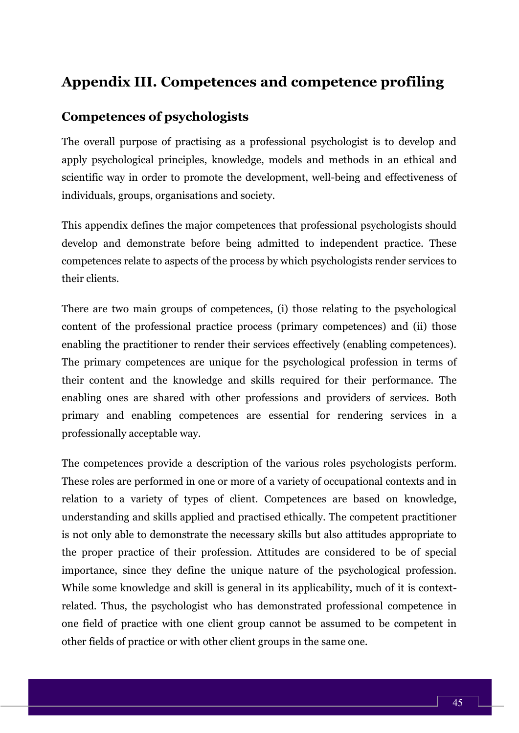# **Appendix III. Competences and competence profiling**

# **Competences of psychologists**

The overall purpose of practising as a professional psychologist is to develop and apply psychological principles, knowledge, models and methods in an ethical and scientific way in order to promote the development, well-being and effectiveness of individuals, groups, organisations and society.

This appendix defines the major competences that professional psychologists should develop and demonstrate before being admitted to independent practice. These competences relate to aspects of the process by which psychologists render services to their clients.

There are two main groups of competences, (i) those relating to the psychological content of the professional practice process (primary competences) and (ii) those enabling the practitioner to render their services effectively (enabling competences). The primary competences are unique for the psychological profession in terms of their content and the knowledge and skills required for their performance. The enabling ones are shared with other professions and providers of services. Both primary and enabling competences are essential for rendering services in a professionally acceptable way.

The competences provide a description of the various roles psychologists perform. These roles are performed in one or more of a variety of occupational contexts and in relation to a variety of types of client. Competences are based on knowledge, understanding and skills applied and practised ethically. The competent practitioner is not only able to demonstrate the necessary skills but also attitudes appropriate to the proper practice of their profession. Attitudes are considered to be of special importance, since they define the unique nature of the psychological profession. While some knowledge and skill is general in its applicability, much of it is contextrelated. Thus, the psychologist who has demonstrated professional competence in one field of practice with one client group cannot be assumed to be competent in other fields of practice or with other client groups in the same one.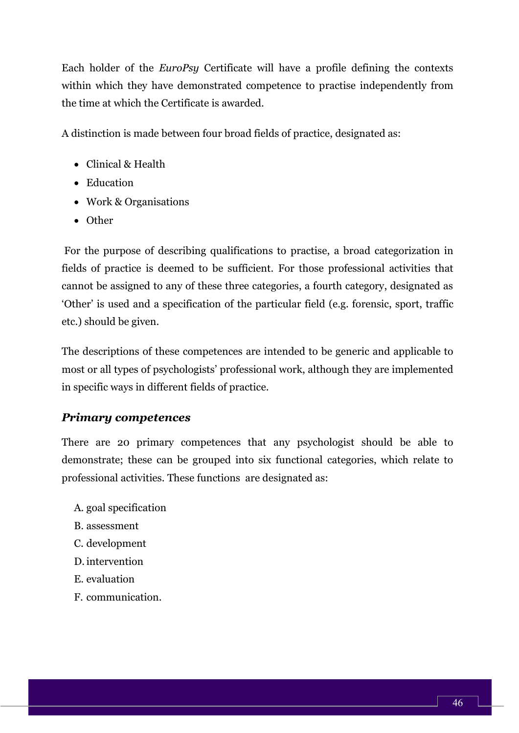Each holder of the *EuroPsy* Certificate will have a profile defining the contexts within which they have demonstrated competence to practise independently from the time at which the Certificate is awarded.

A distinction is made between four broad fields of practice, designated as:

- Clinical & Health
- Education
- Work & Organisations
- Other

For the purpose of describing qualifications to practise, a broad categorization in fields of practice is deemed to be sufficient. For those professional activities that cannot be assigned to any of these three categories, a fourth category, designated as 'Other' is used and a specification of the particular field (e.g. forensic, sport, traffic etc.) should be given.

The descriptions of these competences are intended to be generic and applicable to most or all types of psychologists' professional work, although they are implemented in specific ways in different fields of practice.

# *Primary competences*

There are 20 primary competences that any psychologist should be able to demonstrate; these can be grouped into six functional categories, which relate to professional activities. These functions are designated as:

- A. goal specification
- B. assessment
- C. development
- D. intervention
- E. evaluation
- F. communication.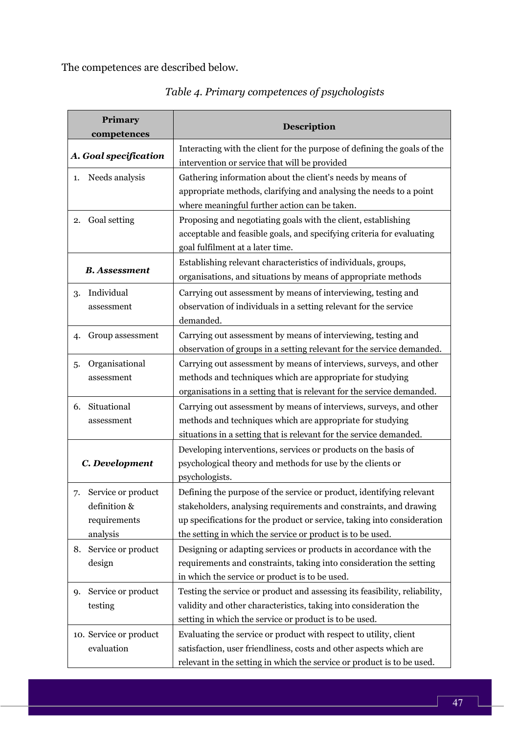The competences are described below.

| Primary<br>competences                                               | Description                                                                                                                                                                                                                                                                        |  |  |
|----------------------------------------------------------------------|------------------------------------------------------------------------------------------------------------------------------------------------------------------------------------------------------------------------------------------------------------------------------------|--|--|
| A. Goal specification                                                | Interacting with the client for the purpose of defining the goals of the<br>intervention or service that will be provided                                                                                                                                                          |  |  |
| Needs analysis                                                       | Gathering information about the client's needs by means of                                                                                                                                                                                                                         |  |  |
| 1.                                                                   | appropriate methods, clarifying and analysing the needs to a point                                                                                                                                                                                                                 |  |  |
| Goal setting<br>2.                                                   | where meaningful further action can be taken.<br>Proposing and negotiating goals with the client, establishing<br>acceptable and feasible goals, and specifying criteria for evaluating<br>goal fulfilment at a later time.                                                        |  |  |
| <b>B.</b> Assessment                                                 | Establishing relevant characteristics of individuals, groups,<br>organisations, and situations by means of appropriate methods                                                                                                                                                     |  |  |
| Individual                                                           | Carrying out assessment by means of interviewing, testing and                                                                                                                                                                                                                      |  |  |
| 3.                                                                   | observation of individuals in a setting relevant for the service                                                                                                                                                                                                                   |  |  |
| assessment                                                           | demanded.                                                                                                                                                                                                                                                                          |  |  |
| Group assessment                                                     | Carrying out assessment by means of interviewing, testing and                                                                                                                                                                                                                      |  |  |
| 4.                                                                   | observation of groups in a setting relevant for the service demanded.                                                                                                                                                                                                              |  |  |
| Organisational                                                       | Carrying out assessment by means of interviews, surveys, and other                                                                                                                                                                                                                 |  |  |
| 5.                                                                   | methods and techniques which are appropriate for studying                                                                                                                                                                                                                          |  |  |
| assessment                                                           | organisations in a setting that is relevant for the service demanded.                                                                                                                                                                                                              |  |  |
| Situational                                                          | Carrying out assessment by means of interviews, surveys, and other                                                                                                                                                                                                                 |  |  |
| 6.                                                                   | methods and techniques which are appropriate for studying                                                                                                                                                                                                                          |  |  |
| assessment                                                           | situations in a setting that is relevant for the service demanded.                                                                                                                                                                                                                 |  |  |
| C. Development                                                       | Developing interventions, services or products on the basis of<br>psychological theory and methods for use by the clients or<br>psychologists.                                                                                                                                     |  |  |
| Service or product<br>7.<br>definition &<br>requirements<br>analysis | Defining the purpose of the service or product, identifying relevant<br>stakeholders, analysing requirements and constraints, and drawing<br>up specifications for the product or service, taking into consideration<br>the setting in which the service or product is to be used. |  |  |
| Service or product                                                   | Designing or adapting services or products in accordance with the                                                                                                                                                                                                                  |  |  |
| 8.                                                                   | requirements and constraints, taking into consideration the setting                                                                                                                                                                                                                |  |  |
| design                                                               | in which the service or product is to be used.                                                                                                                                                                                                                                     |  |  |
| Service or product                                                   | Testing the service or product and assessing its feasibility, reliability,                                                                                                                                                                                                         |  |  |
| 9.                                                                   | validity and other characteristics, taking into consideration the                                                                                                                                                                                                                  |  |  |
| testing                                                              | setting in which the service or product is to be used.                                                                                                                                                                                                                             |  |  |
| 10. Service or product<br>evaluation                                 | Evaluating the service or product with respect to utility, client<br>satisfaction, user friendliness, costs and other aspects which are<br>relevant in the setting in which the service or product is to be used.                                                                  |  |  |

ſ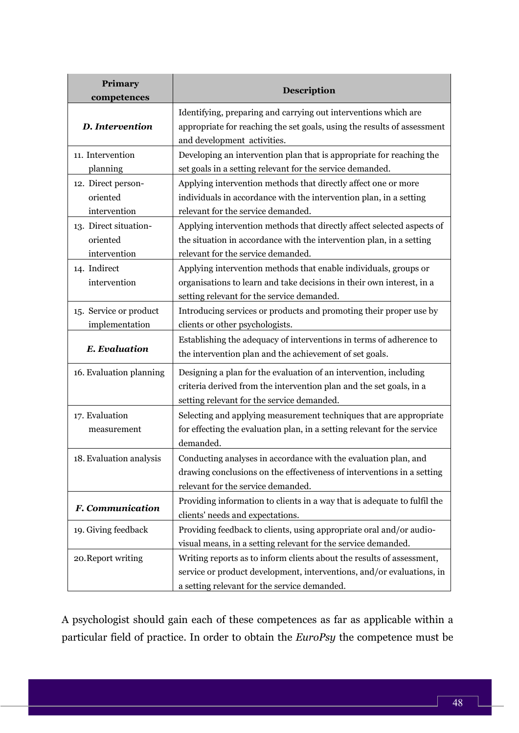| <b>Primary</b><br>competences | Description                                                                                            |  |  |
|-------------------------------|--------------------------------------------------------------------------------------------------------|--|--|
| <b>D.</b> Intervention        | Identifying, preparing and carrying out interventions which are                                        |  |  |
|                               | appropriate for reaching the set goals, using the results of assessment<br>and development activities. |  |  |
| 11. Intervention              | Developing an intervention plan that is appropriate for reaching the                                   |  |  |
| planning                      | set goals in a setting relevant for the service demanded.                                              |  |  |
| 12. Direct person-            | Applying intervention methods that directly affect one or more                                         |  |  |
| oriented                      | individuals in accordance with the intervention plan, in a setting                                     |  |  |
| intervention                  | relevant for the service demanded.                                                                     |  |  |
| 13. Direct situation-         | Applying intervention methods that directly affect selected aspects of                                 |  |  |
| oriented                      | the situation in accordance with the intervention plan, in a setting                                   |  |  |
| intervention                  | relevant for the service demanded.                                                                     |  |  |
| 14. Indirect                  | Applying intervention methods that enable individuals, groups or                                       |  |  |
| intervention                  | organisations to learn and take decisions in their own interest, in a                                  |  |  |
|                               | setting relevant for the service demanded.                                                             |  |  |
| 15. Service or product        | Introducing services or products and promoting their proper use by                                     |  |  |
| implementation                | clients or other psychologists.                                                                        |  |  |
|                               | Establishing the adequacy of interventions in terms of adherence to                                    |  |  |
| <b>E.</b> Evaluation          | the intervention plan and the achievement of set goals.                                                |  |  |
| 16. Evaluation planning       | Designing a plan for the evaluation of an intervention, including                                      |  |  |
|                               | criteria derived from the intervention plan and the set goals, in a                                    |  |  |
|                               | setting relevant for the service demanded.                                                             |  |  |
| 17. Evaluation                | Selecting and applying measurement techniques that are appropriate                                     |  |  |
| measurement                   | for effecting the evaluation plan, in a setting relevant for the service                               |  |  |
|                               | demanded.                                                                                              |  |  |
| 18. Evaluation analysis       | Conducting analyses in accordance with the evaluation plan, and                                        |  |  |
|                               | drawing conclusions on the effectiveness of interventions in a setting                                 |  |  |
|                               | relevant for the service demanded.                                                                     |  |  |
|                               | Providing information to clients in a way that is adequate to fulfil the                               |  |  |
| <b>F.</b> Communication       | clients' needs and expectations.                                                                       |  |  |
| 19. Giving feedback           | Providing feedback to clients, using appropriate oral and/or audio-                                    |  |  |
|                               | visual means, in a setting relevant for the service demanded.                                          |  |  |
| 20. Report writing            | Writing reports as to inform clients about the results of assessment,                                  |  |  |
|                               | service or product development, interventions, and/or evaluations, in                                  |  |  |
|                               | a setting relevant for the service demanded.                                                           |  |  |

A psychologist should gain each of these competences as far as applicable within a particular field of practice. In order to obtain the *EuroPsy* the competence must be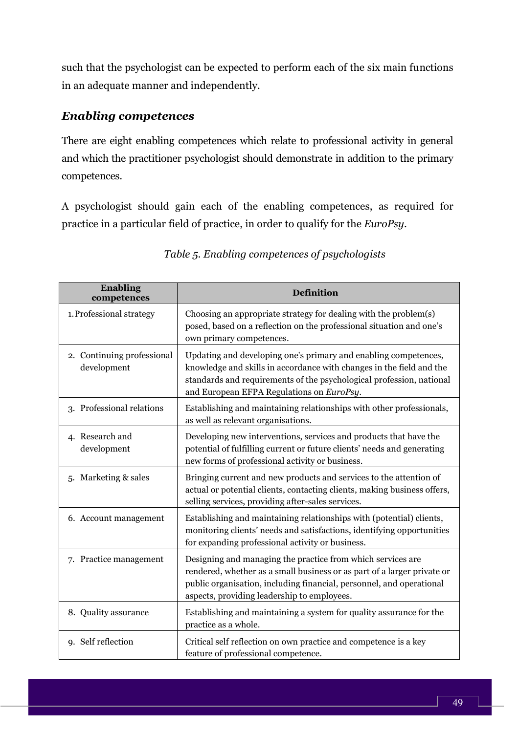such that the psychologist can be expected to perform each of the six main functions in an adequate manner and independently.

## *Enabling competences*

There are eight enabling competences which relate to professional activity in general and which the practitioner psychologist should demonstrate in addition to the primary competences.

A psychologist should gain each of the enabling competences, as required for practice in a particular field of practice, in order to qualify for the *EuroPsy*.

| <b>Enabling</b><br>competences            | <b>Definition</b>                                                                                                                                                                                                                                             |
|-------------------------------------------|---------------------------------------------------------------------------------------------------------------------------------------------------------------------------------------------------------------------------------------------------------------|
| 1. Professional strategy                  | Choosing an appropriate strategy for dealing with the problem(s)<br>posed, based on a reflection on the professional situation and one's<br>own primary competences.                                                                                          |
| 2. Continuing professional<br>development | Updating and developing one's primary and enabling competences,<br>knowledge and skills in accordance with changes in the field and the<br>standards and requirements of the psychological profession, national<br>and European EFPA Regulations on EuroPsy.  |
| 3. Professional relations                 | Establishing and maintaining relationships with other professionals,<br>as well as relevant organisations.                                                                                                                                                    |
| 4. Research and<br>development            | Developing new interventions, services and products that have the<br>potential of fulfilling current or future clients' needs and generating<br>new forms of professional activity or business.                                                               |
| 5. Marketing & sales                      | Bringing current and new products and services to the attention of<br>actual or potential clients, contacting clients, making business offers,<br>selling services, providing after-sales services.                                                           |
| 6. Account management                     | Establishing and maintaining relationships with (potential) clients,<br>monitoring clients' needs and satisfactions, identifying opportunities<br>for expanding professional activity or business.                                                            |
| 7. Practice management                    | Designing and managing the practice from which services are<br>rendered, whether as a small business or as part of a larger private or<br>public organisation, including financial, personnel, and operational<br>aspects, providing leadership to employees. |
| 8. Quality assurance                      | Establishing and maintaining a system for quality assurance for the<br>practice as a whole.                                                                                                                                                                   |
| 9. Self reflection                        | Critical self reflection on own practice and competence is a key<br>feature of professional competence.                                                                                                                                                       |

#### *Table 5. Enabling competences of psychologists*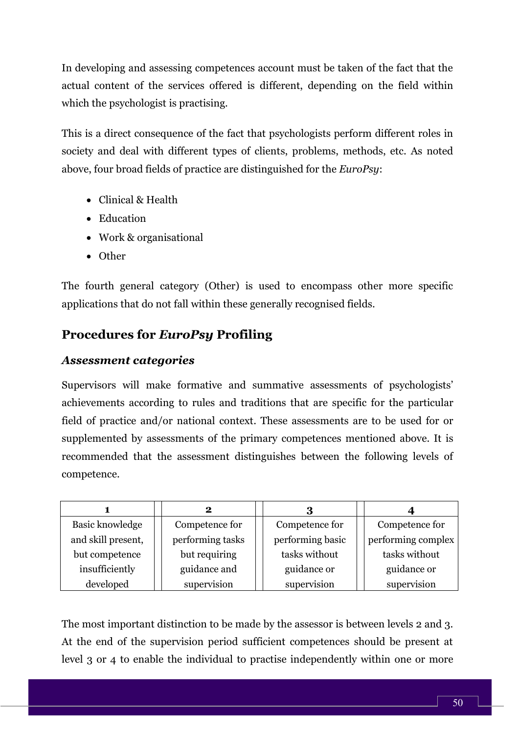In developing and assessing competences account must be taken of the fact that the actual content of the services offered is different, depending on the field within which the psychologist is practising.

This is a direct consequence of the fact that psychologists perform different roles in society and deal with different types of clients, problems, methods, etc. As noted above, four broad fields of practice are distinguished for the *EuroPsy*:

- Clinical & Health
- Education
- Work & organisational
- Other

The fourth general category (Other) is used to encompass other more specific applications that do not fall within these generally recognised fields.

# **Procedures for** *EuroPsy* **Profiling**

## *Assessment categories*

Supervisors will make formative and summative assessments of psychologists' achievements according to rules and traditions that are specific for the particular field of practice and/or national context. These assessments are to be used for or supplemented by assessments of the primary competences mentioned above. It is recommended that the assessment distinguishes between the following levels of competence.

|                    | 2                |                  |                    |
|--------------------|------------------|------------------|--------------------|
| Basic knowledge    | Competence for   | Competence for   | Competence for     |
| and skill present, | performing tasks | performing basic | performing complex |
| but competence     | but requiring    | tasks without    | tasks without      |
| insufficiently     | guidance and     | guidance or      | guidance or        |
| developed          | supervision      | supervision      | supervision        |

The most important distinction to be made by the assessor is between levels 2 and 3. At the end of the supervision period sufficient competences should be present at level 3 or 4 to enable the individual to practise independently within one or more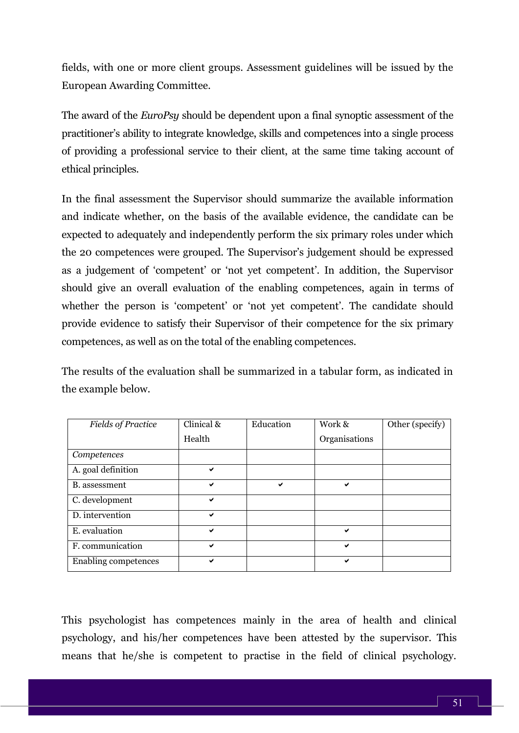fields, with one or more client groups. Assessment guidelines will be issued by the European Awarding Committee.

The award of the *EuroPsy* should be dependent upon a final synoptic assessment of the practitioner's ability to integrate knowledge, skills and competences into a single process of providing a professional service to their client, at the same time taking account of ethical principles.

In the final assessment the Supervisor should summarize the available information and indicate whether, on the basis of the available evidence, the candidate can be expected to adequately and independently perform the six primary roles under which the 20 competences were grouped. The Supervisor's judgement should be expressed as a judgement of 'competent' or 'not yet competent'. In addition, the Supervisor should give an overall evaluation of the enabling competences, again in terms of whether the person is 'competent' or 'not yet competent'. The candidate should provide evidence to satisfy their Supervisor of their competence for the six primary competences, as well as on the total of the enabling competences.

The results of the evaluation shall be summarized in a tabular form, as indicated in the example below.

| <b>Fields of Practice</b> | $\overline{\text{Clinical}}$ & | Education | Work &        | Other (specify) |
|---------------------------|--------------------------------|-----------|---------------|-----------------|
|                           | Health                         |           | Organisations |                 |
| Competences               |                                |           |               |                 |
| A. goal definition        | ✔                              |           |               |                 |
| <b>B.</b> assessment      | ✔                              | ✔         | ✔             |                 |
| C. development            | ✔                              |           |               |                 |
| D. intervention           | ✔                              |           |               |                 |
| E. evaluation             | ✔                              |           | ✔             |                 |
| F. communication          | ✔                              |           | ✔             |                 |
| Enabling competences      | ✔                              |           | ✔             |                 |

This psychologist has competences mainly in the area of health and clinical psychology, and his/her competences have been attested by the supervisor. This means that he/she is competent to practise in the field of clinical psychology.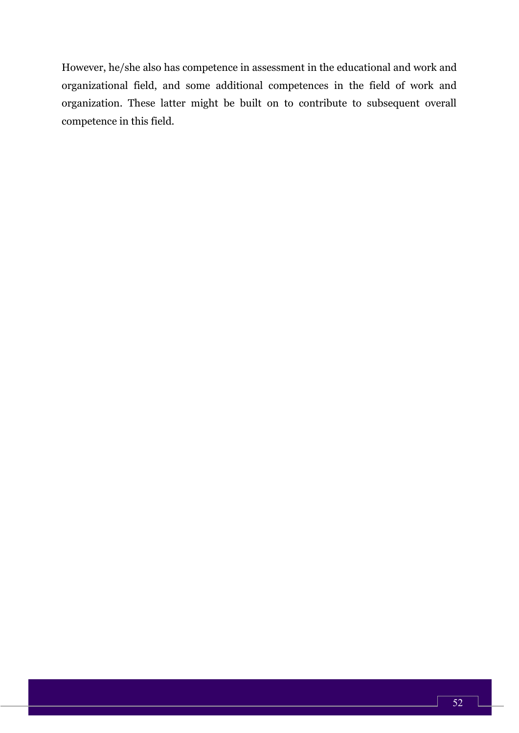However, he/she also has competence in assessment in the educational and work and organizational field, and some additional competences in the field of work and organization. These latter might be built on to contribute to subsequent overall competence in this field.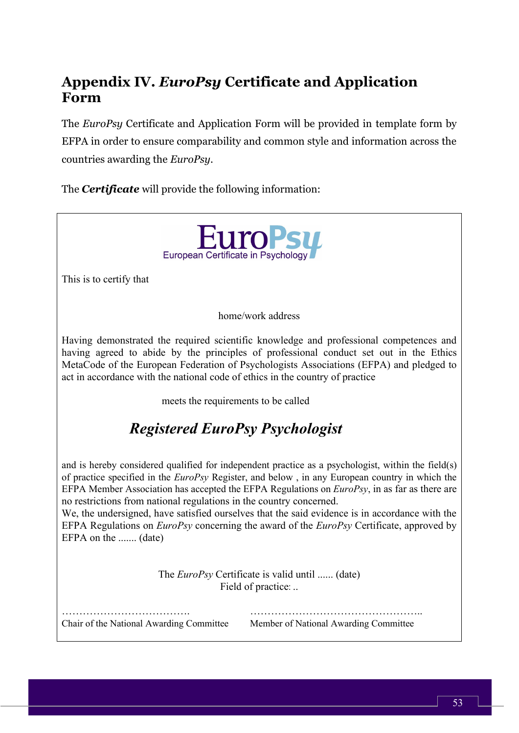# **Appendix IV.** *EuroPsy* **Certificate and Application Form**

The *EuroPsy* Certificate and Application Form will be provided in template form by EFPA in order to ensure comparability and common style and information across the countries awarding the *EuroPsy*.

The *Certificate* will provide the following information:

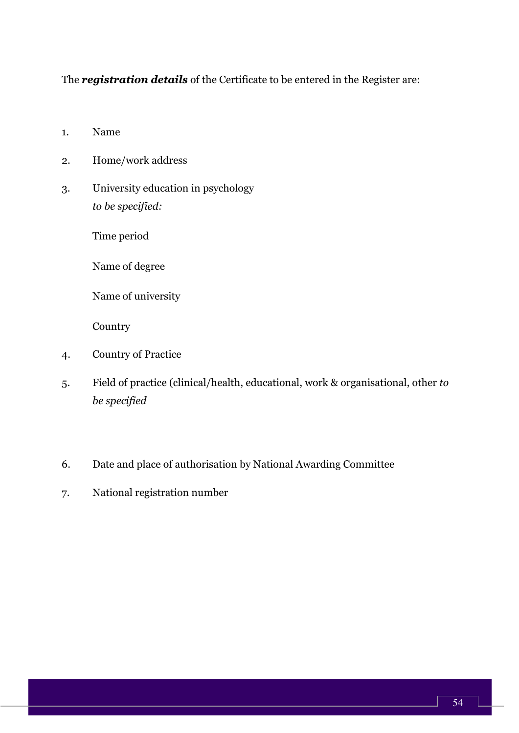The *registration details* of the Certificate to be entered in the Register are:

- 1. Name
- 2. Home/work address
- 3. University education in psychology *to be specified:*

Time period

Name of degree

Name of university

Country

- 4. Country of Practice
- 5. Field of practice (clinical/health, educational, work & organisational, other *to be specified*
- 6. Date and place of authorisation by National Awarding Committee
- 7. National registration number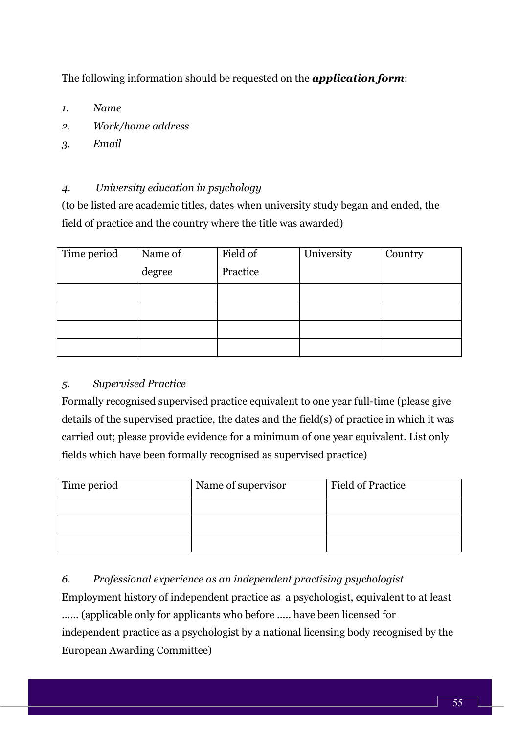The following information should be requested on the *application form*:

- *1. Name*
- *2. Work/home address*
- *3. Email*

## *4. University education in psychology*

(to be listed are academic titles, dates when university study began and ended, the field of practice and the country where the title was awarded)

| Time period | Name of<br>degree | Field of<br>Practice | University | Country |
|-------------|-------------------|----------------------|------------|---------|
|             |                   |                      |            |         |
|             |                   |                      |            |         |
|             |                   |                      |            |         |
|             |                   |                      |            |         |

#### *5. Supervised Practice*

Formally recognised supervised practice equivalent to one year full-time (please give details of the supervised practice, the dates and the field(s) of practice in which it was carried out; please provide evidence for a minimum of one year equivalent. List only fields which have been formally recognised as supervised practice)

| Time period | Name of supervisor | <b>Field of Practice</b> |
|-------------|--------------------|--------------------------|
|             |                    |                          |
|             |                    |                          |
|             |                    |                          |

*6. Professional experience as an independent practising psychologist*  Employment history of independent practice as a psychologist, equivalent to at least ...... (applicable only for applicants who before ..... have been licensed for independent practice as a psychologist by a national licensing body recognised by the European Awarding Committee)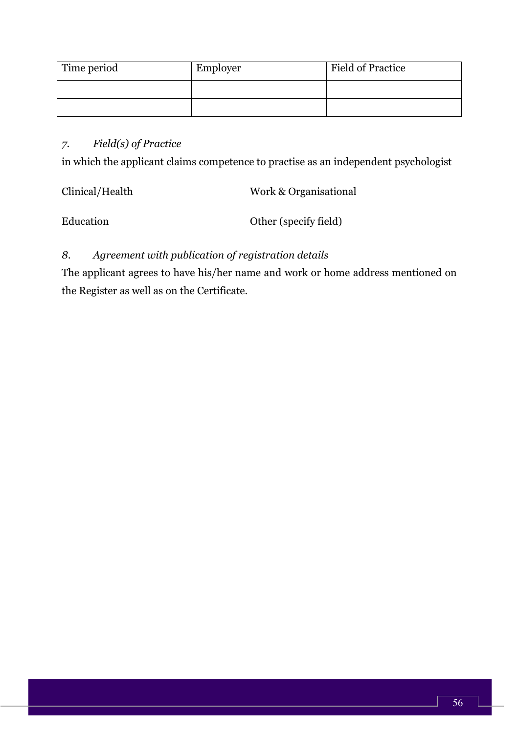| Time period | Employer | <b>Field of Practice</b> |
|-------------|----------|--------------------------|
|             |          |                          |
|             |          |                          |

## *7. Field(s) of Practice*

in which the applicant claims competence to practise as an independent psychologist

| Clinical/Health | Work & Organisational |
|-----------------|-----------------------|
| Education       | Other (specify field) |

# *8. Agreement with publication of registration details*

The applicant agrees to have his/her name and work or home address mentioned on the Register as well as on the Certificate.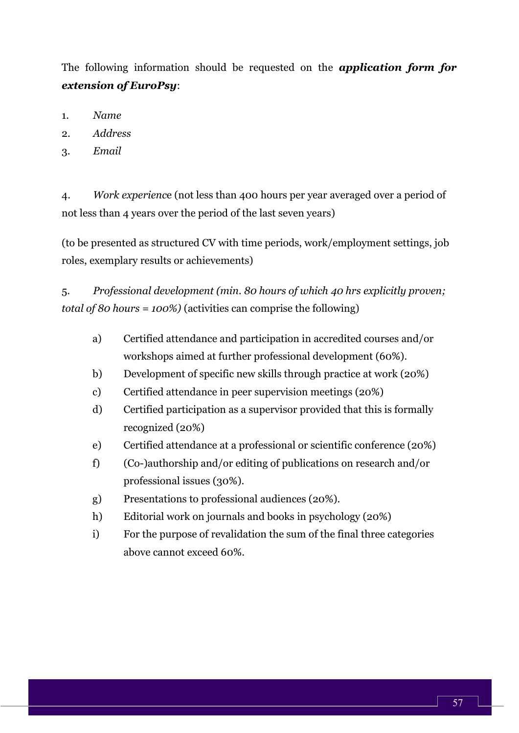The following information should be requested on the *application form for extension of EuroPsy*:

- 1. *Name*
- 2. *Address*
- 3. *Email*

4. *Work experienc*e (not less than 400 hours per year averaged over a period of not less than 4 years over the period of the last seven years)

(to be presented as structured CV with time periods, work/employment settings, job roles, exemplary results or achievements)

5*. Professional development (min. 80 hours of which 40 hrs explicitly proven; total of 80 hours = 100%)* (activities can comprise the following)

- a) Certified attendance and participation in accredited courses and/or workshops aimed at further professional development (60%).
- b) Development of specific new skills through practice at work (20%)
- c) Certified attendance in peer supervision meetings (20%)
- d) Certified participation as a supervisor provided that this is formally recognized (20%)
- e) Certified attendance at a professional or scientific conference (20%)
- f) (Co-)authorship and/or editing of publications on research and/or professional issues (30%).
- g) Presentations to professional audiences (20%).
- h) Editorial work on journals and books in psychology (20%)
- i) For the purpose of revalidation the sum of the final three categories above cannot exceed 60%.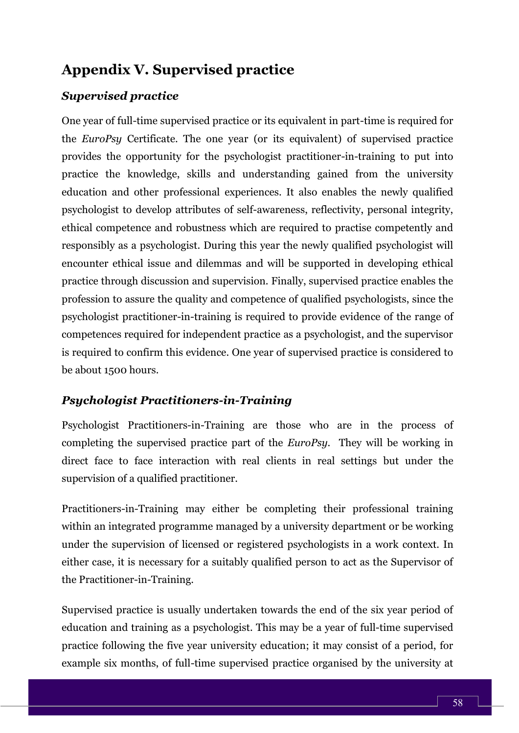# **Appendix V. Supervised practice**

# *Supervised practice*

One year of full-time supervised practice or its equivalent in part-time is required for the *EuroPsy* Certificate. The one year (or its equivalent) of supervised practice provides the opportunity for the psychologist practitioner-in-training to put into practice the knowledge, skills and understanding gained from the university education and other professional experiences. It also enables the newly qualified psychologist to develop attributes of self-awareness, reflectivity, personal integrity, ethical competence and robustness which are required to practise competently and responsibly as a psychologist. During this year the newly qualified psychologist will encounter ethical issue and dilemmas and will be supported in developing ethical practice through discussion and supervision. Finally, supervised practice enables the profession to assure the quality and competence of qualified psychologists, since the psychologist practitioner-in-training is required to provide evidence of the range of competences required for independent practice as a psychologist, and the supervisor is required to confirm this evidence. One year of supervised practice is considered to be about 1500 hours.

## *Psychologist Practitioners-in-Training*

Psychologist Practitioners-in-Training are those who are in the process of completing the supervised practice part of the *EuroPsy*. They will be working in direct face to face interaction with real clients in real settings but under the supervision of a qualified practitioner.

Practitioners-in-Training may either be completing their professional training within an integrated programme managed by a university department or be working under the supervision of licensed or registered psychologists in a work context. In either case, it is necessary for a suitably qualified person to act as the Supervisor of the Practitioner-in-Training.

Supervised practice is usually undertaken towards the end of the six year period of education and training as a psychologist. This may be a year of full-time supervised practice following the five year university education; it may consist of a period, for example six months, of full-time supervised practice organised by the university at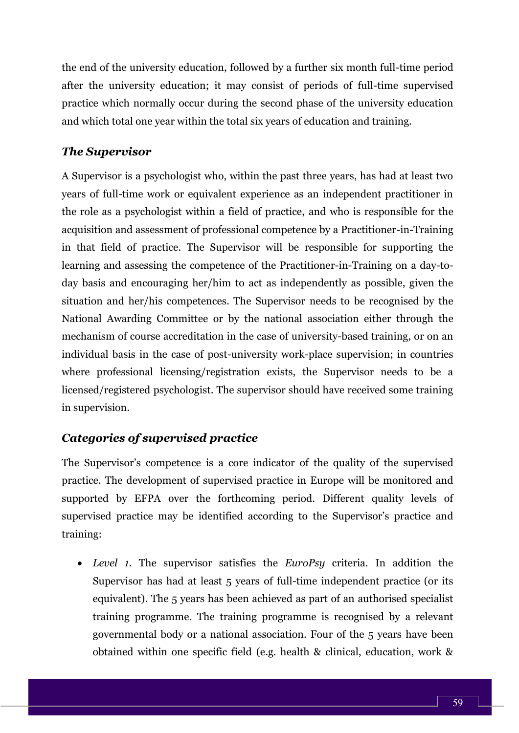the end of the university education, followed by a further six month full-time period after the university education; it may consist of periods of full-time supervised practice which normally occur during the second phase of the university education and which total one year within the total six years of education and training.

#### *The Supervisor*

A Supervisor is a psychologist who, within the past three years, has had at least two years of full-time work or equivalent experience as an independent practitioner in the role as a psychologist within a field of practice, and who is responsible for the acquisition and assessment of professional competence by a Practitioner-in-Training in that field of practice. The Supervisor will be responsible for supporting the learning and assessing the competence of the Practitioner-in-Training on a day-today basis and encouraging her/him to act as independently as possible, given the situation and her/his competences. The Supervisor needs to be recognised by the National Awarding Committee or by the national association either through the mechanism of course accreditation in the case of university-based training, or on an individual basis in the case of post-university work-place supervision; in countries where professional licensing/registration exists, the Supervisor needs to be a licensed/registered psychologist. The supervisor should have received some training in supervision.

## *Categories of supervised practice*

The Supervisor's competence is a core indicator of the quality of the supervised practice. The development of supervised practice in Europe will be monitored and supported by EFPA over the forthcoming period. Different quality levels of supervised practice may be identified according to the Supervisor's practice and training:

• *Level 1.* The supervisor satisfies the *EuroPsy* criteria. In addition the Supervisor has had at least 5 years of full-time independent practice (or its equivalent). The 5 years has been achieved as part of an authorised specialist training programme. The training programme is recognised by a relevant governmental body or a national association. Four of the 5 years have been obtained within one specific field (e.g. health & clinical, education, work &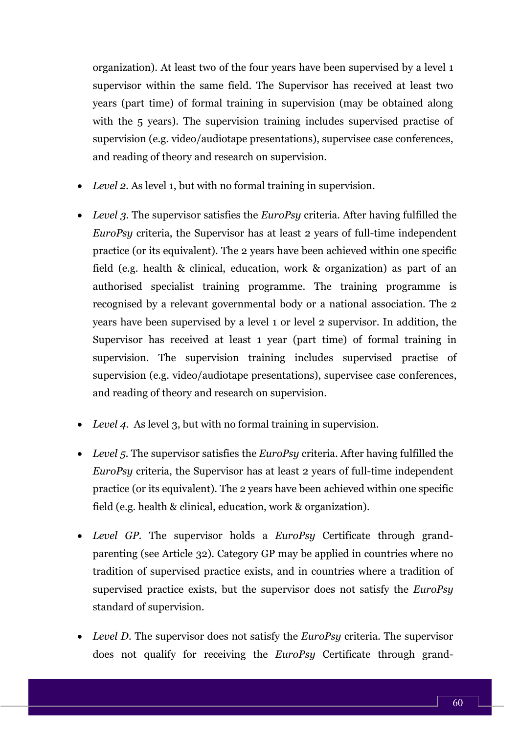organization). At least two of the four years have been supervised by a level 1 supervisor within the same field. The Supervisor has received at least two years (part time) of formal training in supervision (may be obtained along with the 5 years). The supervision training includes supervised practise of supervision (e.g. video/audiotape presentations), supervisee case conferences, and reading of theory and research on supervision.

- *Level 2.* As level 1, but with no formal training in supervision.
- *Level 3.* The supervisor satisfies the *EuroPsy* criteria. After having fulfilled the *EuroPsy* criteria, the Supervisor has at least 2 years of full-time independent practice (or its equivalent). The 2 years have been achieved within one specific field (e.g. health & clinical, education, work & organization) as part of an authorised specialist training programme. The training programme is recognised by a relevant governmental body or a national association. The 2 years have been supervised by a level 1 or level 2 supervisor. In addition, the Supervisor has received at least 1 year (part time) of formal training in supervision. The supervision training includes supervised practise of supervision (e.g. video/audiotape presentations), supervisee case conferences, and reading of theory and research on supervision.
- *Level 4.* As level 3, but with no formal training in supervision.
- *Level 5.* The supervisor satisfies the *EuroPsy* criteria. After having fulfilled the *EuroPsy* criteria, the Supervisor has at least 2 years of full-time independent practice (or its equivalent). The 2 years have been achieved within one specific field (e.g. health & clinical, education, work & organization).
- *Level GP.* The supervisor holds a *EuroPsy* Certificate through grandparenting (see Article 32). Category GP may be applied in countries where no tradition of supervised practice exists, and in countries where a tradition of supervised practice exists, but the supervisor does not satisfy the *EuroPsy* standard of supervision.
- *Level D.* The supervisor does not satisfy the *EuroPsy* criteria. The supervisor does not qualify for receiving the *EuroPsy* Certificate through grand-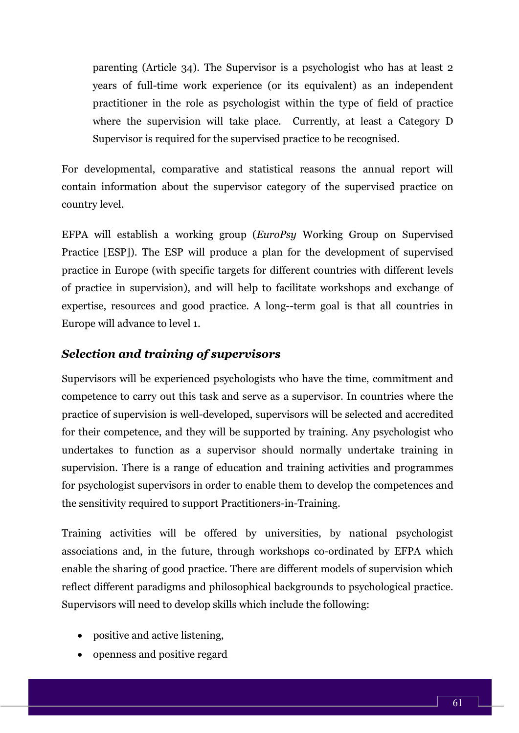parenting (Article 34). The Supervisor is a psychologist who has at least 2 years of full-time work experience (or its equivalent) as an independent practitioner in the role as psychologist within the type of field of practice where the supervision will take place. Currently, at least a Category D Supervisor is required for the supervised practice to be recognised.

For developmental, comparative and statistical reasons the annual report will contain information about the supervisor category of the supervised practice on country level.

EFPA will establish a working group (*EuroPsy* Working Group on Supervised Practice [ESP]). The ESP will produce a plan for the development of supervised practice in Europe (with specific targets for different countries with different levels of practice in supervision), and will help to facilitate workshops and exchange of expertise, resources and good practice. A long--term goal is that all countries in Europe will advance to level 1.

## *Selection and training of supervisors*

Supervisors will be experienced psychologists who have the time, commitment and competence to carry out this task and serve as a supervisor. In countries where the practice of supervision is well-developed, supervisors will be selected and accredited for their competence, and they will be supported by training. Any psychologist who undertakes to function as a supervisor should normally undertake training in supervision. There is a range of education and training activities and programmes for psychologist supervisors in order to enable them to develop the competences and the sensitivity required to support Practitioners-in-Training.

Training activities will be offered by universities, by national psychologist associations and, in the future, through workshops co-ordinated by EFPA which enable the sharing of good practice. There are different models of supervision which reflect different paradigms and philosophical backgrounds to psychological practice. Supervisors will need to develop skills which include the following:

- positive and active listening,
- openness and positive regard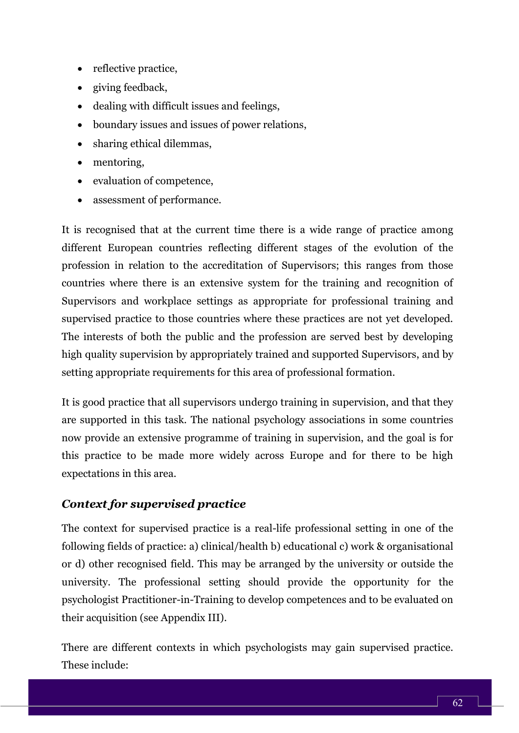- reflective practice,
- giving feedback,
- dealing with difficult issues and feelings,
- boundary issues and issues of power relations,
- sharing ethical dilemmas,
- mentoring,
- evaluation of competence,
- assessment of performance.

It is recognised that at the current time there is a wide range of practice among different European countries reflecting different stages of the evolution of the profession in relation to the accreditation of Supervisors; this ranges from those countries where there is an extensive system for the training and recognition of Supervisors and workplace settings as appropriate for professional training and supervised practice to those countries where these practices are not yet developed. The interests of both the public and the profession are served best by developing high quality supervision by appropriately trained and supported Supervisors, and by setting appropriate requirements for this area of professional formation.

It is good practice that all supervisors undergo training in supervision, and that they are supported in this task. The national psychology associations in some countries now provide an extensive programme of training in supervision, and the goal is for this practice to be made more widely across Europe and for there to be high expectations in this area.

# *Context for supervised practice*

The context for supervised practice is a real-life professional setting in one of the following fields of practice: a) clinical/health b) educational c) work & organisational or d) other recognised field. This may be arranged by the university or outside the university. The professional setting should provide the opportunity for the psychologist Practitioner-in-Training to develop competences and to be evaluated on their acquisition (see Appendix III).

There are different contexts in which psychologists may gain supervised practice. These include: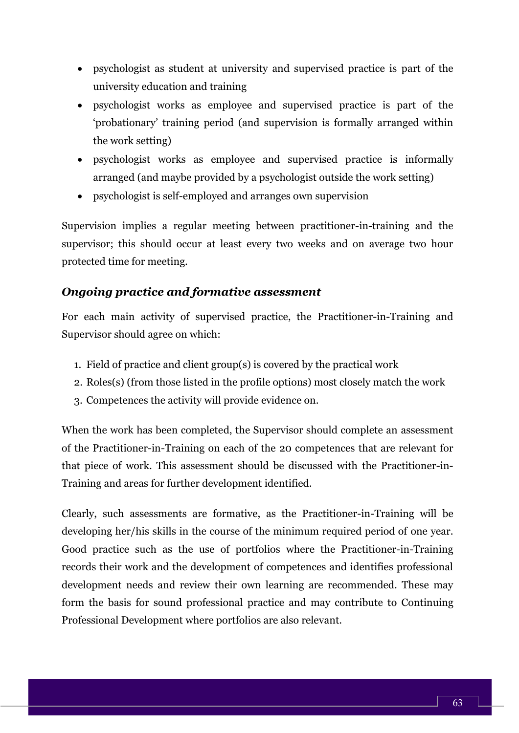- psychologist as student at university and supervised practice is part of the university education and training
- psychologist works as employee and supervised practice is part of the 'probationary' training period (and supervision is formally arranged within the work setting)
- psychologist works as employee and supervised practice is informally arranged (and maybe provided by a psychologist outside the work setting)
- psychologist is self-employed and arranges own supervision

Supervision implies a regular meeting between practitioner-in-training and the supervisor; this should occur at least every two weeks and on average two hour protected time for meeting.

#### *Ongoing practice and formative assessment*

For each main activity of supervised practice, the Practitioner-in-Training and Supervisor should agree on which:

- 1. Field of practice and client group(s) is covered by the practical work
- 2. Roles(s) (from those listed in the profile options) most closely match the work
- 3. Competences the activity will provide evidence on.

When the work has been completed, the Supervisor should complete an assessment of the Practitioner-in-Training on each of the 20 competences that are relevant for that piece of work. This assessment should be discussed with the Practitioner-in-Training and areas for further development identified.

Clearly, such assessments are formative, as the Practitioner-in-Training will be developing her/his skills in the course of the minimum required period of one year. Good practice such as the use of portfolios where the Practitioner-in-Training records their work and the development of competences and identifies professional development needs and review their own learning are recommended. These may form the basis for sound professional practice and may contribute to Continuing Professional Development where portfolios are also relevant.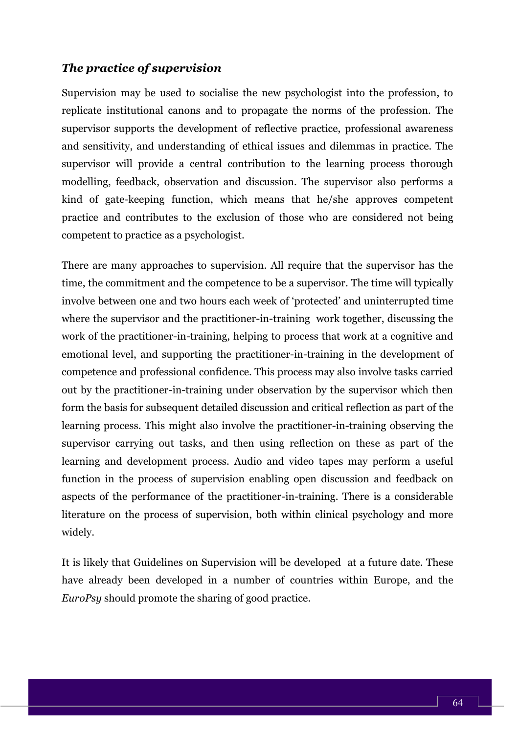#### *The practice of supervision*

Supervision may be used to socialise the new psychologist into the profession, to replicate institutional canons and to propagate the norms of the profession. The supervisor supports the development of reflective practice, professional awareness and sensitivity, and understanding of ethical issues and dilemmas in practice. The supervisor will provide a central contribution to the learning process thorough modelling, feedback, observation and discussion. The supervisor also performs a kind of gate-keeping function, which means that he/she approves competent practice and contributes to the exclusion of those who are considered not being competent to practice as a psychologist.

There are many approaches to supervision. All require that the supervisor has the time, the commitment and the competence to be a supervisor. The time will typically involve between one and two hours each week of 'protected' and uninterrupted time where the supervisor and the practitioner-in-training work together, discussing the work of the practitioner-in-training, helping to process that work at a cognitive and emotional level, and supporting the practitioner-in-training in the development of competence and professional confidence. This process may also involve tasks carried out by the practitioner-in-training under observation by the supervisor which then form the basis for subsequent detailed discussion and critical reflection as part of the learning process. This might also involve the practitioner-in-training observing the supervisor carrying out tasks, and then using reflection on these as part of the learning and development process. Audio and video tapes may perform a useful function in the process of supervision enabling open discussion and feedback on aspects of the performance of the practitioner-in-training. There is a considerable literature on the process of supervision, both within clinical psychology and more widely.

It is likely that Guidelines on Supervision will be developed at a future date. These have already been developed in a number of countries within Europe, and the *EuroPsy* should promote the sharing of good practice.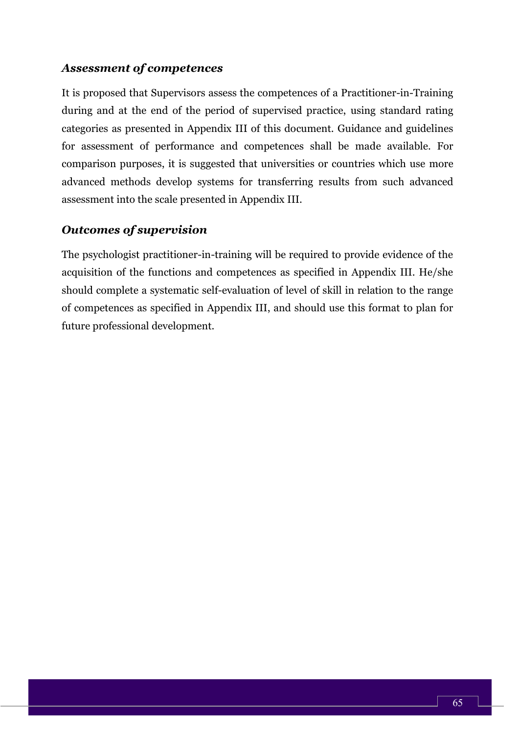#### *Assessment of competences*

It is proposed that Supervisors assess the competences of a Practitioner-in-Training during and at the end of the period of supervised practice, using standard rating categories as presented in Appendix III of this document. Guidance and guidelines for assessment of performance and competences shall be made available. For comparison purposes, it is suggested that universities or countries which use more advanced methods develop systems for transferring results from such advanced assessment into the scale presented in Appendix III.

## *Outcomes of supervision*

The psychologist practitioner-in-training will be required to provide evidence of the acquisition of the functions and competences as specified in Appendix III. He/she should complete a systematic self-evaluation of level of skill in relation to the range of competences as specified in Appendix III, and should use this format to plan for future professional development.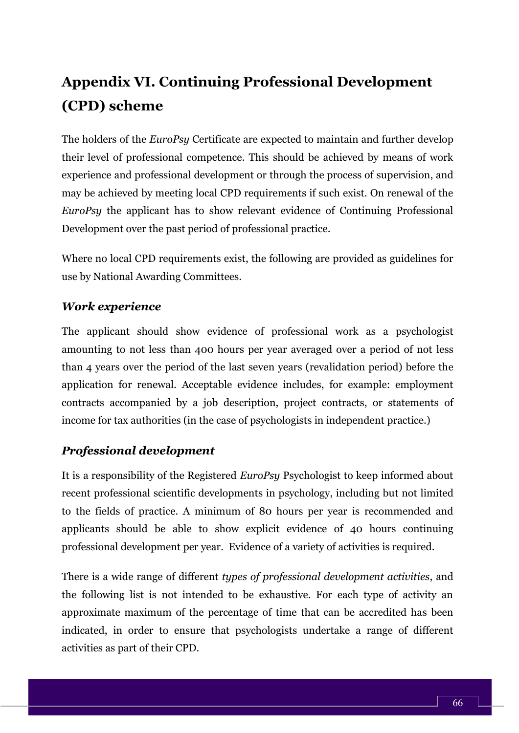# **Appendix VI. Continuing Professional Development (CPD) scheme**

The holders of the *EuroPsy* Certificate are expected to maintain and further develop their level of professional competence. This should be achieved by means of work experience and professional development or through the process of supervision, and may be achieved by meeting local CPD requirements if such exist. On renewal of the *EuroPsy* the applicant has to show relevant evidence of Continuing Professional Development over the past period of professional practice.

Where no local CPD requirements exist, the following are provided as guidelines for use by National Awarding Committees.

# *Work experience*

The applicant should show evidence of professional work as a psychologist amounting to not less than 400 hours per year averaged over a period of not less than 4 years over the period of the last seven years (revalidation period) before the application for renewal. Acceptable evidence includes, for example: employment contracts accompanied by a job description, project contracts, or statements of income for tax authorities (in the case of psychologists in independent practice.)

## *Professional development*

It is a responsibility of the Registered *EuroPsy* Psychologist to keep informed about recent professional scientific developments in psychology, including but not limited to the fields of practice. A minimum of 80 hours per year is recommended and applicants should be able to show explicit evidence of 40 hours continuing professional development per year. Evidence of a variety of activities is required.

There is a wide range of different *types of professional development activities*, and the following list is not intended to be exhaustive. For each type of activity an approximate maximum of the percentage of time that can be accredited has been indicated, in order to ensure that psychologists undertake a range of different activities as part of their CPD.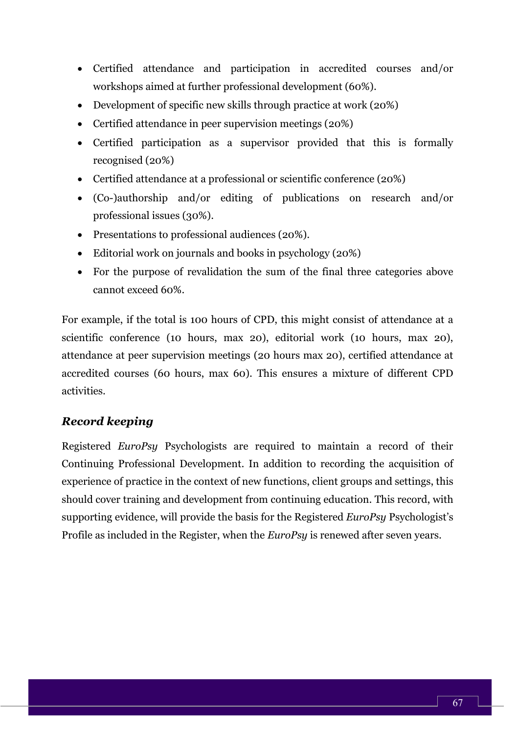- Certified attendance and participation in accredited courses and/or workshops aimed at further professional development (60%).
- Development of specific new skills through practice at work (20%)
- Certified attendance in peer supervision meetings (20%)
- Certified participation as a supervisor provided that this is formally recognised (20%)
- Certified attendance at a professional or scientific conference (20%)
- (Co-)authorship and/or editing of publications on research and/or professional issues (30%).
- Presentations to professional audiences (20%).
- Editorial work on journals and books in psychology (20%)
- For the purpose of revalidation the sum of the final three categories above cannot exceed 60%.

For example, if the total is 100 hours of CPD, this might consist of attendance at a scientific conference (10 hours, max 20), editorial work (10 hours, max 20), attendance at peer supervision meetings (20 hours max 20), certified attendance at accredited courses (60 hours, max 60). This ensures a mixture of different CPD activities.

## *Record keeping*

Registered *EuroPsy* Psychologists are required to maintain a record of their Continuing Professional Development. In addition to recording the acquisition of experience of practice in the context of new functions, client groups and settings, this should cover training and development from continuing education. This record, with supporting evidence, will provide the basis for the Registered *EuroPsy* Psychologist's Profile as included in the Register, when the *EuroPsy* is renewed after seven years.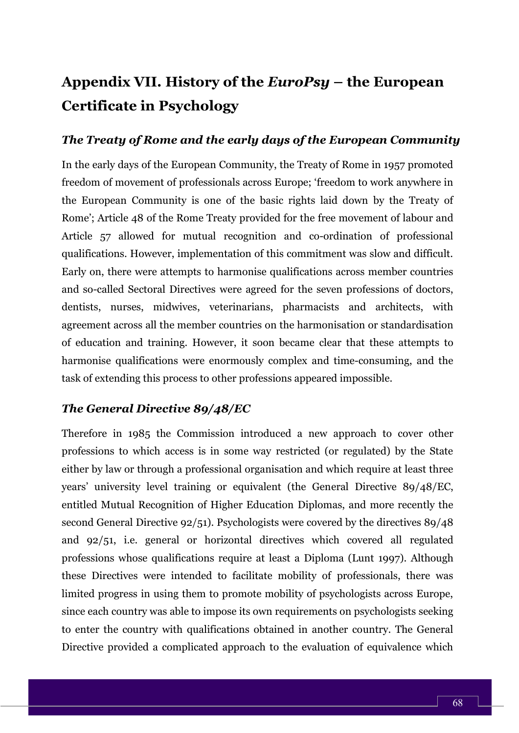# **Appendix VII. History of the** *EuroPsy* **– the European Certificate in Psychology**

#### *The Treaty of Rome and the early days of the European Community*

In the early days of the European Community, the Treaty of Rome in 1957 promoted freedom of movement of professionals across Europe; 'freedom to work anywhere in the European Community is one of the basic rights laid down by the Treaty of Rome'; Article 48 of the Rome Treaty provided for the free movement of labour and Article 57 allowed for mutual recognition and co-ordination of professional qualifications. However, implementation of this commitment was slow and difficult. Early on, there were attempts to harmonise qualifications across member countries and so-called Sectoral Directives were agreed for the seven professions of doctors, dentists, nurses, midwives, veterinarians, pharmacists and architects, with agreement across all the member countries on the harmonisation or standardisation of education and training. However, it soon became clear that these attempts to harmonise qualifications were enormously complex and time-consuming, and the task of extending this process to other professions appeared impossible.

#### *The General Directive 89/48/EC*

Therefore in 1985 the Commission introduced a new approach to cover other professions to which access is in some way restricted (or regulated) by the State either by law or through a professional organisation and which require at least three years' university level training or equivalent (the General Directive 89/48/EC, entitled Mutual Recognition of Higher Education Diplomas, and more recently the second General Directive 92/51). Psychologists were covered by the directives 89/48 and 92/51, i.e. general or horizontal directives which covered all regulated professions whose qualifications require at least a Diploma (Lunt 1997). Although these Directives were intended to facilitate mobility of professionals, there was limited progress in using them to promote mobility of psychologists across Europe, since each country was able to impose its own requirements on psychologists seeking to enter the country with qualifications obtained in another country. The General Directive provided a complicated approach to the evaluation of equivalence which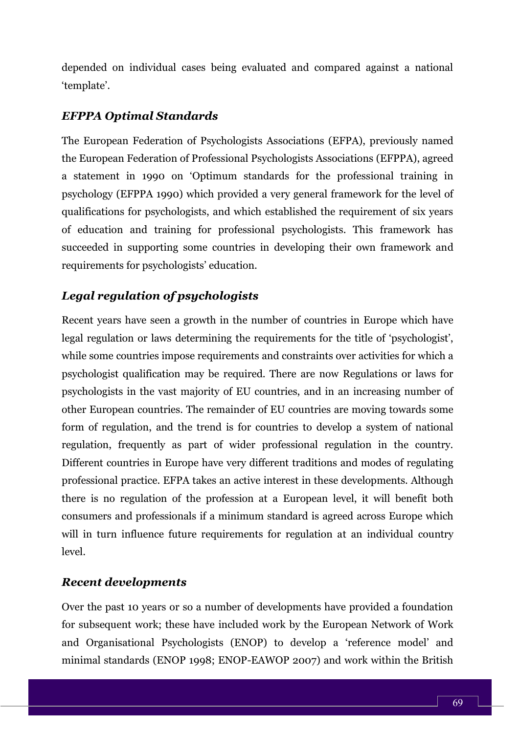depended on individual cases being evaluated and compared against a national 'template'.

#### *EFPPA Optimal Standards*

The European Federation of Psychologists Associations (EFPA), previously named the European Federation of Professional Psychologists Associations (EFPPA), agreed a statement in 1990 on 'Optimum standards for the professional training in psychology (EFPPA 1990) which provided a very general framework for the level of qualifications for psychologists, and which established the requirement of six years of education and training for professional psychologists. This framework has succeeded in supporting some countries in developing their own framework and requirements for psychologists' education.

#### *Legal regulation of psychologists*

Recent years have seen a growth in the number of countries in Europe which have legal regulation or laws determining the requirements for the title of 'psychologist', while some countries impose requirements and constraints over activities for which a psychologist qualification may be required. There are now Regulations or laws for psychologists in the vast majority of EU countries, and in an increasing number of other European countries. The remainder of EU countries are moving towards some form of regulation, and the trend is for countries to develop a system of national regulation, frequently as part of wider professional regulation in the country. Different countries in Europe have very different traditions and modes of regulating professional practice. EFPA takes an active interest in these developments. Although there is no regulation of the profession at a European level, it will benefit both consumers and professionals if a minimum standard is agreed across Europe which will in turn influence future requirements for regulation at an individual country level.

#### *Recent developments*

Over the past 10 years or so a number of developments have provided a foundation for subsequent work; these have included work by the European Network of Work and Organisational Psychologists (ENOP) to develop a 'reference model' and minimal standards (ENOP 1998; ENOP-EAWOP 2007) and work within the British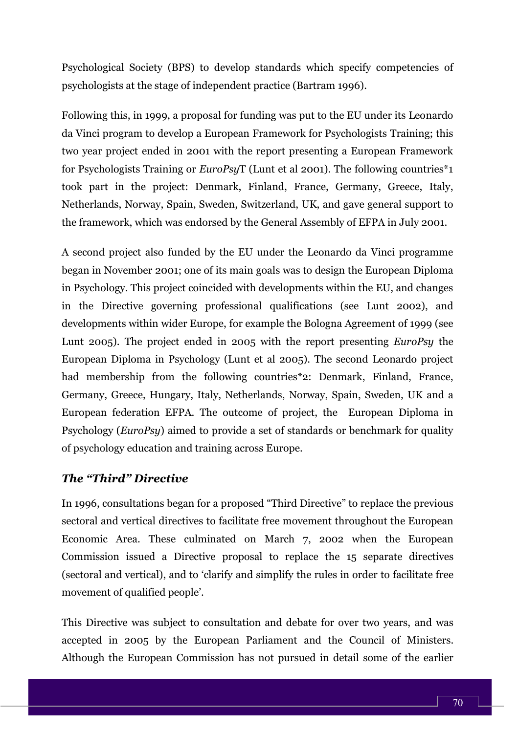Psychological Society (BPS) to develop standards which specify competencies of psychologists at the stage of independent practice (Bartram 1996).

Following this, in 1999, a proposal for funding was put to the EU under its Leonardo da Vinci program to develop a European Framework for Psychologists Training; this two year project ended in 2001 with the report presenting a European Framework for Psychologists Training or *EuroPsy*T (Lunt et al 2001). The following countries\*1 took part in the project: Denmark, Finland, France, Germany, Greece, Italy, Netherlands, Norway, Spain, Sweden, Switzerland, UK, and gave general support to the framework, which was endorsed by the General Assembly of EFPA in July 2001.

A second project also funded by the EU under the Leonardo da Vinci programme began in November 2001; one of its main goals was to design the European Diploma in Psychology. This project coincided with developments within the EU, and changes in the Directive governing professional qualifications (see Lunt 2002), and developments within wider Europe, for example the Bologna Agreement of 1999 (see Lunt 2005). The project ended in 2005 with the report presenting *EuroPsy* the European Diploma in Psychology (Lunt et al 2005). The second Leonardo project had membership from the following countries\*2: Denmark, Finland, France, Germany, Greece, Hungary, Italy, Netherlands, Norway, Spain, Sweden, UK and a European federation EFPA. The outcome of project, the European Diploma in Psychology (*EuroPsy*) aimed to provide a set of standards or benchmark for quality of psychology education and training across Europe.

#### *The "Third" Directive*

In 1996, consultations began for a proposed "Third Directive" to replace the previous sectoral and vertical directives to facilitate free movement throughout the European Economic Area. These culminated on March 7, 2002 when the European Commission issued a Directive proposal to replace the 15 separate directives (sectoral and vertical), and to 'clarify and simplify the rules in order to facilitate free movement of qualified people'.

This Directive was subject to consultation and debate for over two years, and was accepted in 2005 by the European Parliament and the Council of Ministers. Although the European Commission has not pursued in detail some of the earlier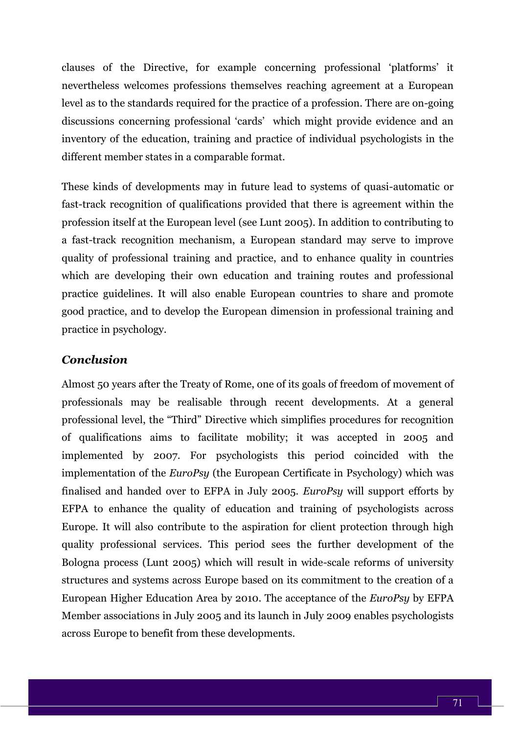clauses of the Directive, for example concerning professional 'platforms' it nevertheless welcomes professions themselves reaching agreement at a European level as to the standards required for the practice of a profession. There are on-going discussions concerning professional 'cards' which might provide evidence and an inventory of the education, training and practice of individual psychologists in the different member states in a comparable format.

These kinds of developments may in future lead to systems of quasi-automatic or fast-track recognition of qualifications provided that there is agreement within the profession itself at the European level (see Lunt 2005). In addition to contributing to a fast-track recognition mechanism, a European standard may serve to improve quality of professional training and practice, and to enhance quality in countries which are developing their own education and training routes and professional practice guidelines. It will also enable European countries to share and promote good practice, and to develop the European dimension in professional training and practice in psychology.

#### *Conclusion*

Almost 50 years after the Treaty of Rome, one of its goals of freedom of movement of professionals may be realisable through recent developments. At a general professional level, the "Third" Directive which simplifies procedures for recognition of qualifications aims to facilitate mobility; it was accepted in 2005 and implemented by 2007. For psychologists this period coincided with the implementation of the *EuroPsy* (the European Certificate in Psychology) which was finalised and handed over to EFPA in July 2005. *EuroPsy* will support efforts by EFPA to enhance the quality of education and training of psychologists across Europe. It will also contribute to the aspiration for client protection through high quality professional services. This period sees the further development of the Bologna process (Lunt 2005) which will result in wide-scale reforms of university structures and systems across Europe based on its commitment to the creation of a European Higher Education Area by 2010. The acceptance of the *EuroPsy* by EFPA Member associations in July 2005 and its launch in July 2009 enables psychologists across Europe to benefit from these developments.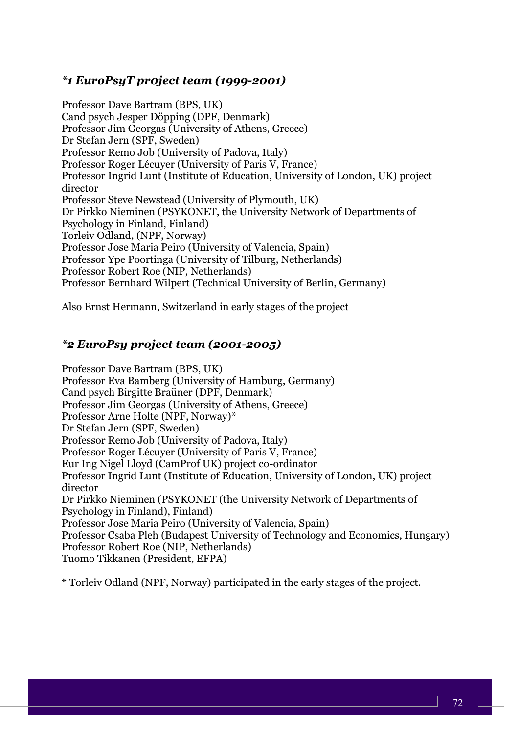### *\*1 EuroPsyT pr0ject team (1999-2001)*

Professor Dave Bartram (BPS, UK) Cand psych Jesper Döpping (DPF, Denmark) Professor Jim Georgas (University of Athens, Greece) Dr Stefan Jern (SPF, Sweden) Professor Remo Job (University of Padova, Italy) Professor Roger Lécuyer (University of Paris V, France) Professor Ingrid Lunt (Institute of Education, University of London, UK) project director Professor Steve Newstead (University of Plymouth, UK) Dr Pirkko Nieminen (PSYKONET, the University Network of Departments of Psychology in Finland, Finland) Torleiv Odland, (NPF, Norway) Professor Jose Maria Peiro (University of Valencia, Spain) Professor Ype Poortinga (University of Tilburg, Netherlands) Professor Robert Roe (NIP, Netherlands) Professor Bernhard Wilpert (Technical University of Berlin, Germany)

Also Ernst Hermann, Switzerland in early stages of the project

# *\*2 EuroPsy project team (2001-2005)*

Professor Dave Bartram (BPS, UK) Professor Eva Bamberg (University of Hamburg, Germany) Cand psych Birgitte Braüner (DPF, Denmark) Professor Jim Georgas (University of Athens, Greece) Professor Arne Holte (NPF, Norway)\* Dr Stefan Jern (SPF, Sweden) Professor Remo Job (University of Padova, Italy) Professor Roger Lécuyer (University of Paris V, France) Eur Ing Nigel Lloyd (CamProf UK) project co-ordinator Professor Ingrid Lunt (Institute of Education, University of London, UK) project director Dr Pirkko Nieminen (PSYKONET (the University Network of Departments of Psychology in Finland), Finland) Professor Jose Maria Peiro (University of Valencia, Spain) Professor Csaba Pleh (Budapest University of Technology and Economics, Hungary) Professor Robert Roe (NIP, Netherlands) Tuomo Tikkanen (President, EFPA)

\* Torleiv Odland (NPF, Norway) participated in the early stages of the project.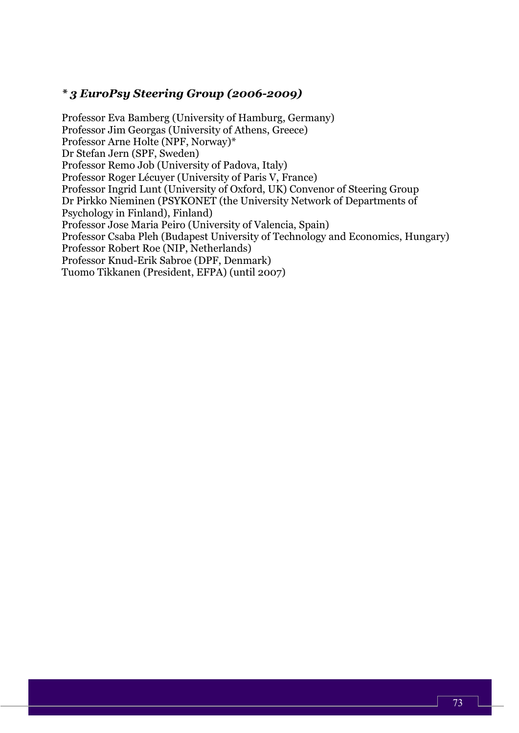## *\* 3 EuroPsy Steering Group (2006-2009)*

Professor Eva Bamberg (University of Hamburg, Germany) Professor Jim Georgas (University of Athens, Greece) Professor Arne Holte (NPF, Norway)\* Dr Stefan Jern (SPF, Sweden) Professor Remo Job (University of Padova, Italy) Professor Roger Lécuyer (University of Paris V, France) Professor Ingrid Lunt (University of Oxford, UK) Convenor of Steering Group Dr Pirkko Nieminen (PSYKONET (the University Network of Departments of Psychology in Finland), Finland) Professor Jose Maria Peiro (University of Valencia, Spain) Professor Csaba Pleh (Budapest University of Technology and Economics, Hungary) Professor Robert Roe (NIP, Netherlands) Professor Knud-Erik Sabroe (DPF, Denmark) Tuomo Tikkanen (President, EFPA) (until 2007)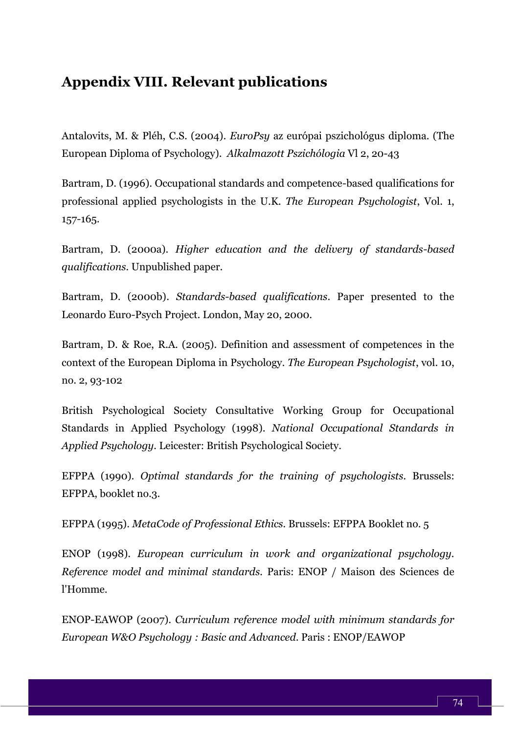# **Appendix VIII. Relevant publications**

Antalovits, M. & Pléh, C.S. (2004). *EuroPsy* az európai pszichológus diploma. (The European Diploma of Psychology). *Alkalmazott Pszichólogia* Vl 2, 20-43

Bartram, D. (1996). Occupational standards and competence-based qualifications for professional applied psychologists in the U.K. *The European Psychologist*, Vol. 1, 157-165.

Bartram, D. (2000a). *Higher education and the delivery of standards-based qualifications.* Unpublished paper.

Bartram, D. (2000b). *Standards-based qualifications*. Paper presented to the Leonardo Euro-Psych Project. London, May 20, 2000.

Bartram, D. & Roe, R.A. (2005). Definition and assessment of competences in the context of the European Diploma in Psychology. *The European Psychologist*, vol. 10, no. 2, 93-102

British Psychological Society Consultative Working Group for Occupational Standards in Applied Psychology (1998). *National Occupational Standards in Applied Psychology.* Leicester: British Psychological Society.

EFPPA (1990). *Optimal standards for the training of psychologists.* Brussels: EFPPA, booklet no.3.

EFPPA (1995). *MetaCode of Professional Ethics.* Brussels: EFPPA Booklet no. 5

ENOP (1998). *European curriculum in work and organizational psychology. Reference model and minimal standards.* Paris: ENOP / Maison des Sciences de l'Homme.

ENOP-EAWOP (2007). *Curriculum reference model with minimum standards for European W&O Psychology : Basic and Advanced*. Paris : ENOP/EAWOP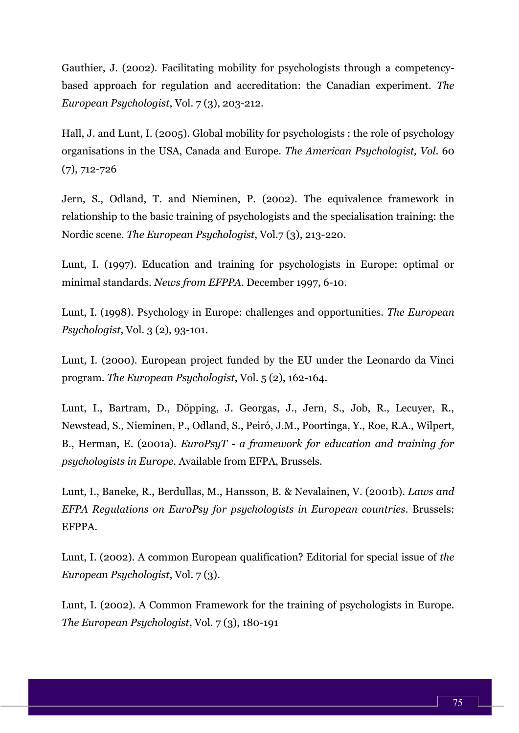Gauthier, J. (2002). Facilitating mobility for psychologists through a competencybased approach for regulation and accreditation: the Canadian experiment. *The European Psychologist*, Vol. 7 (3), 203-212.

Hall, J. and Lunt, I. (2005). Global mobility for psychologists : the role of psychology organisations in the USA, Canada and Europe. *The American Psychologist, Vol.* 60 (7), 712-726

Jern, S., Odland, T. and Nieminen, P. (2002). The equivalence framework in relationship to the basic training of psychologists and the specialisation training: the Nordic scene. *The European Psychologist*, Vol.7 (3), 213-220.

Lunt, I. (1997). Education and training for psychologists in Europe: optimal or minimal standards. *News from EFPPA.* December 1997, 6-10.

Lunt, I. (1998). Psychology in Europe: challenges and opportunities. *The European Psychologist*, Vol. 3 (2), 93-101.

Lunt, I. (2000). European project funded by the EU under the Leonardo da Vinci program. *The European Psychologist*, Vol. 5 (2), 162-164.

Lunt, I., Bartram, D., Döpping, J. Georgas, J., Jern, S., Job, R., Lecuyer, R., Newstead, S., Nieminen, P., Odland, S., Peiró, J.M., Poortinga, Y., Roe, R.A., Wilpert, B., Herman, E. (2001a). *EuroPsyT - a framework for education and training for psychologists in Europe*. Available from EFPA, Brussels.

Lunt, I., Baneke, R., Berdullas, M., Hansson, B. & Nevalainen, V. (2001b). *Laws and EFPA Regulations on EuroPsy for psychologists in European countries*. Brussels: EFPPA.

Lunt, I. (2002). A common European qualification? Editorial for special issue of *the European Psychologist*, Vol. 7 (3).

Lunt, I. (2002). A Common Framework for the training of psychologists in Europe. *The European Psychologist*, Vol. 7 (3), 180-191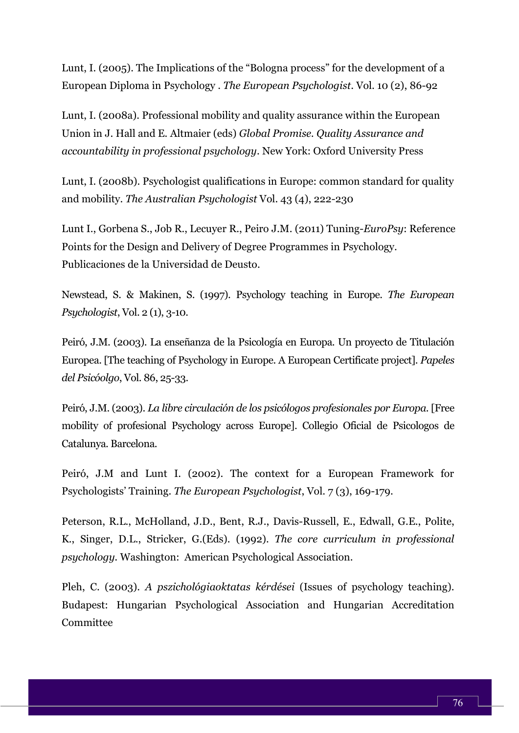Lunt, I. (2005). The Implications of the "Bologna process" for the development of a European Diploma in Psychology . *The European Psychologist*. Vol. 10 (2), 86-92

Lunt, I. (2008a). Professional mobility and quality assurance within the European Union in J. Hall and E. Altmaier (eds) *Global Promise. Quality Assurance and accountability in professional psychology*. New York: Oxford University Press

Lunt, I. (2008b). Psychologist qualifications in Europe: common standard for quality and mobility. *The Australian Psychologist* Vol. 43 (4), 222-230

Lunt I., Gorbena S., Job R., Lecuyer R., Peiro J.M. (2011) Tuning-*EuroPsy*: Reference Points for the Design and Delivery of Degree Programmes in Psychology. Publicaciones de la Universidad de Deusto.

Newstead, S. & Makinen, S. (1997). Psychology teaching in Europe. *The European Psychologist*, Vol. 2 (1), 3-10.

Peiró, J.M. (2003). La enseñanza de la Psicología en Europa. Un proyecto de Titulación Europea. [The teaching of Psychology in Europe. A European Certificate project]. *Papeles del Psicóolgo*, Vol. 86, 25-33.

Peiró, J.M. (2003). *La libre circulación de los psicólogos profesionales por Europa*. [Free mobility of profesional Psychology across Europe]. Collegio Oficial de Psicologos de Catalunya. Barcelona.

Peiró, J.M and Lunt I. (2002). The context for a European Framework for Psychologists' Training. *The European Psychologist*, Vol. 7 (3), 169-179.

Peterson, R.L., McHolland, J.D., Bent, R.J., Davis-Russell, E., Edwall, G.E., Polite, K., Singer, D.L., Stricker, G.(Eds). (1992). *The core curriculum in professional psychology.* Washington: American Psychological Association.

Pleh, C. (2003). *A pszichológiaoktatas kérdései* (Issues of psychology teaching). Budapest: Hungarian Psychological Association and Hungarian Accreditation Committee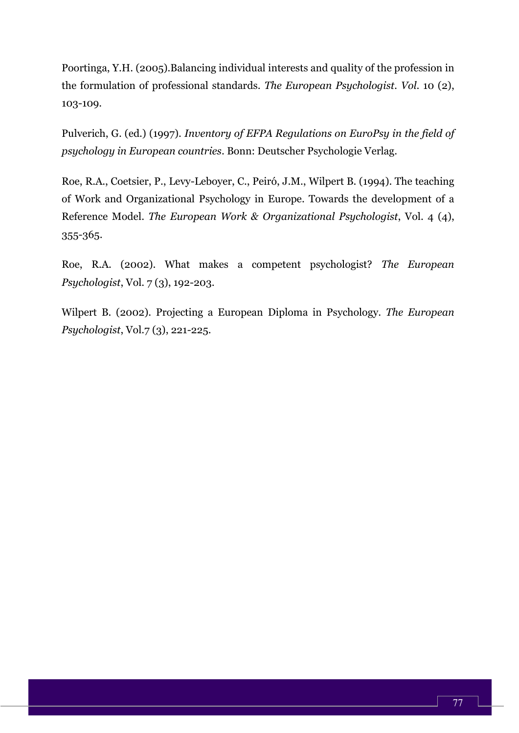Poortinga, Y.H. (2005).Balancing individual interests and quality of the profession in the formulation of professional standards. *The European Psychologist. Vol*. 10 (2), 103-109.

Pulverich, G. (ed.) (1997). *Inventory of EFPA Regulations on EuroPsy in the field of psychology in European countries*. Bonn: Deutscher Psychologie Verlag.

Roe, R.A., Coetsier, P., Levy-Leboyer, C., Peiró, J.M., Wilpert B. (1994). The teaching of Work and Organizational Psychology in Europe. Towards the development of a Reference Model. *The European Work & Organizational Psychologist*, Vol. 4 (4), 355-365.

Roe, R.A. (2002). What makes a competent psychologist? *The European Psychologist*, Vol. 7 (3), 192-203.

Wilpert B. (2002). Projecting a European Diploma in Psychology. *The European Psychologist*, Vol.7 (3), 221-225.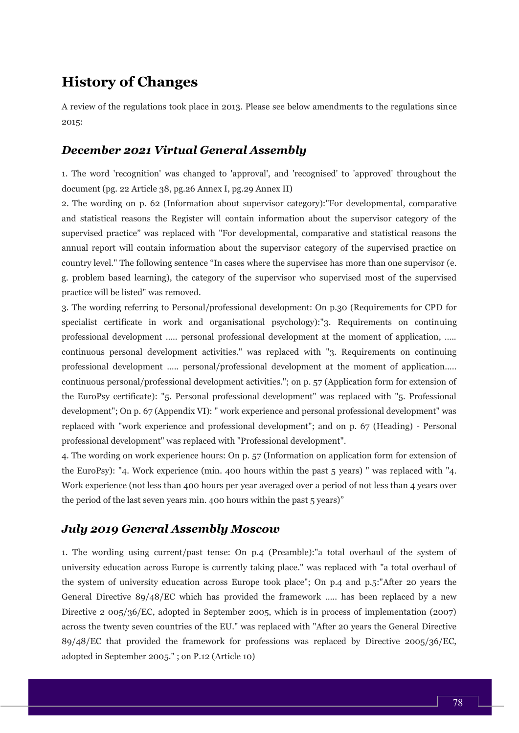# **History of Changes**

A review of the regulations took place in 2013. Please see below amendments to the regulations since 2015:

#### *December 2021 Virtual General Assembly*

1. The word 'recognition' was changed to 'approval', and 'recognised' to 'approved' throughout the document (pg. 22 Article 38, pg.26 Annex I, pg.29 Annex II)

2. The wording on p. 62 (Information about supervisor category):"For developmental, comparative and statistical reasons the Register will contain information about the supervisor category of the supervised practice" was replaced with "For developmental, comparative and statistical reasons the annual report will contain information about the supervisor category of the supervised practice on country level." The following sentence "In cases where the supervisee has more than one supervisor (e. g. problem based learning), the category of the supervisor who supervised most of the supervised practice will be listed" was removed.

3. The wording referring to Personal/professional development: On p.30 (Requirements for CPD for specialist certificate in work and organisational psychology):"3. Requirements on continuing professional development ….. personal professional development at the moment of application, ….. continuous personal development activities." was replaced with "3. Requirements on continuing professional development ….. personal/professional development at the moment of application….. continuous personal/professional development activities."; on p. 57 (Application form for extension of the EuroPsy certificate): "5. Personal professional development" was replaced with "5. Professional development"; On p. 67 (Appendix VI): " work experience and personal professional development" was replaced with "work experience and professional development"; and on p. 67 (Heading) - Personal professional development" was replaced with "Professional development".

4. The wording on work experience hours: On p. 57 (Information on application form for extension of the EuroPsy): "4. Work experience (min. 400 hours within the past 5 years) " was replaced with "4. Work experience (not less than 400 hours per year averaged over a period of not less than 4 years over the period of the last seven years min. 400 hours within the past 5 years)"

### *July 2019 General Assembly Moscow*

1. The wording using current/past tense: On p.4 (Preamble):"a total overhaul of the system of university education across Europe is currently taking place." was replaced with "a total overhaul of the system of university education across Europe took place"; On p.4 and p.5:"After 20 years the General Directive 89/48/EC which has provided the framework ….. has been replaced by a new Directive 2 005/36/EC, adopted in September 2005, which is in process of implementation (2007) across the twenty seven countries of the EU." was replaced with "After 20 years the General Directive 89/48/EC that provided the framework for professions was replaced by Directive 2005/36/EC, adopted in September 2005." ; on P.12 (Article 10)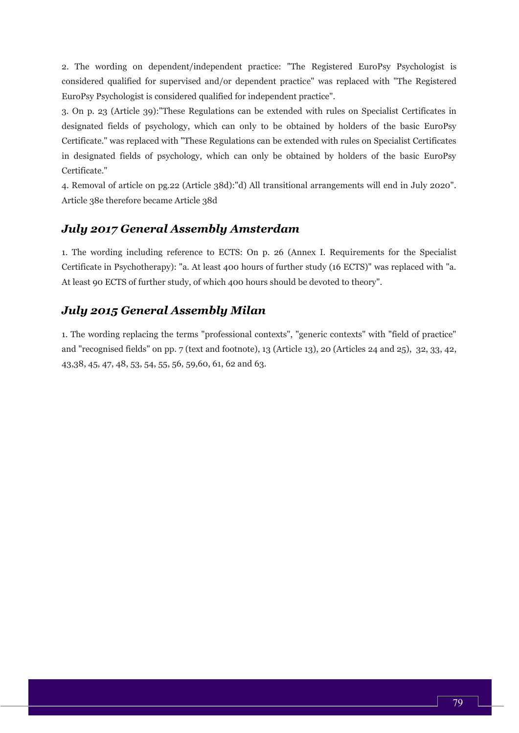2. The wording on dependent/independent practice: "The Registered EuroPsy Psychologist is considered qualified for supervised and/or dependent practice" was replaced with "The Registered EuroPsy Psychologist is considered qualified for independent practice".

3. On p. 23 (Article 39):"These Regulations can be extended with rules on Specialist Certificates in designated fields of psychology, which can only to be obtained by holders of the basic EuroPsy Certificate." was replaced with "These Regulations can be extended with rules on Specialist Certificates in designated fields of psychology, which can only be obtained by holders of the basic EuroPsy Certificate."

4. Removal of article on pg.22 (Article 38d):"d) All transitional arrangements will end in July 2020". Article 38e therefore became Article 38d

### *July 2017 General Assembly Amsterdam*

1. The wording including reference to ECTS: On p. 26 (Annex I. Requirements for the Specialist Certificate in Psychotherapy): "a. At least 400 hours of further study (16 ECTS)" was replaced with "a. At least 90 ECTS of further study, of which 400 hours should be devoted to theory".

#### *July 2015 General Assembly Milan*

1. The wording replacing the terms "professional contexts", "generic contexts" with "field of practice" and "recognised fields" on pp. 7 (text and footnote), 13 (Article 13), 20 (Articles 24 and 25), 32, 33, 42, 43,38, 45, 47, 48, 53, 54, 55, 56, 59,60, 61, 62 and 63.